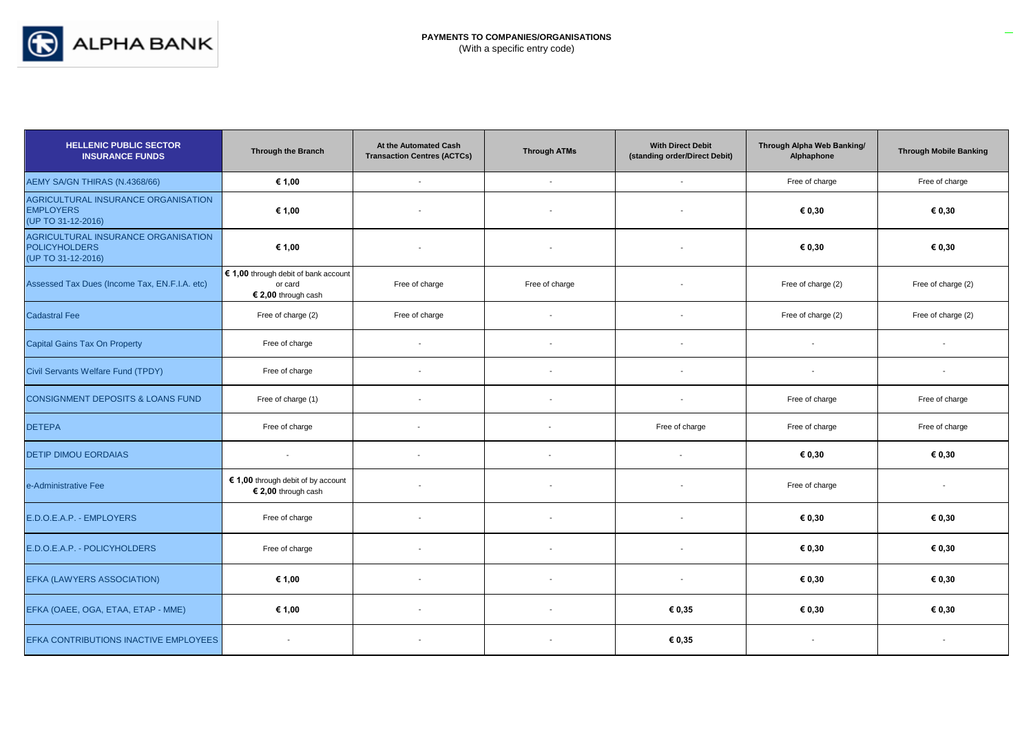

| <b>HELLENIC PUBLIC SECTOR</b><br><b>INSURANCE FUNDS</b>                           | <b>Through the Branch</b>                                               | At the Automated Cash<br><b>Transaction Centres (ACTCs)</b> | <b>Through ATMs</b>      | <b>With Direct Debit</b><br>(standing order/Direct Debit) | Through Alpha Web Banking/<br>Alphaphone | <b>Through Mobile Banking</b> |
|-----------------------------------------------------------------------------------|-------------------------------------------------------------------------|-------------------------------------------------------------|--------------------------|-----------------------------------------------------------|------------------------------------------|-------------------------------|
| AEMY SA/GN THIRAS (N.4368/66)                                                     | € 1,00                                                                  | $\mathbf{r}$                                                | $\sim$                   | $\overline{\phantom{a}}$                                  | Free of charge                           | Free of charge                |
| AGRICULTURAL INSURANCE ORGANISATION<br><b>EMPLOYERS</b><br>(UP TO 31-12-2016)     | € 1,00                                                                  |                                                             |                          |                                                           | € 0,30                                   | € 0,30                        |
| AGRICULTURAL INSURANCE ORGANISATION<br><b>POLICYHOLDERS</b><br>(UP TO 31-12-2016) | € 1,00                                                                  |                                                             |                          |                                                           | € 0,30                                   | € 0,30                        |
| Assessed Tax Dues (Income Tax, EN.F.I.A. etc)                                     | € 1,00 through debit of bank account<br>or card<br>$$2,00$ through cash | Free of charge                                              | Free of charge           |                                                           | Free of charge (2)                       | Free of charge (2)            |
| <b>Cadastral Fee</b>                                                              | Free of charge (2)                                                      | Free of charge                                              | $\overline{\phantom{a}}$ |                                                           | Free of charge (2)                       | Free of charge (2)            |
| <b>Capital Gains Tax On Property</b>                                              | Free of charge                                                          | $\blacksquare$                                              | $\overline{\phantom{a}}$ |                                                           | $\blacksquare$                           | $\overline{\phantom{a}}$      |
| Civil Servants Welfare Fund (TPDY)                                                | Free of charge                                                          | $\overline{a}$                                              |                          |                                                           | $\overline{\phantom{a}}$                 | $\overline{\phantom{a}}$      |
| <b>CONSIGNMENT DEPOSITS &amp; LOANS FUND</b>                                      | Free of charge (1)                                                      | $\blacksquare$                                              | $\overline{\phantom{a}}$ |                                                           | Free of charge                           | Free of charge                |
| <b>DETEPA</b>                                                                     | Free of charge                                                          | $\overline{\phantom{a}}$                                    |                          | Free of charge                                            | Free of charge                           | Free of charge                |
| <b>DETIP DIMOU EORDAIAS</b>                                                       | $\overline{\phantom{a}}$                                                | $\overline{\phantom{a}}$                                    |                          |                                                           | € 0,30                                   | € 0,30                        |
| e-Administrative Fee                                                              | € 1,00 through debit of by account<br>$$2,00$ through cash              | $\blacksquare$                                              | $\overline{\phantom{a}}$ |                                                           | Free of charge                           | $\overline{\phantom{a}}$      |
| E.D.O.E.A.P. - EMPLOYERS                                                          | Free of charge                                                          | $\overline{\phantom{a}}$                                    | $\overline{\phantom{a}}$ |                                                           | € 0,30                                   | € 0,30                        |
| E.D.O.E.A.P. - POLICYHOLDERS                                                      | Free of charge                                                          |                                                             |                          |                                                           | € 0,30                                   | € 0,30                        |
| EFKA (LAWYERS ASSOCIATION)                                                        | € 1,00                                                                  |                                                             |                          |                                                           | € 0,30                                   | € 0,30                        |
| EFKA (OAEE, OGA, ETAA, ETAP - MME)                                                | € 1,00                                                                  | $\overline{\phantom{a}}$                                    | $\overline{\phantom{a}}$ | € 0,35                                                    | € 0,30                                   | € 0,30                        |
| EFKA CONTRIBUTIONS INACTIVE EMPLOYEES                                             |                                                                         |                                                             |                          | € 0,35                                                    |                                          |                               |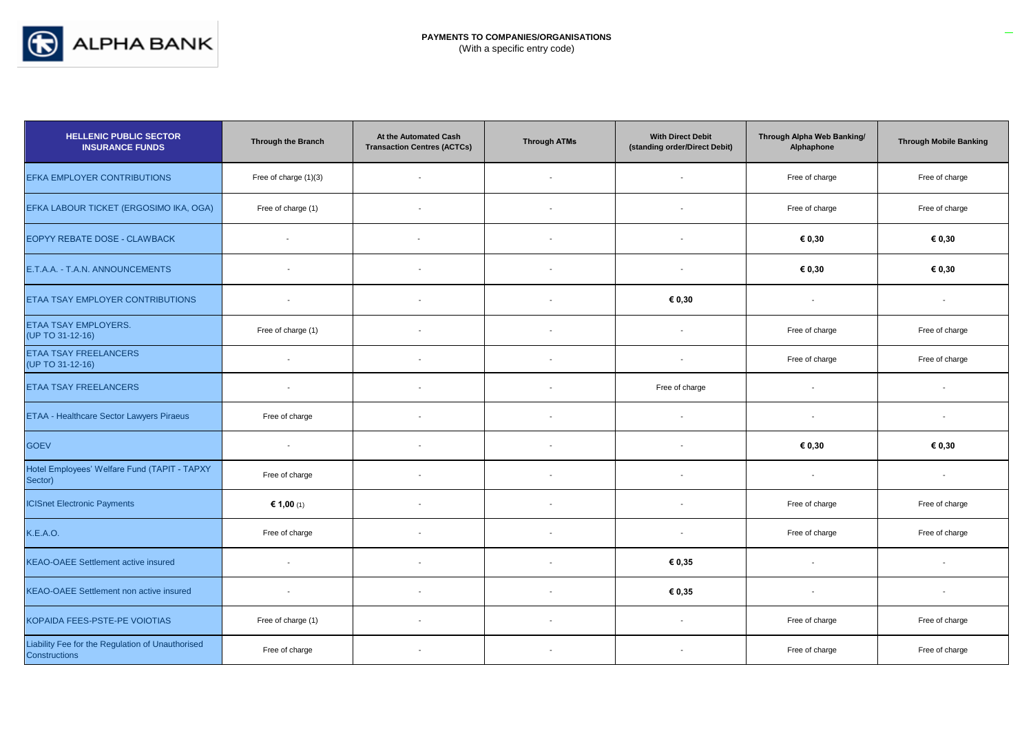

| <b>HELLENIC PUBLIC SECTOR</b><br><b>INSURANCE FUNDS</b>           | Through the Branch       | At the Automated Cash<br><b>Transaction Centres (ACTCs)</b> | <b>Through ATMs</b>      | <b>With Direct Debit</b><br>(standing order/Direct Debit) | Through Alpha Web Banking/<br>Alphaphone | <b>Through Mobile Banking</b> |
|-------------------------------------------------------------------|--------------------------|-------------------------------------------------------------|--------------------------|-----------------------------------------------------------|------------------------------------------|-------------------------------|
| EFKA EMPLOYER CONTRIBUTIONS                                       | Free of charge (1)(3)    |                                                             |                          |                                                           | Free of charge                           | Free of charge                |
| EFKA LABOUR TICKET (ERGOSIMO IKA, OGA)                            | Free of charge (1)       |                                                             |                          |                                                           | Free of charge                           | Free of charge                |
| EOPYY REBATE DOSE - CLAWBACK                                      |                          |                                                             |                          |                                                           | € 0,30                                   | € 0,30                        |
| E.T.A.A. - T.A.N. ANNOUNCEMENTS                                   |                          | $\blacksquare$                                              | $\overline{\phantom{a}}$ |                                                           | € 0,30                                   | € 0,30                        |
| ETAA TSAY EMPLOYER CONTRIBUTIONS                                  | $\sim$                   |                                                             | $\overline{a}$           | € 0,30                                                    | $\overline{\phantom{a}}$                 | $\overline{\phantom{a}}$      |
| <b>ETAA TSAY EMPLOYERS.</b><br>(UP TO 31-12-16)                   | Free of charge (1)       | $\overline{a}$                                              | $\overline{a}$           |                                                           | Free of charge                           | Free of charge                |
| ETAA TSAY FREELANCERS<br>(UP TO 31-12-16)                         | $\overline{\phantom{a}}$ | ÷,                                                          | $\overline{\phantom{a}}$ |                                                           | Free of charge                           | Free of charge                |
| <b>ETAA TSAY FREELANCERS</b>                                      | $\sim$                   | $\overline{\phantom{a}}$                                    |                          | Free of charge                                            | $\overline{\phantom{a}}$                 | $\overline{a}$                |
| <b>ETAA - Healthcare Sector Lawyers Piraeus</b>                   | Free of charge           | $\overline{\phantom{a}}$                                    | $\overline{\phantom{a}}$ |                                                           | $\overline{\phantom{a}}$                 | $\blacksquare$                |
| <b>GOEV</b>                                                       | $\sim$                   | $\overline{\phantom{a}}$                                    | $\overline{\phantom{a}}$ |                                                           | € 0,30                                   | € 0,30                        |
| Hotel Employees' Welfare Fund (TAPIT - TAPXY<br>Sector)           | Free of charge           | $\overline{a}$                                              |                          |                                                           | $\overline{\phantom{a}}$                 | $\overline{a}$                |
| <b>ICISnet Electronic Payments</b>                                | € 1,00 (1)               | $\overline{\phantom{a}}$                                    | $\overline{\phantom{a}}$ |                                                           | Free of charge                           | Free of charge                |
| <b>K.E.A.O.</b>                                                   | Free of charge           | $\overline{a}$                                              | $\overline{\phantom{a}}$ |                                                           | Free of charge                           | Free of charge                |
| <b>KEAO-OAEE Settlement active insured</b>                        | $\sim$                   | $\overline{\phantom{a}}$                                    | $\overline{\phantom{a}}$ | € 0,35                                                    | $\overline{\phantom{a}}$                 | $\overline{a}$                |
| <b>KEAO-OAEE Settlement non active insured</b>                    | $\overline{\phantom{a}}$ | $\overline{\phantom{a}}$                                    | $\blacksquare$           | € 0,35                                                    | $\overline{\phantom{a}}$                 | $\overline{\phantom{a}}$      |
| KOPAIDA FEES-PSTE-PE VOIOTIAS                                     | Free of charge (1)       | $\overline{a}$                                              | $\overline{a}$           |                                                           | Free of charge                           | Free of charge                |
| Liability Fee for the Regulation of Unauthorised<br>Constructions | Free of charge           | $\overline{\phantom{a}}$                                    |                          |                                                           | Free of charge                           | Free of charge                |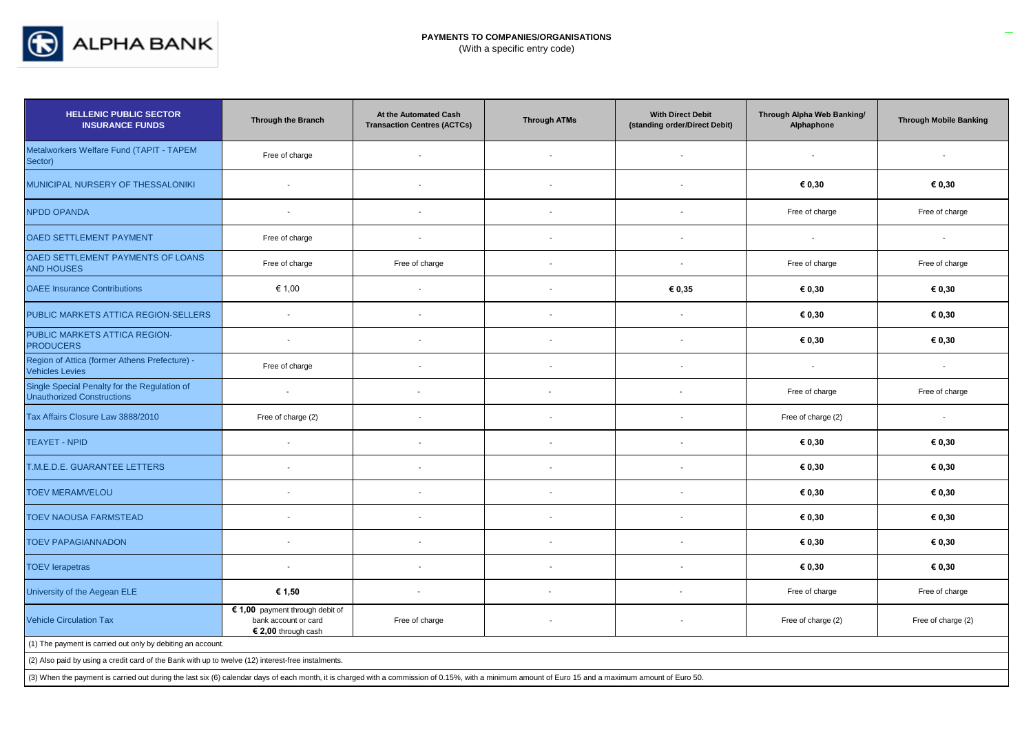

| <b>HELLENIC PUBLIC SECTOR</b><br><b>INSURANCE FUNDS</b>                                                                                                                                                                        | <b>Through the Branch</b>                                                      | At the Automated Cash<br><b>Transaction Centres (ACTCs)</b> | <b>Through ATMs</b>      | <b>With Direct Debit</b><br>(standing order/Direct Debit) | Through Alpha Web Banking/<br>Alphaphone | <b>Through Mobile Banking</b> |
|--------------------------------------------------------------------------------------------------------------------------------------------------------------------------------------------------------------------------------|--------------------------------------------------------------------------------|-------------------------------------------------------------|--------------------------|-----------------------------------------------------------|------------------------------------------|-------------------------------|
| Metalworkers Welfare Fund (TAPIT - TAPEM<br>Sector)                                                                                                                                                                            | Free of charge                                                                 | $\blacksquare$                                              |                          |                                                           |                                          |                               |
| MUNICIPAL NURSERY OF THESSALONIKI                                                                                                                                                                                              | $\overline{\phantom{a}}$                                                       | $\overline{\phantom{a}}$                                    |                          | $\overline{\phantom{a}}$                                  | € 0,30                                   | € 0,30                        |
| <b>NPDD OPANDA</b>                                                                                                                                                                                                             | $\overline{\phantom{a}}$                                                       | $\blacksquare$                                              |                          | $\overline{\phantom{a}}$                                  | Free of charge                           | Free of charge                |
| OAED SETTLEMENT PAYMENT                                                                                                                                                                                                        | Free of charge                                                                 | $\blacksquare$                                              |                          |                                                           | $\blacksquare$                           | $\overline{\phantom{a}}$      |
| OAED SETTLEMENT PAYMENTS OF LOANS<br><b>AND HOUSES</b>                                                                                                                                                                         | Free of charge                                                                 | Free of charge                                              | $\blacksquare$           | $\overline{\phantom{a}}$                                  | Free of charge                           | Free of charge                |
| <b>OAEE</b> Insurance Contributions                                                                                                                                                                                            | € 1,00                                                                         | $\blacksquare$                                              | $\overline{\phantom{a}}$ | € 0,35                                                    | € 0,30                                   | € 0,30                        |
| PUBLIC MARKETS ATTICA REGION-SELLERS                                                                                                                                                                                           | $\overline{a}$                                                                 |                                                             |                          |                                                           | € 0,30                                   | € 0,30                        |
| PUBLIC MARKETS ATTICA REGION-<br><b>PRODUCERS</b>                                                                                                                                                                              | $\sim$                                                                         | $\blacksquare$                                              | $\overline{a}$           | $\overline{a}$                                            | € 0,30                                   | € 0,30                        |
| Region of Attica (former Athens Prefecture) -<br><b>Vehicles Levies</b>                                                                                                                                                        | Free of charge                                                                 | $\overline{\phantom{a}}$                                    |                          |                                                           | $\overline{\phantom{a}}$                 | $\sim$                        |
| Single Special Penalty for the Regulation of<br><b>Unauthorized Constructions</b>                                                                                                                                              | $\overline{\phantom{a}}$                                                       |                                                             |                          |                                                           | Free of charge                           | Free of charge                |
| Tax Affairs Closure Law 3888/2010                                                                                                                                                                                              | Free of charge (2)                                                             | $\overline{\phantom{a}}$                                    |                          |                                                           | Free of charge (2)                       | $\blacksquare$                |
| <b>TEAYET - NPID</b>                                                                                                                                                                                                           | $\overline{\phantom{a}}$                                                       | $\overline{\phantom{a}}$                                    |                          |                                                           | € 0,30                                   | € 0,30                        |
| T.M.E.D.E. GUARANTEE LETTERS                                                                                                                                                                                                   | $\overline{\phantom{a}}$                                                       | $\blacksquare$                                              |                          |                                                           | € 0,30                                   | € 0,30                        |
| <b>TOEV MERAMVELOU</b>                                                                                                                                                                                                         | $\overline{\phantom{a}}$                                                       | $\blacksquare$                                              | $\overline{\phantom{a}}$ | $\overline{a}$                                            | € 0,30                                   | € 0,30                        |
| <b>TOEV NAOUSA FARMSTEAD</b>                                                                                                                                                                                                   |                                                                                |                                                             |                          |                                                           | € 0,30                                   | € 0,30                        |
| <b>TOEV PAPAGIANNADON</b>                                                                                                                                                                                                      | $\overline{\phantom{a}}$                                                       | $\blacksquare$                                              |                          |                                                           | € 0,30                                   | € 0,30                        |
| <b>TOEV lerapetras</b>                                                                                                                                                                                                         | $\overline{\phantom{a}}$                                                       | $\blacksquare$                                              |                          |                                                           | € 0,30                                   | € 0,30                        |
| University of the Aegean ELE                                                                                                                                                                                                   | € 1,50                                                                         | $\sim$                                                      | $\overline{\phantom{a}}$ | $\blacksquare$                                            | Free of charge                           | Free of charge                |
| <b>Vehicle Circulation Tax</b>                                                                                                                                                                                                 | € 1,00 payment through debit of<br>bank account or card<br>€ 2,00 through cash | Free of charge                                              |                          |                                                           | Free of charge (2)                       | Free of charge (2)            |
| (1) The payment is carried out only by debiting an account.                                                                                                                                                                    |                                                                                |                                                             |                          |                                                           |                                          |                               |
| (2) Also paid by using a credit card of the Bank with up to twelve (12) interest-free instalments.                                                                                                                             |                                                                                |                                                             |                          |                                                           |                                          |                               |
| (3) When the payment is carried out during the last six (6) calendar days of each month, it is charged with a commission of 0.15%, with a minimum amount of Euro 15 and a maximum amount of Euro 15 and a maximum amount of Eu |                                                                                |                                                             |                          |                                                           |                                          |                               |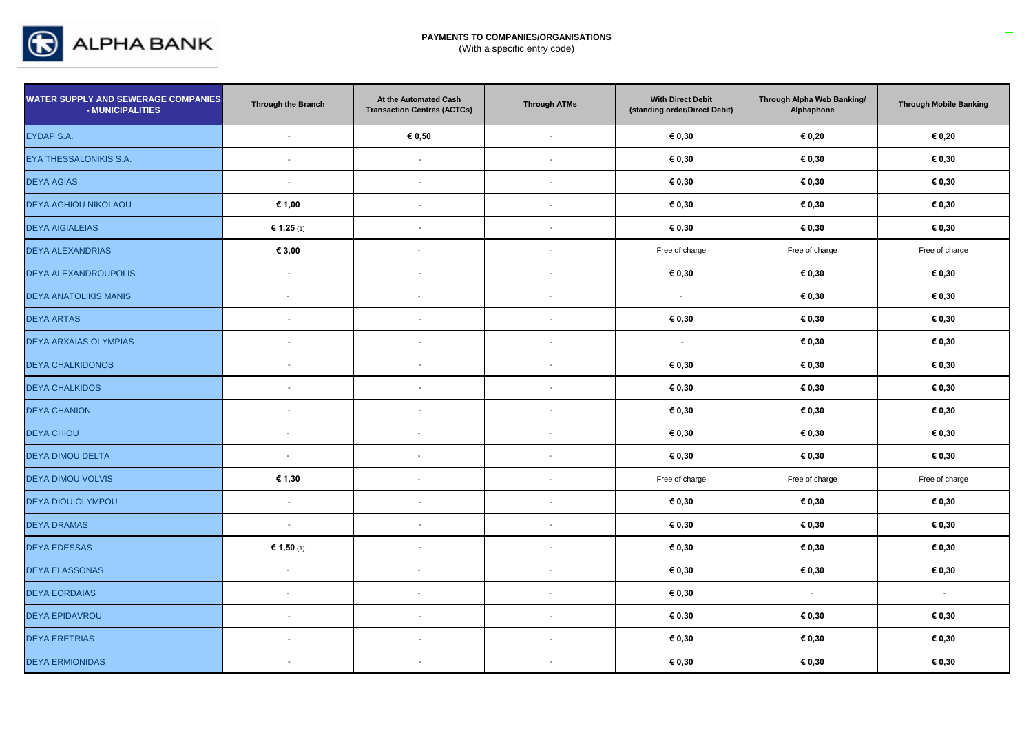

| <b>WATER SUPPLY AND SEWERAGE COMPANIES</b><br>- MUNICIPALITIES | <b>Through the Branch</b> | At the Automated Cash<br><b>Transaction Centres (ACTCs)</b> | <b>Through ATMs</b>      | <b>With Direct Debit</b><br>(standing order/Direct Debit) | Through Alpha Web Banking/<br>Alphaphone | <b>Through Mobile Banking</b> |
|----------------------------------------------------------------|---------------------------|-------------------------------------------------------------|--------------------------|-----------------------------------------------------------|------------------------------------------|-------------------------------|
| EYDAP S.A.                                                     | ÷,                        | € 0,50                                                      |                          | € 0,30                                                    | € 0,20                                   | € 0,20                        |
| EYA THESSALONIKIS S.A.                                         | $\sim$                    | $\blacksquare$                                              | $\overline{\phantom{a}}$ | € 0,30                                                    | € 0,30                                   | € 0,30                        |
| <b>DEYA AGIAS</b>                                              | $\sim$                    | $\overline{\phantom{a}}$                                    | $\overline{\phantom{a}}$ | € 0,30                                                    | € 0,30                                   | € 0,30                        |
| <b>DEYA AGHIOU NIKOLAOU</b>                                    | € 1,00                    | $\overline{\phantom{a}}$                                    | $\blacksquare$           | € 0,30                                                    | € 0,30                                   | € 0,30                        |
| <b>DEYA AIGIALEIAS</b>                                         | € 1,25 (1)                | $\overline{\phantom{a}}$                                    | $\overline{\phantom{a}}$ | € 0,30                                                    | € 0,30                                   | € 0,30                        |
| <b>DEYA ALEXANDRIAS</b>                                        | € 3,00                    |                                                             | $\blacksquare$           | Free of charge                                            | Free of charge                           | Free of charge                |
| <b>DEYA ALEXANDROUPOLIS</b>                                    | $\sim$                    | $\blacksquare$                                              |                          | € 0,30                                                    | € 0,30                                   | € 0,30                        |
| <b>DEYA ANATOLIKIS MANIS</b>                                   | $\overline{\phantom{a}}$  | $\overline{\phantom{a}}$                                    | $\sim$                   | $\sim$                                                    | € 0,30                                   | € 0,30                        |
| <b>DEYA ARTAS</b>                                              | $\sim$                    | $\overline{\phantom{a}}$                                    | $\overline{\phantom{a}}$ | € 0,30                                                    | $\epsilon$ 0,30                          | € 0,30                        |
| DEYA ARXAIAS OLYMPIAS                                          | $\overline{\phantom{a}}$  | $\overline{\phantom{a}}$                                    | $\overline{a}$           | $\sim$                                                    | € 0,30                                   | € 0,30                        |
| <b>DEYA CHALKIDONOS</b>                                        | $\overline{\phantom{a}}$  | $\sim$                                                      | $\overline{\phantom{a}}$ | € 0,30                                                    | € 0,30                                   | € 0,30                        |
| <b>DEYA CHALKIDOS</b>                                          | $\overline{\phantom{a}}$  | $\overline{\phantom{a}}$                                    | $\overline{a}$           | € 0,30                                                    | € 0,30                                   | € 0,30                        |
| <b>DEYA CHANION</b>                                            | $\sim$                    | $\blacksquare$                                              | $\overline{\phantom{a}}$ | € 0,30                                                    | € 0,30                                   | € 0,30                        |
| <b>DEYA CHIOU</b>                                              | $\mathbf{r}$              | $\overline{\phantom{a}}$                                    | $\blacksquare$           | € 0,30                                                    | € 0,30                                   | € 0,30                        |
| <b>DEYA DIMOU DELTA</b>                                        | $\blacksquare$            | $\overline{\phantom{a}}$                                    | $\overline{\phantom{a}}$ | € 0,30                                                    | € 0,30                                   | € 0,30                        |
| <b>DEYA DIMOU VOLVIS</b>                                       | € 1,30                    | $\overline{\phantom{a}}$                                    | $\overline{\phantom{a}}$ | Free of charge                                            | Free of charge                           | Free of charge                |
| DEYA DIOU OLYMPOU                                              | $\sim$                    | $\blacksquare$                                              |                          | € 0,30                                                    | € 0,30                                   | € 0,30                        |
| <b>DEYA DRAMAS</b>                                             | $\overline{\phantom{a}}$  | $\blacksquare$                                              |                          | € 0,30                                                    | € 0,30                                   | € 0,30                        |
| <b>DEYA EDESSAS</b>                                            | € 1,50 (1)                | $\blacksquare$                                              | $\overline{\phantom{a}}$ | € 0,30                                                    | € 0,30                                   | € 0,30                        |
| <b>DEYA ELASSONAS</b>                                          | $\blacksquare$            | $\overline{\phantom{a}}$                                    | $\blacksquare$           | € 0,30                                                    | € 0,30                                   | € 0,30                        |
| <b>DEYA EORDAIAS</b>                                           | $\overline{\phantom{a}}$  | $\overline{\phantom{a}}$                                    | $\overline{\phantom{a}}$ | € 0,30                                                    | $\sim$                                   | $\sim$                        |
| <b>DEYA EPIDAVROU</b>                                          | $\sim$                    | $\sim$                                                      | $\overline{\phantom{a}}$ | € 0,30                                                    | € 0,30                                   | € 0,30                        |
| <b>DEYA ERETRIAS</b>                                           | $\overline{\phantom{a}}$  | $\blacksquare$                                              | $\overline{a}$           | € 0,30                                                    | € 0,30                                   | € 0,30                        |
| <b>DEYA ERMIONIDAS</b>                                         | $\sim$                    | $\blacksquare$                                              | $\overline{\phantom{a}}$ | € 0,30                                                    | € 0,30                                   | € 0,30                        |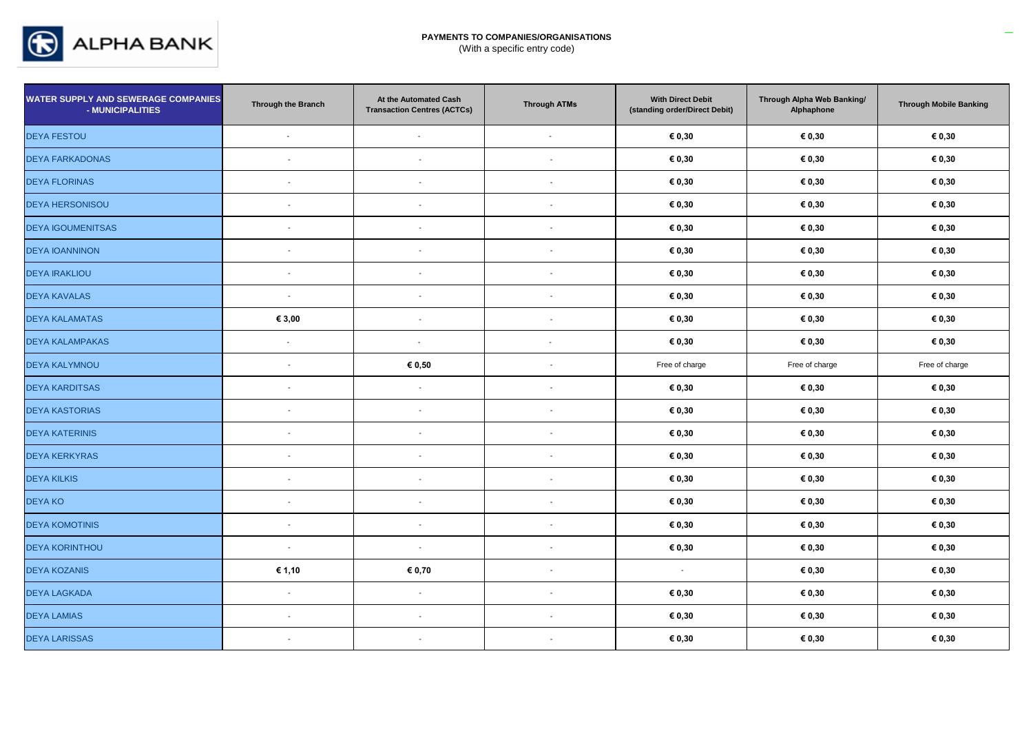

| <b>WATER SUPPLY AND SEWERAGE COMPANIES</b><br>- MUNICIPALITIES | Through the Branch       | At the Automated Cash<br><b>Transaction Centres (ACTCs)</b> | <b>Through ATMs</b>      | <b>With Direct Debit</b><br>(standing order/Direct Debit) | Through Alpha Web Banking/<br>Alphaphone | <b>Through Mobile Banking</b> |
|----------------------------------------------------------------|--------------------------|-------------------------------------------------------------|--------------------------|-----------------------------------------------------------|------------------------------------------|-------------------------------|
| <b>DEYA FESTOU</b>                                             | $\overline{\phantom{a}}$ | $\overline{\phantom{a}}$                                    | $\overline{\phantom{a}}$ | € 0,30                                                    | € 0,30                                   | € 0,30                        |
| <b>DEYA FARKADONAS</b>                                         | $\overline{\phantom{a}}$ | $\blacksquare$                                              | $\blacksquare$           | € 0,30                                                    | € 0,30                                   | € 0,30                        |
| <b>DEYA FLORINAS</b>                                           | $\overline{\phantom{a}}$ | $\blacksquare$                                              | $\overline{\phantom{a}}$ | € 0,30                                                    | € 0,30                                   | € 0,30                        |
| <b>DEYA HERSONISOU</b>                                         | $\overline{\phantom{a}}$ | $\overline{\phantom{a}}$                                    | $\blacksquare$           | € 0,30                                                    | € 0,30                                   | € 0,30                        |
| <b>DEYA IGOUMENITSAS</b>                                       | $\overline{\phantom{a}}$ | $\blacksquare$                                              | $\overline{\phantom{a}}$ | € 0,30                                                    | € 0,30                                   | € 0,30                        |
| <b>DEYA IOANNINON</b>                                          | $\overline{\phantom{a}}$ | $\blacksquare$                                              | $\overline{\phantom{a}}$ | € 0,30                                                    | € 0,30                                   | € 0,30                        |
| <b>DEYA IRAKLIOU</b>                                           | $\sim$                   | $\overline{\phantom{a}}$                                    | $\overline{\phantom{a}}$ | € 0,30                                                    | € 0,30                                   | € 0,30                        |
| <b>DEYA KAVALAS</b>                                            | $\overline{\phantom{a}}$ | $\blacksquare$                                              |                          | € 0,30                                                    | € 0,30                                   | € 0,30                        |
| <b>DEYA KALAMATAS</b>                                          | € 3,00                   | $\overline{\phantom{a}}$                                    | $\overline{\phantom{a}}$ | € 0,30                                                    | € 0,30                                   | € 0,30                        |
| <b>DEYA KALAMPAKAS</b>                                         | $\blacksquare$           | $\overline{\phantom{a}}$                                    | $\overline{\phantom{a}}$ | € 0,30                                                    | € 0,30                                   | € 0,30                        |
| <b>DEYA KALYMNOU</b>                                           | $\sim$                   | € 0,50                                                      | $\overline{\phantom{a}}$ | Free of charge                                            | Free of charge                           | Free of charge                |
| <b>DEYA KARDITSAS</b>                                          | $\overline{\phantom{a}}$ | $\sim$                                                      | $\overline{\phantom{a}}$ | € 0,30                                                    | € 0,30                                   | € 0,30                        |
| <b>DEYA KASTORIAS</b>                                          | $\sim$                   | $\overline{\phantom{a}}$                                    | $\overline{\phantom{a}}$ | € 0,30                                                    | € 0,30                                   | € 0,30                        |
| <b>DEYA KATERINIS</b>                                          | $\overline{\phantom{a}}$ | $\overline{\phantom{a}}$                                    | $\overline{\phantom{a}}$ | € 0,30                                                    | € 0,30                                   | € 0,30                        |
| <b>DEYA KERKYRAS</b>                                           | $\overline{\phantom{a}}$ | $\overline{\phantom{a}}$                                    | $\overline{\phantom{a}}$ | € 0,30                                                    | € 0,30                                   | € 0,30                        |
| <b>DEYA KILKIS</b>                                             | $\overline{\phantom{a}}$ | $\blacksquare$                                              | $\overline{\phantom{a}}$ | € 0,30                                                    | € 0,30                                   | € 0,30                        |
| <b>DEYAKO</b>                                                  | $\overline{\phantom{a}}$ | $\blacksquare$                                              | $\overline{\phantom{a}}$ | € 0,30                                                    | € 0,30                                   | € 0,30                        |
| <b>DEYA KOMOTINIS</b>                                          | $\sim$                   | $\blacksquare$                                              | $\sim$                   | € 0,30                                                    | € 0,30                                   | € 0,30                        |
| <b>DEYA KORINTHOU</b>                                          | $\sim$                   | $\blacksquare$                                              | $\sim$                   | € 0,30                                                    | € 0,30                                   | € 0,30                        |
| <b>DEYA KOZANIS</b>                                            | € 1,10                   | € 0,70                                                      | $\sim$                   | $\sim$                                                    | € 0,30                                   | € 0,30                        |
| <b>DEYA LAGKADA</b>                                            | $\sim$                   | $\blacksquare$                                              | $\overline{\phantom{a}}$ | € 0,30                                                    | € 0,30                                   | € 0,30                        |
| <b>DEYA LAMIAS</b>                                             | $\sim$                   | $\overline{\phantom{a}}$                                    | $\overline{\phantom{a}}$ | € 0,30                                                    | € 0,30                                   | € 0,30                        |
| <b>DEYA LARISSAS</b>                                           | $\sim$                   | $\blacksquare$                                              | $\overline{\phantom{a}}$ | € 0,30                                                    | € 0,30                                   | € 0,30                        |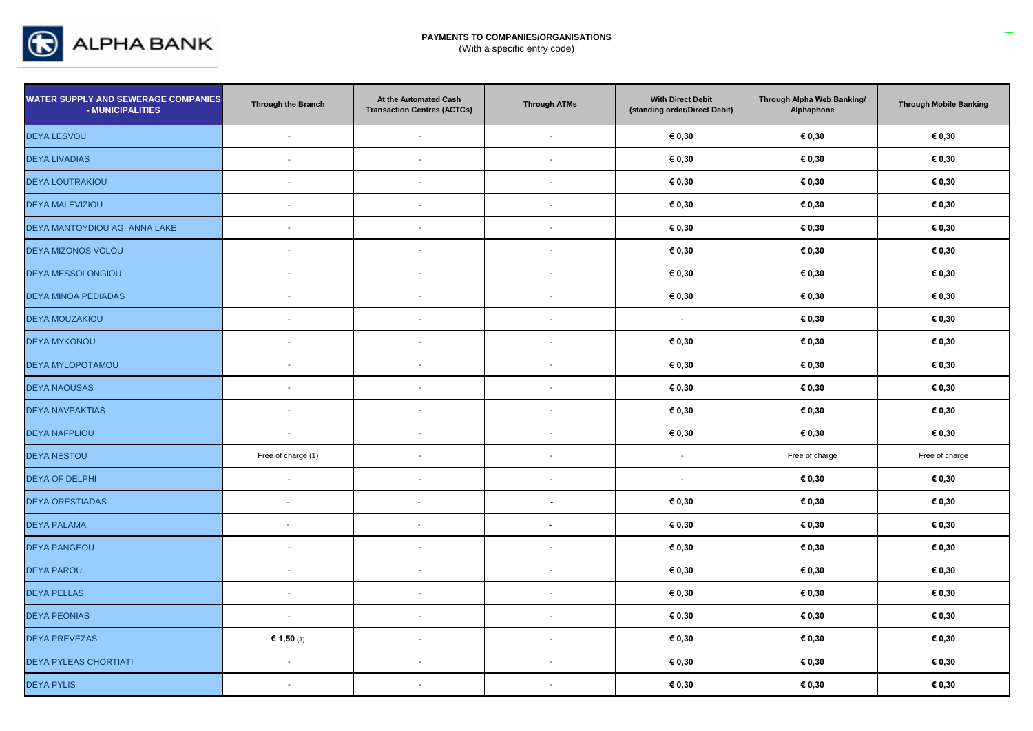

| <b>WATER SUPPLY AND SEWERAGE COMPANIES</b><br>- MUNICIPALITIES | Through the Branch       | At the Automated Cash<br><b>Transaction Centres (ACTCs)</b> | <b>Through ATMs</b>      | <b>With Direct Debit</b><br>(standing order/Direct Debit) | Through Alpha Web Banking/<br>Alphaphone | <b>Through Mobile Banking</b> |
|----------------------------------------------------------------|--------------------------|-------------------------------------------------------------|--------------------------|-----------------------------------------------------------|------------------------------------------|-------------------------------|
| <b>DEYA LESVOU</b>                                             | $\overline{\phantom{a}}$ | $\overline{\phantom{a}}$                                    | $\overline{\phantom{a}}$ | € 0,30                                                    | € 0,30                                   | € 0,30                        |
| <b>DEYA LIVADIAS</b>                                           | $\overline{\phantom{a}}$ | $\overline{\phantom{a}}$                                    | $\overline{\phantom{a}}$ | € 0,30                                                    | € 0,30                                   | € 0,30                        |
| <b>DEYA LOUTRAKIOU</b>                                         | $\overline{\phantom{a}}$ | $\overline{\phantom{a}}$                                    |                          | € 0,30                                                    | € 0,30                                   | € 0,30                        |
| <b>DEYA MALEVIZIOU</b>                                         | $\overline{\phantom{a}}$ | $\overline{\phantom{a}}$                                    | $\overline{\phantom{a}}$ | € 0,30                                                    | € 0,30                                   | € 0,30                        |
| DEYA MANTOYDIOU AG. ANNA LAKE                                  | $\overline{\phantom{a}}$ | $\blacksquare$                                              |                          | € 0,30                                                    | € 0,30                                   | € 0,30                        |
| DEYA MIZONOS VOLOU                                             | $\sim$                   | $\sim$                                                      | $\sim$                   | € 0,30                                                    | € 0,30                                   | € 0,30                        |
| <b>DEYA MESSOLONGIOU</b>                                       | ÷,                       | $\blacksquare$                                              |                          | € 0,30                                                    | € 0,30                                   | € 0,30                        |
| DEYA MINOA PEDIADAS                                            | $\overline{a}$           | $\blacksquare$                                              |                          | € 0,30                                                    | € 0,30                                   | € 0,30                        |
| <b>DEYA MOUZAKIOU</b>                                          | $\sim$                   | $\sim$                                                      | $\overline{\phantom{a}}$ | $\mathbf{r}$                                              | € 0,30                                   | € 0,30                        |
| <b>DEYA MYKONOU</b>                                            | $\sim$                   | $\overline{\phantom{a}}$                                    | $\overline{a}$           | € 0,30                                                    | € 0,30                                   | € 0,30                        |
| <b>DEYA MYLOPOTAMOU</b>                                        | $\sim$                   | $\blacksquare$                                              | $\sim$                   | € 0,30                                                    | € 0,30                                   | € 0,30                        |
| <b>DEYA NAOUSAS</b>                                            | $\overline{\phantom{a}}$ | $\blacksquare$                                              |                          | € 0,30                                                    | € 0,30                                   | € 0,30                        |
| <b>DEYA NAVPAKTIAS</b>                                         | $\sim$                   | $\overline{\phantom{a}}$                                    | $\blacksquare$           | € 0,30                                                    | € 0,30                                   | € 0,30                        |
| <b>DEYA NAFPLIOU</b>                                           | $\overline{\phantom{a}}$ | $\overline{\phantom{a}}$                                    | $\overline{\phantom{a}}$ | € 0,30                                                    | € 0,30                                   | € 0,30                        |
| <b>DEYA NESTOU</b>                                             | Free of charge (1)       | $\overline{\phantom{a}}$                                    | $\overline{\phantom{a}}$ | $\mathbf{r}$                                              | Free of charge                           | Free of charge                |
| <b>DEYA OF DELPHI</b>                                          | $\sim$                   | $\blacksquare$                                              | $\overline{\phantom{a}}$ | $\sim$                                                    | € 0,30                                   | € 0,30                        |
| <b>DEYA ORESTIADAS</b>                                         | $\overline{\phantom{a}}$ | $\overline{\phantom{a}}$                                    |                          | € 0,30                                                    | € 0,30                                   | € 0,30                        |
| <b>DEYA PALAMA</b>                                             | $\sim$                   | $\overline{\phantom{a}}$                                    | $\blacksquare$           | € 0,30                                                    | € 0,30                                   | € 0,30                        |
| <b>DEYA PANGEOU</b>                                            | ÷,                       | $\blacksquare$                                              |                          | € 0,30                                                    | € 0,30                                   | € 0,30                        |
| <b>DEYA PAROU</b>                                              | $\sim$                   | $\overline{\phantom{a}}$                                    | $\blacksquare$           | € 0,30                                                    | € 0,30                                   | € 0,30                        |
| <b>DEYA PELLAS</b>                                             | $\sim$                   | $\blacksquare$                                              |                          | € 0,30                                                    | € 0,30                                   | € 0,30                        |
| <b>DEYA PEONIAS</b>                                            | $\overline{\phantom{a}}$ | $\overline{\phantom{a}}$                                    | $\overline{\phantom{a}}$ | € 0,30                                                    | € 0,30                                   | € 0,30                        |
| <b>DEYA PREVEZAS</b>                                           | € 1,50 (1)               | $\overline{\phantom{a}}$                                    | $\overline{\phantom{a}}$ | € 0,30                                                    | € 0,30                                   | € 0,30                        |
| <b>DEYA PYLEAS CHORTIATI</b>                                   | $\sim$                   | $\blacksquare$                                              | $\overline{a}$           | € 0,30                                                    | € 0,30                                   | € 0,30                        |
| <b>DEYA PYLIS</b>                                              | $\blacksquare$           | $\overline{\phantom{a}}$                                    | $\sim$                   | € 0,30                                                    | $\epsilon$ 0,30                          | € 0,30                        |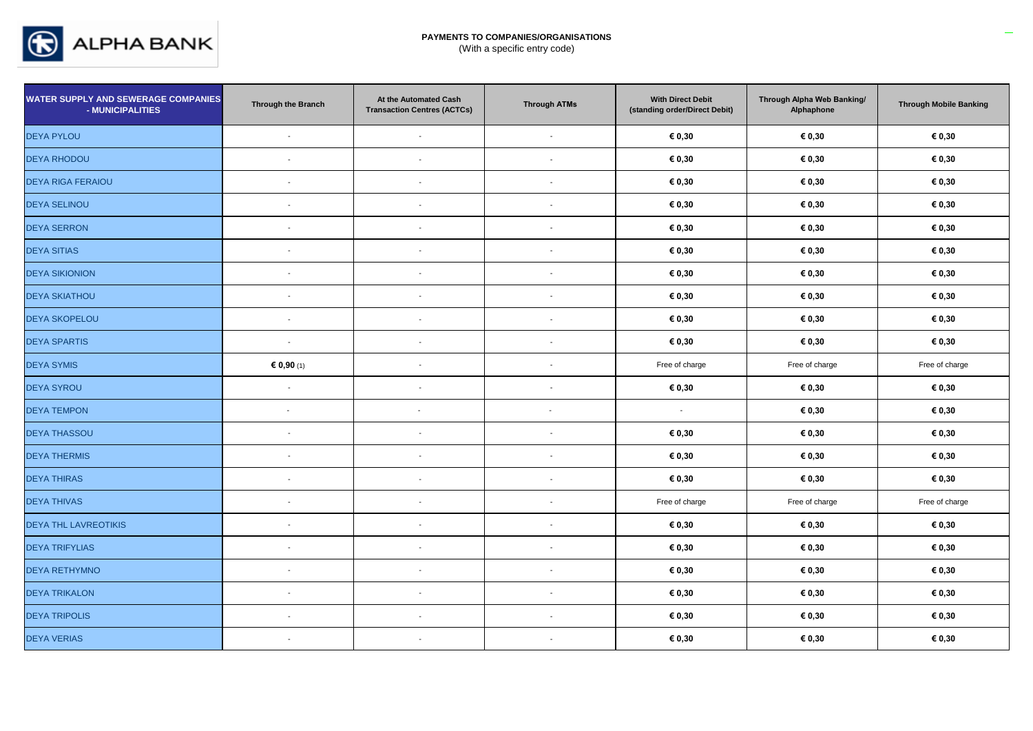

| <b>WATER SUPPLY AND SEWERAGE COMPANIES</b><br>- MUNICIPALITIES | Through the Branch       | At the Automated Cash<br><b>Transaction Centres (ACTCs)</b> | <b>Through ATMs</b>      | <b>With Direct Debit</b><br>(standing order/Direct Debit) | Through Alpha Web Banking/<br>Alphaphone | <b>Through Mobile Banking</b> |
|----------------------------------------------------------------|--------------------------|-------------------------------------------------------------|--------------------------|-----------------------------------------------------------|------------------------------------------|-------------------------------|
| <b>DEYA PYLOU</b>                                              | $\blacksquare$           | $\blacksquare$                                              | $\overline{\phantom{a}}$ | € 0,30                                                    | € 0,30                                   | € 0,30                        |
| <b>DEYA RHODOU</b>                                             | $\blacksquare$           | $\overline{\phantom{a}}$                                    |                          | € 0,30                                                    | € 0,30                                   | € 0,30                        |
| <b>DEYA RIGA FERAIOU</b>                                       | $\blacksquare$           | $\blacksquare$                                              | $\overline{\phantom{a}}$ | € 0,30                                                    | € 0,30                                   | € 0,30                        |
| <b>DEYA SELINOU</b>                                            | $\sim$                   | $\blacksquare$                                              |                          | € 0,30                                                    | € 0,30                                   | € 0,30                        |
| <b>DEYA SERRON</b>                                             | $\sim$                   | $\overline{\phantom{a}}$                                    |                          | € 0,30                                                    | € 0,30                                   | € 0,30                        |
| <b>DEYA SITIAS</b>                                             | $\sim$                   | $\overline{a}$                                              |                          | € 0,30                                                    | € 0,30                                   | € 0,30                        |
| <b>DEYA SIKIONION</b>                                          | $\blacksquare$           | $\blacksquare$                                              |                          | € 0,30                                                    | $\epsilon$ 0,30                          | $\epsilon$ 0,30               |
| <b>DEYA SKIATHOU</b>                                           | $\overline{\phantom{a}}$ |                                                             |                          | € 0,30                                                    | € 0,30                                   | € 0,30                        |
| <b>DEYA SKOPELOU</b>                                           | $\blacksquare$           | $\blacksquare$                                              |                          | € 0,30                                                    | € 0,30                                   | € 0,30                        |
| <b>DEYA SPARTIS</b>                                            | $\blacksquare$           | $\blacksquare$                                              |                          | € 0,30                                                    | € 0,30                                   | € 0,30                        |
| <b>DEYA SYMIS</b>                                              | € 0,90 (1)               | $\blacksquare$                                              | $\overline{\phantom{a}}$ | Free of charge                                            | Free of charge                           | Free of charge                |
| <b>DEYA SYROU</b>                                              | $\overline{\phantom{a}}$ | $\blacksquare$                                              | $\overline{\phantom{0}}$ | € 0,30                                                    | € 0,30                                   | € 0,30                        |
| <b>DEYA TEMPON</b>                                             | $\overline{\phantom{a}}$ | $\overline{\phantom{a}}$                                    | $\overline{\phantom{a}}$ | $\blacksquare$                                            | € 0,30                                   | € 0,30                        |
| <b>DEYA THASSOU</b>                                            | $\overline{\phantom{a}}$ | $\blacksquare$                                              |                          | € 0,30                                                    | € 0,30                                   | € 0,30                        |
| <b>DEYA THERMIS</b>                                            | $\blacksquare$           | $\blacksquare$                                              | $\overline{\phantom{a}}$ | € 0,30                                                    | € 0,30                                   | € 0,30                        |
| <b>DEYA THIRAS</b>                                             | $\overline{\phantom{a}}$ | $\overline{\phantom{a}}$                                    |                          | € 0,30                                                    | € 0,30                                   | € 0,30                        |
| <b>DEYA THIVAS</b>                                             | $\overline{\phantom{a}}$ | $\overline{\phantom{a}}$                                    | $\overline{\phantom{a}}$ | Free of charge                                            | Free of charge                           | Free of charge                |
| <b>DEYA THL LAVREOTIKIS</b>                                    | $\overline{\phantom{a}}$ | $\blacksquare$                                              |                          | € 0,30                                                    | € 0,30                                   | € 0,30                        |
| <b>DEYA TRIFYLIAS</b>                                          | $\blacksquare$           | $\overline{\phantom{a}}$                                    | $\overline{\phantom{a}}$ | € 0,30                                                    | € 0,30                                   | € 0,30                        |
| <b>DEYA RETHYMNO</b>                                           | $\blacksquare$           | $\overline{\phantom{a}}$                                    | $\overline{\phantom{a}}$ | € 0,30                                                    | € 0,30                                   | $\epsilon$ 0,30               |
| <b>DEYA TRIKALON</b>                                           | $\overline{\phantom{a}}$ | $\sim$                                                      | $\sim$                   | € 0,30                                                    | € 0,30                                   | € 0,30                        |
| <b>DEYA TRIPOLIS</b>                                           | $\blacksquare$           | $\overline{\phantom{a}}$                                    | $\overline{\phantom{a}}$ | € 0,30                                                    | € 0,30                                   | € 0,30                        |
| <b>DEYA VERIAS</b>                                             | $\overline{\phantom{a}}$ | $\overline{\phantom{a}}$                                    | $\overline{\phantom{a}}$ | € 0,30                                                    | € 0,30                                   | € 0,30                        |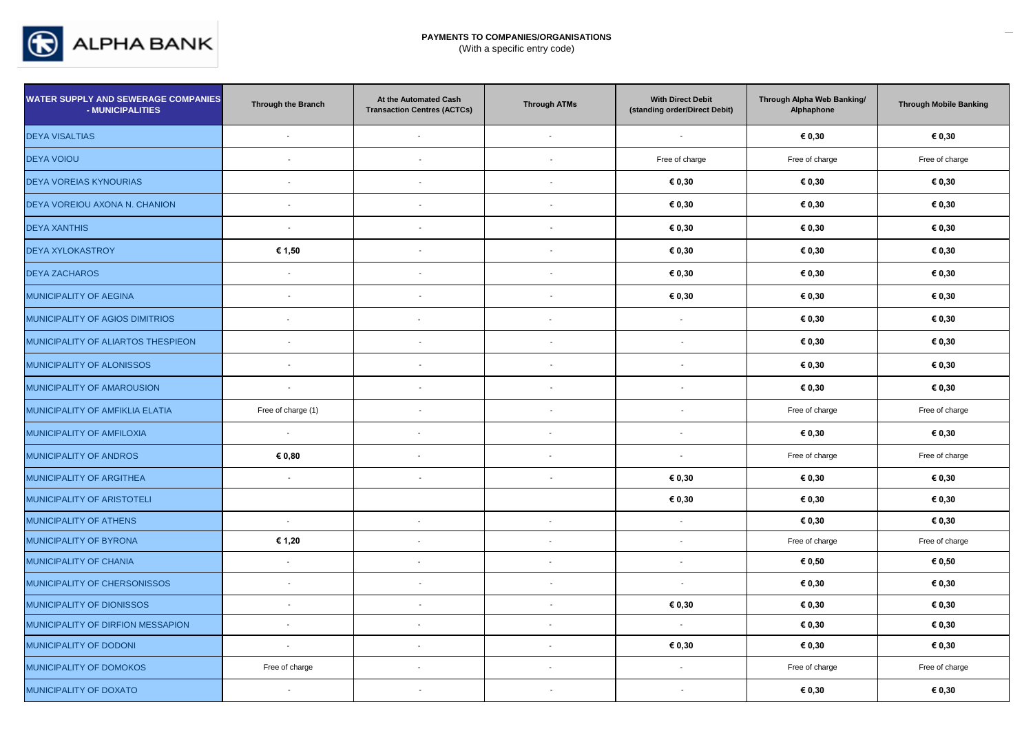

| <b>WATER SUPPLY AND SEWERAGE COMPANIES</b><br>- MUNICIPALITIES | Through the Branch       | At the Automated Cash<br><b>Transaction Centres (ACTCs)</b> | <b>Through ATMs</b>      | <b>With Direct Debit</b><br>(standing order/Direct Debit) | Through Alpha Web Banking/<br>Alphaphone | <b>Through Mobile Banking</b> |
|----------------------------------------------------------------|--------------------------|-------------------------------------------------------------|--------------------------|-----------------------------------------------------------|------------------------------------------|-------------------------------|
| <b>DEYA VISALTIAS</b>                                          | $\mathbf{r}$             | $\sim$                                                      | $\overline{\phantom{a}}$ | $\overline{\phantom{a}}$                                  | € 0,30                                   | € 0,30                        |
| <b>DEYA VOIOU</b>                                              | $\sim$                   | $\blacksquare$                                              | $\overline{\phantom{a}}$ | Free of charge                                            | Free of charge                           | Free of charge                |
| <b>DEYA VOREIAS KYNOURIAS</b>                                  | $\blacksquare$           | $\blacksquare$                                              | $\blacksquare$           | € 0,30                                                    | € 0,30                                   | € 0,30                        |
| DEYA VOREIOU AXONA N. CHANION                                  | $\overline{\phantom{a}}$ | $\blacksquare$                                              | $\overline{a}$           | € 0,30                                                    | € 0,30                                   | € 0,30                        |
| <b>DEYA XANTHIS</b>                                            | $\sim$                   | $\overline{\phantom{a}}$                                    | $\overline{\phantom{a}}$ | € 0,30                                                    | € 0,30                                   | € 0,30                        |
| <b>DEYA XYLOKASTROY</b>                                        | € 1,50                   | $\blacksquare$                                              |                          | € 0,30                                                    | € 0,30                                   | € 0,30                        |
| <b>DEYA ZACHAROS</b>                                           | $\overline{\phantom{a}}$ | $\blacksquare$                                              | $\blacksquare$           | € 0,30                                                    | € 0,30                                   | € 0,30                        |
| MUNICIPALITY OF AEGINA                                         | $\sim$                   | $\overline{\phantom{a}}$                                    | $\overline{a}$           | € 0,30                                                    | € 0,30                                   | € 0,30                        |
| MUNICIPALITY OF AGIOS DIMITRIOS                                | $\overline{\phantom{a}}$ | $\overline{\phantom{a}}$                                    | $\overline{\phantom{a}}$ | $\sim$                                                    | € 0,30                                   | € 0,30                        |
| MUNICIPALITY OF ALIARTOS THESPIEON                             | $\blacksquare$           | $\blacksquare$                                              | $\blacksquare$           | $\overline{\phantom{a}}$                                  | € 0,30                                   | € 0,30                        |
| MUNICIPALITY OF ALONISSOS                                      | $\overline{\phantom{a}}$ | $\overline{a}$                                              | $\blacksquare$           |                                                           | € 0,30                                   | € 0,30                        |
| MUNICIPALITY OF AMAROUSION                                     | $\sim$                   | $\blacksquare$                                              | $\blacksquare$           | $\overline{\phantom{a}}$                                  | € 0,30                                   | € 0,30                        |
| MUNICIPALITY OF AMFIKLIA ELATIA                                | Free of charge (1)       | $\overline{\phantom{a}}$                                    | $\overline{\phantom{a}}$ | $\overline{a}$                                            | Free of charge                           | Free of charge                |
| MUNICIPALITY OF AMFILOXIA                                      | $\blacksquare$           | $\blacksquare$                                              |                          | $\blacksquare$                                            | € 0,30                                   | € 0,30                        |
| MUNICIPALITY OF ANDROS                                         | € 0,80                   | $\blacksquare$                                              |                          | $\blacksquare$                                            | Free of charge                           | Free of charge                |
| MUNICIPALITY OF ARGITHEA                                       | $\sim$                   | $\overline{\phantom{a}}$                                    | $\overline{\phantom{a}}$ | € 0,30                                                    | € 0,30                                   | € 0,30                        |
| MUNICIPALITY OF ARISTOTELI                                     |                          |                                                             |                          | € 0,30                                                    | € 0,30                                   | € 0,30                        |
| MUNICIPALITY OF ATHENS                                         | $\blacksquare$           | $\overline{\phantom{a}}$                                    | $\overline{\phantom{a}}$ | $\sim$                                                    | € 0,30                                   | € 0,30                        |
| MUNICIPALITY OF BYRONA                                         | € 1,20                   | $\sim$                                                      | $\overline{\phantom{a}}$ | $\sim$                                                    | Free of charge                           | Free of charge                |
| MUNICIPALITY OF CHANIA                                         | $\mathbf{r}$             | $\blacksquare$                                              | $\overline{\phantom{a}}$ | $\blacksquare$                                            | € 0,50                                   | € 0,50                        |
| MUNICIPALITY OF CHERSONISSOS                                   | $\blacksquare$           | $\blacksquare$                                              | $\blacksquare$           | $\sim$                                                    | € 0,30                                   | € 0,30                        |
| MUNICIPALITY OF DIONISSOS                                      | $\overline{\phantom{a}}$ | $\overline{\phantom{a}}$                                    | $\blacksquare$           | € 0,30                                                    | € 0,30                                   | € 0,30                        |
| MUNICIPALITY OF DIRFION MESSAPION                              | $\overline{\phantom{a}}$ | $\blacksquare$                                              |                          | $\mathcal{L}_{\mathcal{A}}$                               | € 0,30                                   | € 0,30                        |
| MUNICIPALITY OF DODONI                                         | $\blacksquare$           |                                                             |                          | € 0,30                                                    | € 0,30                                   | € 0,30                        |
| MUNICIPALITY OF DOMOKOS                                        | Free of charge           | $\sim$                                                      | $\sim$                   | $\sim$                                                    | Free of charge                           | Free of charge                |
| MUNICIPALITY OF DOXATO                                         | $\overline{\phantom{a}}$ | $\sim$                                                      | $\overline{\phantom{a}}$ | $\overline{\phantom{a}}$                                  | € 0,30                                   | € 0,30                        |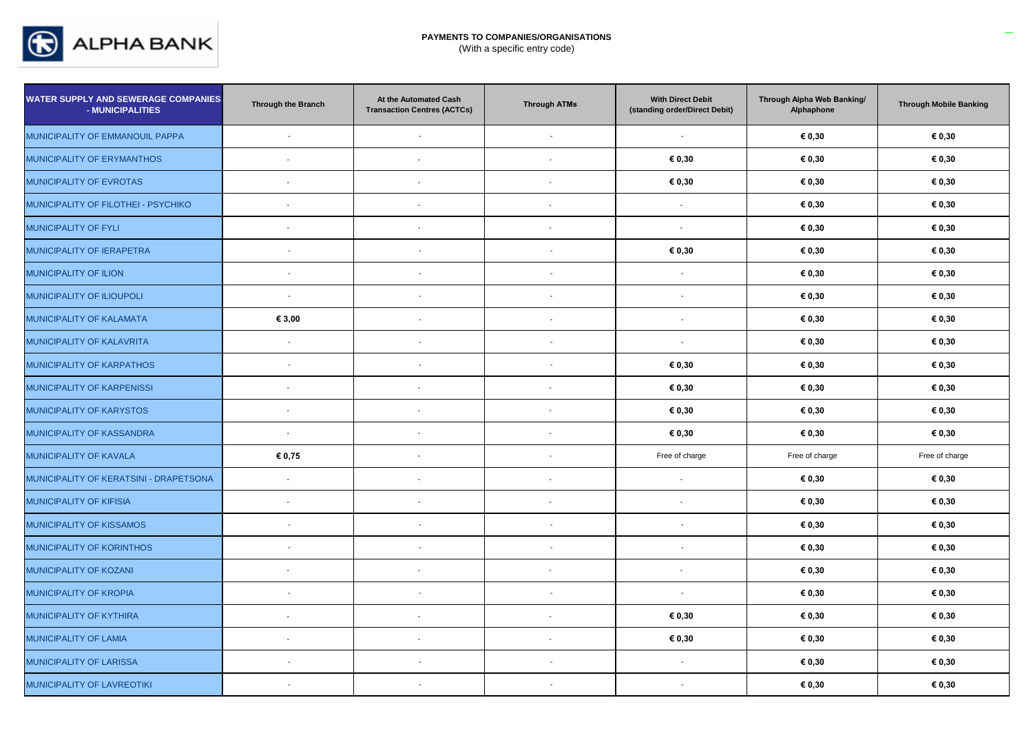

| <b>WATER SUPPLY AND SEWERAGE COMPANIES</b><br>- MUNICIPALITIES | Through the Branch       | At the Automated Cash<br><b>Transaction Centres (ACTCs)</b> | <b>Through ATMs</b>      | <b>With Direct Debit</b><br>(standing order/Direct Debit) | Through Alpha Web Banking/<br>Alphaphone | <b>Through Mobile Banking</b> |
|----------------------------------------------------------------|--------------------------|-------------------------------------------------------------|--------------------------|-----------------------------------------------------------|------------------------------------------|-------------------------------|
| MUNICIPALITY OF EMMANOUIL PAPPA                                | $\overline{\phantom{a}}$ | $\overline{\phantom{a}}$                                    | $\sim$                   | $\sim$                                                    | € 0,30                                   | € 0,30                        |
| MUNICIPALITY OF ERYMANTHOS                                     | $\mathbf{r}$             | $\sim$                                                      | $\blacksquare$           | € 0,30                                                    | € 0,30                                   | € 0,30                        |
| MUNICIPALITY OF EVROTAS                                        | $\overline{\phantom{a}}$ |                                                             | $\overline{\phantom{a}}$ | € 0,30                                                    | € 0,30                                   | € 0,30                        |
| MUNICIPALITY OF FILOTHEI - PSYCHIKO                            | $\blacksquare$           | $\overline{\phantom{a}}$                                    | $\overline{\phantom{a}}$ | $\sim$                                                    | € 0,30                                   | € 0,30                        |
| MUNICIPALITY OF FYLI                                           | $\overline{\phantom{a}}$ |                                                             | $\overline{\phantom{a}}$ | $\overline{\phantom{a}}$                                  | € 0,30                                   | € 0,30                        |
| MUNICIPALITY OF IERAPETRA                                      | $\overline{\phantom{a}}$ | $\overline{\phantom{a}}$                                    | $\overline{\phantom{a}}$ | € 0,30                                                    | € 0,30                                   | € 0,30                        |
| MUNICIPALITY OF ILION                                          | $\overline{\phantom{a}}$ | $\overline{\phantom{a}}$                                    |                          | $\blacksquare$                                            | € 0,30                                   | € 0,30                        |
| MUNICIPALITY OF ILIOUPOLI                                      | $\sim$                   | $\blacksquare$                                              |                          | $\overline{\phantom{a}}$                                  | € 0,30                                   | € 0,30                        |
| MUNICIPALITY OF KALAMATA                                       | € 3,00                   | $\overline{a}$                                              | $\overline{a}$           | $\overline{a}$                                            | € 0,30                                   | € 0,30                        |
| MUNICIPALITY OF KALAVRITA                                      | $\blacksquare$           | $\blacksquare$                                              |                          | $\blacksquare$                                            | € 0,30                                   | € 0,30                        |
| MUNICIPALITY OF KARPATHOS                                      | $\sim$                   | $\overline{\phantom{a}}$                                    | $\blacksquare$           | € 0,30                                                    | € 0,30                                   | € 0,30                        |
| MUNICIPALITY OF KARPENISSI                                     | $\blacksquare$           |                                                             | $\overline{\phantom{a}}$ | € 0,30                                                    | € 0,30                                   | $\boldsymbol{\epsilon}$ 0,30  |
| MUNICIPALITY OF KARYSTOS                                       | $\blacksquare$           | $\overline{\phantom{a}}$                                    | $\overline{\phantom{a}}$ | € 0,30                                                    | € 0,30                                   | € 0,30                        |
| MUNICIPALITY OF KASSANDRA                                      | $\blacksquare$           | $\overline{\phantom{a}}$                                    | $\blacksquare$           | € 0,30                                                    | € 0,30                                   | € 0,30                        |
| MUNICIPALITY OF KAVALA                                         | € 0,75                   |                                                             | $\overline{\phantom{a}}$ | Free of charge                                            | Free of charge                           | Free of charge                |
| MUNICIPALITY OF KERATSINI - DRAPETSONA                         | $\overline{\phantom{a}}$ | $\overline{\phantom{a}}$                                    | $\overline{\phantom{a}}$ | $\overline{\phantom{a}}$                                  | € 0,30                                   | € 0,30                        |
| MUNICIPALITY OF KIFISIA                                        | $\sim$                   |                                                             | $\overline{a}$           | $\overline{\phantom{a}}$                                  | € 0,30                                   | € 0,30                        |
| MUNICIPALITY OF KISSAMOS                                       | $\sim$                   | $\overline{\phantom{a}}$                                    |                          | $\overline{\phantom{a}}$                                  | € 0,30                                   | € 0,30                        |
| MUNICIPALITY OF KORINTHOS                                      | $\sim$                   | $\overline{\phantom{a}}$                                    | $\overline{\phantom{a}}$ | $\sim$                                                    | € 0,30                                   | € 0,30                        |
| MUNICIPALITY OF KOZANI                                         | $\overline{\phantom{a}}$ |                                                             | $\sim$                   | $\blacksquare$                                            | € 0,30                                   | € 0,30                        |
| <b>MUNICIPALITY OF KROPIA</b>                                  | $\overline{\phantom{a}}$ | $\blacksquare$                                              | $\overline{a}$           | $\sim$                                                    | € 0,30                                   | € 0,30                        |
| MUNICIPALITY OF KYTHIRA                                        | $\blacksquare$           |                                                             | $\overline{\phantom{a}}$ | € 0,30                                                    | € 0,30                                   | € 0,30                        |
| MUNICIPALITY OF LAMIA                                          | $\blacksquare$           |                                                             | $\overline{\phantom{a}}$ | € 0,30                                                    | € 0,30                                   | € 0,30                        |
| MUNICIPALITY OF LARISSA                                        | $\overline{\phantom{a}}$ | $\blacksquare$                                              | $\overline{\phantom{a}}$ | $\overline{\phantom{a}}$                                  | € 0,30                                   | € 0,30                        |
| MUNICIPALITY OF LAVREOTIKI                                     | $\overline{\phantom{a}}$ | $\blacksquare$                                              |                          | $\overline{\phantom{a}}$                                  | € 0,30                                   | € 0,30                        |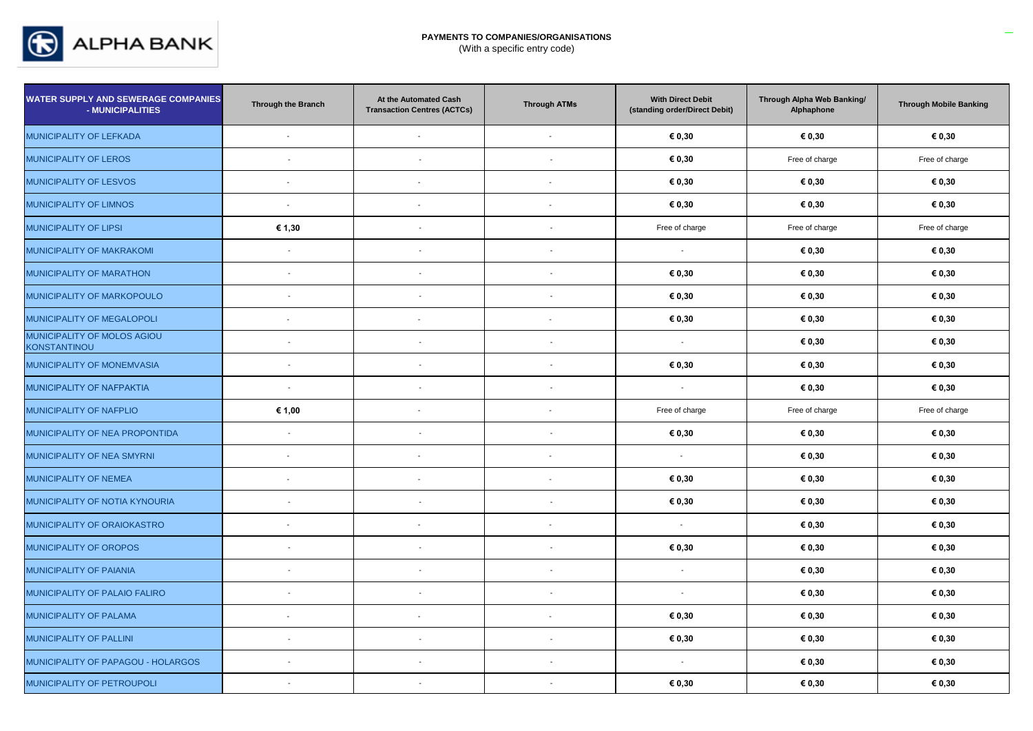

| <b>WATER SUPPLY AND SEWERAGE COMPANIES</b><br>- MUNICIPALITIES | <b>Through the Branch</b> | At the Automated Cash<br><b>Transaction Centres (ACTCs)</b> | <b>Through ATMs</b>      | <b>With Direct Debit</b><br>(standing order/Direct Debit) | Through Alpha Web Banking/<br>Alphaphone | <b>Through Mobile Banking</b> |
|----------------------------------------------------------------|---------------------------|-------------------------------------------------------------|--------------------------|-----------------------------------------------------------|------------------------------------------|-------------------------------|
| MUNICIPALITY OF LEFKADA                                        | $\sim$                    | $\overline{\phantom{a}}$                                    | $\overline{\phantom{a}}$ | € 0,30                                                    | € 0,30                                   | € 0,30                        |
| <b>MUNICIPALITY OF LEROS</b>                                   | $\overline{\phantom{a}}$  | $\blacksquare$                                              |                          | € 0,30                                                    | Free of charge                           | Free of charge                |
| MUNICIPALITY OF LESVOS                                         | $\overline{\phantom{a}}$  | $\overline{\phantom{a}}$                                    | $\blacksquare$           | € 0,30                                                    | € 0,30                                   | € 0,30                        |
| MUNICIPALITY OF LIMNOS                                         | $\overline{\phantom{a}}$  | $\overline{\phantom{a}}$                                    | $\overline{\phantom{a}}$ | € 0,30                                                    | € 0,30                                   | € 0,30                        |
| <b>MUNICIPALITY OF LIPSI</b>                                   | € 1,30                    | $\overline{\phantom{a}}$                                    |                          | Free of charge                                            | Free of charge                           | Free of charge                |
| MUNICIPALITY OF MAKRAKOMI                                      | $\blacksquare$            | $\overline{\phantom{a}}$                                    | $\overline{\phantom{a}}$ | $\sim$                                                    | € 0,30                                   | € 0,30                        |
| MUNICIPALITY OF MARATHON                                       | $\overline{a}$            | $\overline{\phantom{a}}$                                    |                          | € 0,30                                                    | € 0,30                                   | € 0,30                        |
| MUNICIPALITY OF MARKOPOULO                                     | $\overline{\phantom{a}}$  | $\blacksquare$                                              |                          | € 0,30                                                    | € 0,30                                   | € 0,30                        |
| MUNICIPALITY OF MEGALOPOLI                                     | $\sim$                    |                                                             | $\overline{\phantom{a}}$ | € 0,30                                                    | € 0,30                                   | € 0,30                        |
| MUNICIPALITY OF MOLOS AGIOU<br><b>KONSTANTINOU</b>             | $\sim$                    | $\sim$                                                      |                          | $\sim$                                                    | € 0,30                                   | € 0,30                        |
| MUNICIPALITY OF MONEMVASIA                                     | $\overline{a}$            | $\overline{a}$                                              |                          | € 0,30                                                    | € 0,30                                   | € 0,30                        |
| MUNICIPALITY OF NAFPAKTIA                                      | $\sim$                    | $\sim$                                                      | $\overline{\phantom{a}}$ | $\blacksquare$                                            | € 0,30                                   | € 0,30                        |
| MUNICIPALITY OF NAFPLIO                                        | € 1,00                    | $\overline{\phantom{a}}$                                    | $\blacksquare$           | Free of charge                                            | Free of charge                           | Free of charge                |
| MUNICIPALITY OF NEA PROPONTIDA                                 | $\sim$                    | $\sim$                                                      | $\overline{\phantom{a}}$ | € 0,30                                                    | € 0,30                                   | € 0,30                        |
| MUNICIPALITY OF NEA SMYRNI                                     | $\blacksquare$            |                                                             | $\overline{\phantom{a}}$ | $\sim$                                                    | € 0,30                                   | € 0,30                        |
| MUNICIPALITY OF NEMEA                                          | $\blacksquare$            | $\overline{\phantom{a}}$                                    | $\blacksquare$           | € 0,30                                                    | € 0,30                                   | € 0,30                        |
| MUNICIPALITY OF NOTIA KYNOURIA                                 | $\sim$                    | $\sim$                                                      | $\overline{\phantom{a}}$ | € 0,30                                                    | € 0,30                                   | € 0,30                        |
| MUNICIPALITY OF ORAIOKASTRO                                    | $\sim$                    |                                                             | $\overline{a}$           | $\sim$                                                    | € 0,30                                   | € 0,30                        |
| MUNICIPALITY OF OROPOS                                         | $\overline{\phantom{a}}$  | $\blacksquare$                                              | $\overline{\phantom{a}}$ | € 0,30                                                    | € 0,30                                   | € 0,30                        |
| MUNICIPALITY OF PAIANIA                                        | $\overline{\phantom{a}}$  | $\blacksquare$                                              |                          | $\sim$                                                    | € 0,30                                   | € 0,30                        |
| MUNICIPALITY OF PALAIO FALIRO                                  | $\overline{\phantom{a}}$  | $\blacksquare$                                              | $\overline{\phantom{a}}$ | $\mathbf{r}$                                              | € 0,30                                   | € 0,30                        |
| MUNICIPALITY OF PALAMA                                         | $\blacksquare$            |                                                             | $\overline{\phantom{a}}$ | € 0,30                                                    | € 0,30                                   | € 0,30                        |
| MUNICIPALITY OF PALLINI                                        | $\overline{a}$            | $\overline{\phantom{a}}$                                    |                          | € 0,30                                                    | € 0,30                                   | € 0,30                        |
| MUNICIPALITY OF PAPAGOU - HOLARGOS                             | $\overline{\phantom{a}}$  | $\blacksquare$                                              | $\sim$                   | $\sim$                                                    | € 0,30                                   | € 0,30                        |
| MUNICIPALITY OF PETROUPOLI                                     | $\overline{\phantom{a}}$  | $\overline{\phantom{a}}$                                    | $\overline{a}$           | € 0,30                                                    | € 0,30                                   | € 0,30                        |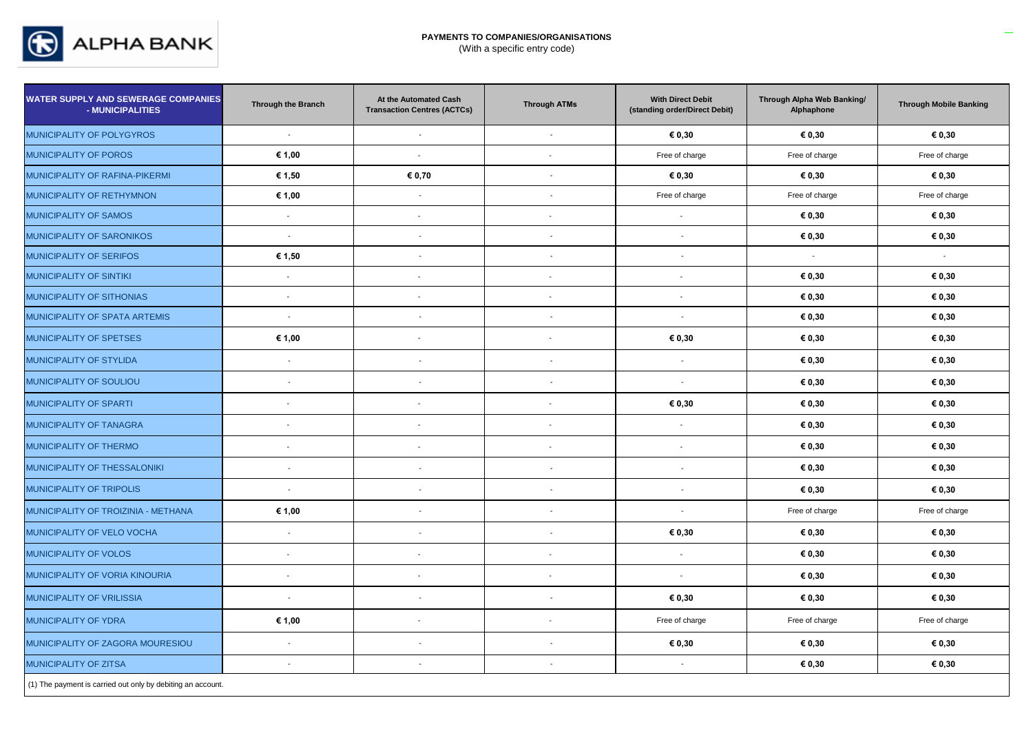

| <b>WATER SUPPLY AND SEWERAGE COMPANIES</b><br>- MUNICIPALITIES | Through the Branch       | At the Automated Cash<br><b>Transaction Centres (ACTCs)</b> | <b>Through ATMs</b>      | <b>With Direct Debit</b><br>(standing order/Direct Debit) | Through Alpha Web Banking/<br>Alphaphone | <b>Through Mobile Banking</b> |
|----------------------------------------------------------------|--------------------------|-------------------------------------------------------------|--------------------------|-----------------------------------------------------------|------------------------------------------|-------------------------------|
| MUNICIPALITY OF POLYGYROS                                      | $\sim$                   | $\mathcal{L}$                                               | $\mathcal{L}$            | € 0,30                                                    | € 0,30                                   | € 0,30                        |
| MUNICIPALITY OF POROS                                          | € 1,00                   | $\mathbf{r}$                                                | $\sim$                   | Free of charge                                            | Free of charge                           | Free of charge                |
| MUNICIPALITY OF RAFINA-PIKERMI                                 | € 1,50                   | € 0,70                                                      | $\overline{\phantom{a}}$ | € 0,30                                                    | € 0,30                                   | € 0,30                        |
| MUNICIPALITY OF RETHYMNON                                      | € 1,00                   | $\sim$                                                      | $\sim$                   | Free of charge                                            | Free of charge                           | Free of charge                |
| MUNICIPALITY OF SAMOS                                          | $\blacksquare$           | $\mathbf{r}$                                                | $\overline{\phantom{a}}$ | $\blacksquare$                                            | € 0,30                                   | € 0,30                        |
| MUNICIPALITY OF SARONIKOS                                      | $\sim$                   | $\blacksquare$                                              | $\blacksquare$           | $\overline{\phantom{a}}$                                  | € 0,30                                   | € 0,30                        |
| MUNICIPALITY OF SERIFOS                                        | € 1,50                   | $\sim$                                                      | $\mathbf{r}$             | $\overline{\phantom{a}}$                                  |                                          |                               |
| MUNICIPALITY OF SINTIKI                                        | $\sim$                   | $\blacksquare$                                              | $\overline{\phantom{a}}$ | $\blacksquare$                                            | € 0,30                                   | € 0,30                        |
| MUNICIPALITY OF SITHONIAS                                      | $\overline{\phantom{a}}$ | $\blacksquare$                                              | $\overline{\phantom{a}}$ | $\overline{\phantom{a}}$                                  | € 0,30                                   | € 0,30                        |
| MUNICIPALITY OF SPATA ARTEMIS                                  | $\sim$                   | $\overline{\phantom{a}}$                                    | $\blacksquare$           | $\sim$                                                    | € 0,30                                   | € 0,30                        |
| MUNICIPALITY OF SPETSES                                        | € 1,00                   | $\overline{\phantom{a}}$                                    | $\sim$                   | € 0,30                                                    | € 0,30                                   | € 0,30                        |
| MUNICIPALITY OF STYLIDA                                        | $\sim$                   | $\blacksquare$                                              | $\blacksquare$           | $\overline{\phantom{a}}$                                  | € 0,30                                   | € 0,30                        |
| MUNICIPALITY OF SOULIOU                                        | $\sim$                   | $\overline{\phantom{a}}$                                    | $\mathbf{r}$             | $\overline{\phantom{a}}$                                  | € 0,30                                   | € 0,30                        |
| MUNICIPALITY OF SPARTI                                         | $\overline{\phantom{a}}$ | $\sim$                                                      | $\overline{\phantom{a}}$ | € 0,30                                                    | € 0,30                                   | € 0,30                        |
| MUNICIPALITY OF TANAGRA                                        | $\blacksquare$           | $\blacksquare$                                              | $\overline{\phantom{a}}$ | $\overline{\phantom{a}}$                                  | € 0,30                                   | € 0,30                        |
| MUNICIPALITY OF THERMO                                         | $\overline{\phantom{a}}$ | $\blacksquare$                                              | $\sim$                   | $\overline{\phantom{a}}$                                  | € 0,30                                   | € 0,30                        |
| MUNICIPALITY OF THESSALONIKI                                   | $\sim$                   | $\blacksquare$                                              | $\sim$                   | $\overline{\phantom{a}}$                                  | € 0,30                                   | € 0,30                        |
| MUNICIPALITY OF TRIPOLIS                                       | $\overline{\phantom{a}}$ | $\blacksquare$                                              | $\blacksquare$           | $\overline{\phantom{a}}$                                  | € 0,30                                   | € 0,30                        |
| MUNICIPALITY OF TROIZINIA - METHANA                            | € 1,00                   | $\overline{\phantom{a}}$                                    | $\blacksquare$           | $\overline{\phantom{a}}$                                  | Free of charge                           | Free of charge                |
| MUNICIPALITY OF VELO VOCHA                                     | $\sim$                   | $\sim$                                                      | $\mathbf{r}$             | € 0,30                                                    | € 0,30                                   | € 0,30                        |
| <b>MUNICIPALITY OF VOLOS</b>                                   | $\blacksquare$           | $\blacksquare$                                              | $\sim$                   | $\mathbf{r}$                                              | € 0,30                                   | € 0,30                        |
| MUNICIPALITY OF VORIA KINOURIA                                 | $\overline{\phantom{a}}$ | $\overline{\phantom{a}}$                                    | $\sim$                   | $\overline{\phantom{a}}$                                  | € 0,30                                   | € 0,30                        |
| <b>MUNICIPALITY OF VRILISSIA</b>                               | $\sim$                   | $\blacksquare$                                              | $\overline{\phantom{a}}$ | € 0,30                                                    | € 0,30                                   | € 0,30                        |
| MUNICIPALITY OF YDRA                                           | € 1,00                   | $\blacksquare$                                              |                          | Free of charge                                            | Free of charge                           | Free of charge                |
| MUNICIPALITY OF ZAGORA MOURESIOU                               | $\mathcal{L}$            | $\blacksquare$                                              | $\blacksquare$           | € 0,30                                                    | € 0,30                                   | € 0,30                        |
| MUNICIPALITY OF ZITSA                                          | $\sim$                   | $\overline{\phantom{a}}$                                    | $\sim$                   | $\sim$                                                    | € 0,30                                   | € 0,30                        |
| (1) The payment is carried out only by debiting an account.    |                          |                                                             |                          |                                                           |                                          |                               |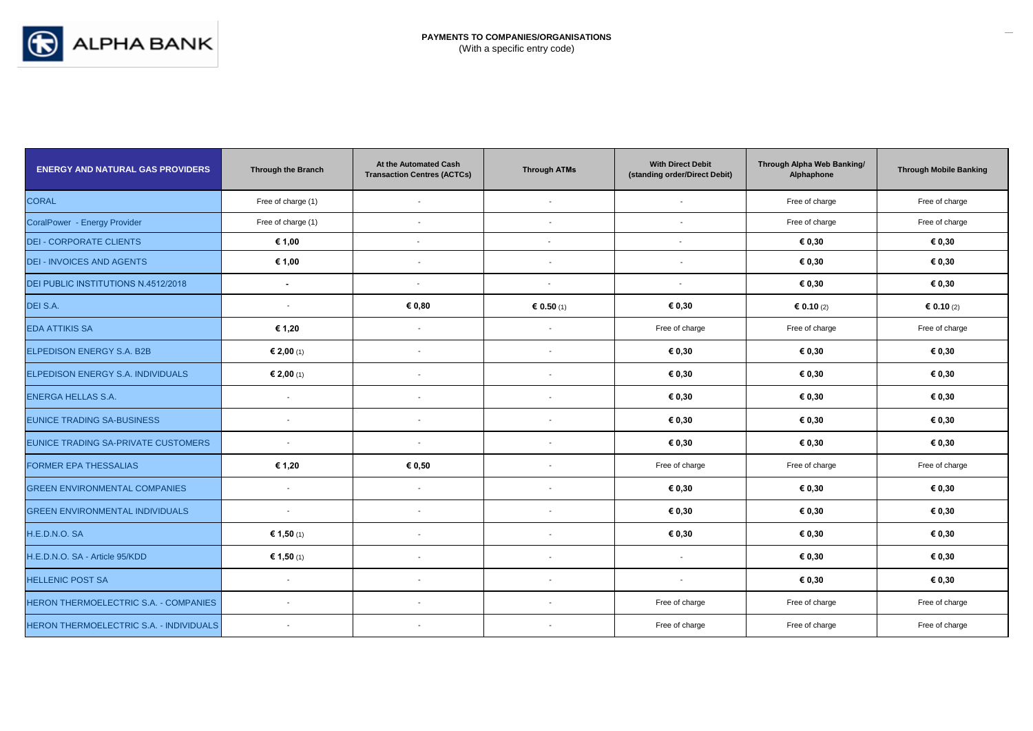

| <b>ENERGY AND NATURAL GAS PROVIDERS</b>        | <b>Through the Branch</b> | At the Automated Cash<br><b>Transaction Centres (ACTCs)</b> | <b>Through ATMs</b>      | <b>With Direct Debit</b><br>(standing order/Direct Debit) | Through Alpha Web Banking/<br>Alphaphone | <b>Through Mobile Banking</b> |
|------------------------------------------------|---------------------------|-------------------------------------------------------------|--------------------------|-----------------------------------------------------------|------------------------------------------|-------------------------------|
| <b>CORAL</b>                                   | Free of charge (1)        | $\overline{\phantom{a}}$                                    |                          |                                                           | Free of charge                           | Free of charge                |
| CoralPower - Energy Provider                   | Free of charge (1)        | $\overline{\phantom{a}}$                                    | $\overline{\phantom{a}}$ | $\overline{\phantom{a}}$                                  | Free of charge                           | Free of charge                |
| <b>DEI - CORPORATE CLIENTS</b>                 | € 1,00                    | $\overline{\phantom{a}}$                                    | $\blacksquare$           | $\overline{\phantom{a}}$                                  | € 0,30                                   | € 0,30                        |
| <b>DEI - INVOICES AND AGENTS</b>               | € 1,00                    | $\overline{\phantom{a}}$                                    | $\overline{\phantom{a}}$ | $\overline{\phantom{a}}$                                  | € 0,30                                   | € 0,30                        |
| DEI PUBLIC INSTITUTIONS N.4512/2018            | $\blacksquare$            | $\overline{\phantom{a}}$                                    | $\sim$                   | $\blacksquare$                                            | € 0,30                                   | € 0,30                        |
| DEI S.A.                                       | $\overline{\phantom{a}}$  | € 0,80                                                      | € 0.50 (1)               | € 0,30                                                    | 6.10(2)                                  | € 0.10 (2)                    |
| <b>EDA ATTIKIS SA</b>                          | € 1,20                    | $\overline{\phantom{a}}$                                    | $\overline{\phantom{a}}$ | Free of charge                                            | Free of charge                           | Free of charge                |
| ELPEDISON ENERGY S.A. B2B                      | € 2,00 (1)                | $\overline{\phantom{a}}$                                    | $\overline{\phantom{a}}$ | € 0,30                                                    | € 0,30                                   | € 0,30                        |
| ELPEDISON ENERGY S.A. INDIVIDUALS              | € 2,00 (1)                | $\blacksquare$                                              | $\overline{\phantom{a}}$ | € 0,30                                                    | € 0,30                                   | € 0,30                        |
| <b>ENERGA HELLAS S.A.</b>                      | $\overline{\phantom{a}}$  | $\blacksquare$                                              |                          | € 0,30                                                    | € 0,30                                   | € 0,30                        |
| <b>EUNICE TRADING SA-BUSINESS</b>              | $\blacksquare$            | $\overline{\phantom{a}}$                                    | $\overline{\phantom{a}}$ | € 0,30                                                    | € 0,30                                   | € 0,30                        |
| EUNICE TRADING SA-PRIVATE CUSTOMERS            | $\blacksquare$            | $\overline{\phantom{a}}$                                    | $\overline{\phantom{a}}$ | € 0,30                                                    | € 0,30                                   | € 0,30                        |
| <b>FORMER EPA THESSALIAS</b>                   | € 1,20                    | € 0,50                                                      | $\overline{\phantom{a}}$ | Free of charge                                            | Free of charge                           | Free of charge                |
| <b>GREEN ENVIRONMENTAL COMPANIES</b>           | $\overline{\phantom{a}}$  | $\overline{\phantom{a}}$                                    |                          | € 0,30                                                    | € 0,30                                   | € 0,30                        |
| <b>GREEN ENVIRONMENTAL INDIVIDUALS</b>         | $\overline{\phantom{a}}$  | $\overline{\phantom{a}}$                                    | $\overline{\phantom{a}}$ | € 0,30                                                    | € 0,30                                   | € 0,30                        |
| H.E.D.N.O. SA                                  | € 1,50 (1)                | $\overline{\phantom{a}}$                                    | $\overline{\phantom{a}}$ | € 0,30                                                    | € 0,30                                   | € 0,30                        |
| H.E.D.N.O. SA - Article 95/KDD                 | € 1,50 (1)                | $\overline{\phantom{a}}$                                    | $\overline{\phantom{a}}$ | $\overline{\phantom{a}}$                                  | € 0,30                                   | € 0,30                        |
| <b>HELLENIC POST SA</b>                        | $\overline{\phantom{a}}$  | $\blacksquare$                                              | $\overline{\phantom{a}}$ |                                                           | € 0,30                                   | € 0,30                        |
| HERON THERMOELECTRIC S.A. - COMPANIES          | $\overline{\phantom{a}}$  | $\blacksquare$                                              | $\overline{\phantom{a}}$ | Free of charge                                            | Free of charge                           | Free of charge                |
| <b>HERON THERMOELECTRIC S.A. - INDIVIDUALS</b> | $\overline{\phantom{a}}$  | $\blacksquare$                                              | $\overline{\phantom{a}}$ | Free of charge                                            | Free of charge                           | Free of charge                |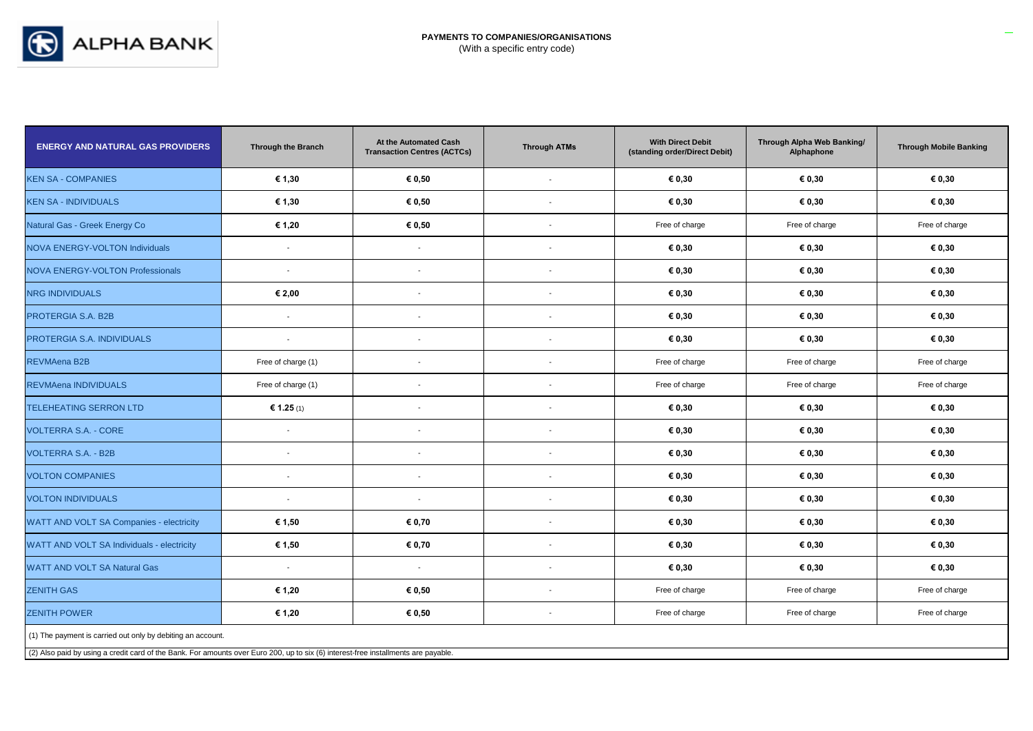

| <b>ENERGY AND NATURAL GAS PROVIDERS</b>                                                                                            | <b>Through the Branch</b>                                   | At the Automated Cash<br><b>Transaction Centres (ACTCs)</b> | <b>Through ATMs</b>      | <b>With Direct Debit</b><br>(standing order/Direct Debit) | Through Alpha Web Banking/<br>Alphaphone | <b>Through Mobile Banking</b> |  |  |
|------------------------------------------------------------------------------------------------------------------------------------|-------------------------------------------------------------|-------------------------------------------------------------|--------------------------|-----------------------------------------------------------|------------------------------------------|-------------------------------|--|--|
| <b>KEN SA - COMPANIES</b>                                                                                                          | € 1,30                                                      | € 0,50                                                      | $\overline{\phantom{a}}$ | € 0,30                                                    | € 0,30                                   | € 0,30                        |  |  |
| <b>KEN SA - INDIVIDUALS</b>                                                                                                        | € 1,30                                                      | € 0,50                                                      | $\blacksquare$           | € 0,30                                                    | € 0,30                                   | € 0,30                        |  |  |
| Natural Gas - Greek Energy Co                                                                                                      | € 1,20                                                      | € 0,50                                                      | $\blacksquare$           | Free of charge                                            | Free of charge                           | Free of charge                |  |  |
| <b>NOVA ENERGY-VOLTON Individuals</b>                                                                                              | $\sim$                                                      | $\blacksquare$                                              | $\blacksquare$           | € 0,30                                                    | € 0,30                                   | € 0,30                        |  |  |
| <b>NOVA ENERGY-VOLTON Professionals</b>                                                                                            | $\sim$                                                      | $\blacksquare$                                              | $\blacksquare$           | € 0,30                                                    | € 0,30                                   | € 0,30                        |  |  |
| <b>NRG INDIVIDUALS</b>                                                                                                             | € 2,00                                                      | $\overline{\phantom{a}}$                                    | $\overline{\phantom{a}}$ | € 0,30                                                    | € 0,30                                   | € 0,30                        |  |  |
| PROTERGIA S.A. B2B                                                                                                                 | $\overline{\phantom{a}}$                                    | ÷,                                                          | $\blacksquare$           | € 0,30                                                    | € 0,30                                   | € 0,30                        |  |  |
| PROTERGIA S.A. INDIVIDUALS                                                                                                         | $\sim$                                                      | $\overline{\phantom{a}}$                                    | $\overline{\phantom{a}}$ | € 0,30                                                    | € 0,30                                   | € 0,30                        |  |  |
| <b>REVMAena B2B</b>                                                                                                                | Free of charge (1)                                          | $\overline{\phantom{a}}$                                    | $\blacksquare$           | Free of charge                                            | Free of charge                           | Free of charge                |  |  |
| REVMAena INDIVIDUALS                                                                                                               | Free of charge (1)                                          | $\overline{\phantom{a}}$                                    | $\blacksquare$           | Free of charge                                            | Free of charge                           | Free of charge                |  |  |
| <b>TELEHEATING SERRON LTD</b>                                                                                                      | € 1.25 (1)                                                  | ÷,                                                          | $\overline{\phantom{a}}$ | € 0,30                                                    | € 0,30                                   | € 0,30                        |  |  |
| <b>VOLTERRA S.A. - CORE</b>                                                                                                        | $\sim$                                                      | $\overline{\phantom{a}}$                                    | $\blacksquare$           | € 0,30                                                    | € 0,30                                   | € 0,30                        |  |  |
| <b>VOLTERRA S.A. - B2B</b>                                                                                                         | $\overline{\phantom{a}}$                                    | $\overline{\phantom{a}}$                                    | $\overline{\phantom{a}}$ | € 0,30                                                    | € 0,30                                   | € 0,30                        |  |  |
| <b>VOLTON COMPANIES</b>                                                                                                            | $\sim$                                                      | $\blacksquare$                                              | $\blacksquare$           | € 0,30                                                    | € 0,30                                   | € 0,30                        |  |  |
| <b>VOLTON INDIVIDUALS</b>                                                                                                          | $\sim$                                                      | $\overline{\phantom{a}}$                                    | $\overline{\phantom{a}}$ | € 0,30                                                    | € 0,30                                   | € 0,30                        |  |  |
| WATT AND VOLT SA Companies - electricity                                                                                           | € 1,50                                                      | € 0,70                                                      | $\blacksquare$           | € 0,30                                                    | € 0,30                                   | € 0,30                        |  |  |
| WATT AND VOLT SA Individuals - electricity                                                                                         | € 1,50                                                      | € 0,70                                                      | $\blacksquare$           | € 0,30                                                    | € 0,30                                   | € 0,30                        |  |  |
| <b>WATT AND VOLT SA Natural Gas</b>                                                                                                | $\sim$                                                      | $\sim$                                                      | $\blacksquare$           | € 0,30                                                    | € 0,30                                   | € 0,30                        |  |  |
| <b>ZENITH GAS</b>                                                                                                                  | € 1,20                                                      | € 0,50                                                      | $\blacksquare$           | Free of charge                                            | Free of charge                           | Free of charge                |  |  |
| <b>ZENITH POWER</b>                                                                                                                | € 1,20                                                      | € 0,50                                                      | $\overline{\phantom{a}}$ | Free of charge                                            | Free of charge                           | Free of charge                |  |  |
|                                                                                                                                    | (1) The payment is carried out only by debiting an account. |                                                             |                          |                                                           |                                          |                               |  |  |
| (2) Also paid by using a credit card of the Bank. For amounts over Euro 200, up to six (6) interest-free installments are payable. |                                                             |                                                             |                          |                                                           |                                          |                               |  |  |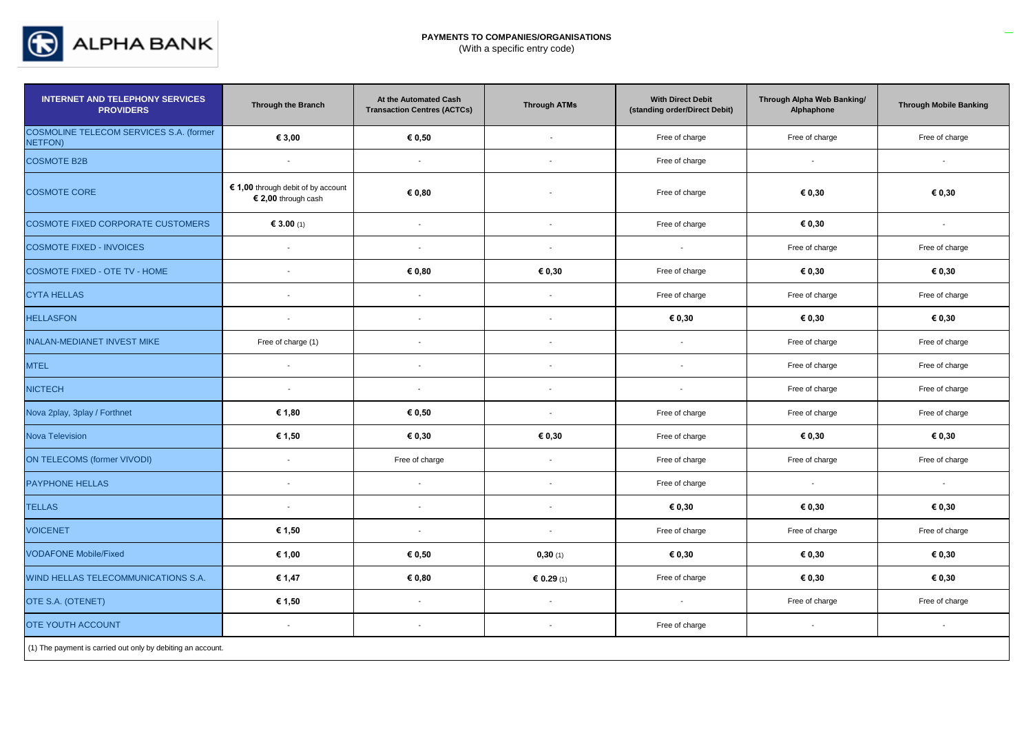

| <b>INTERNET AND TELEPHONY SERVICES</b><br><b>PROVIDERS</b>  | <b>Through the Branch</b>                                 | At the Automated Cash<br><b>Transaction Centres (ACTCs)</b> | <b>Through ATMs</b>      | <b>With Direct Debit</b><br>(standing order/Direct Debit) | Through Alpha Web Banking/<br>Alphaphone | <b>Through Mobile Banking</b> |
|-------------------------------------------------------------|-----------------------------------------------------------|-------------------------------------------------------------|--------------------------|-----------------------------------------------------------|------------------------------------------|-------------------------------|
| COSMOLINE TELECOM SERVICES S.A. (former<br><b>NETFON)</b>   | € 3,00                                                    | € 0,50                                                      | $\sim$                   | Free of charge                                            | Free of charge                           | Free of charge                |
| <b>COSMOTE B2B</b>                                          | $\sim$                                                    | $\mathcal{L}$                                               |                          | Free of charge                                            | $\sim$                                   | $\sim$                        |
| <b>COSMOTE CORE</b>                                         | € 1,00 through debit of by account<br>€ 2,00 through cash | € 0,80                                                      |                          | Free of charge                                            | € 0,30                                   | € 0,30                        |
| COSMOTE FIXED CORPORATE CUSTOMERS                           | € 3.00 (1)                                                | $\sim$                                                      | $\sim$                   | Free of charge                                            | € 0,30                                   | $\sim$                        |
| <b>COSMOTE FIXED - INVOICES</b>                             | $\sim$                                                    | $\sim$                                                      | $\sim$                   | $\sim$                                                    | Free of charge                           | Free of charge                |
| COSMOTE FIXED - OTE TV - HOME                               | $\overline{\phantom{a}}$                                  | € 0,80                                                      | € 0,30                   | Free of charge                                            | € 0,30                                   | € 0,30                        |
| <b>CYTA HELLAS</b>                                          | $\sim$                                                    | $\sim$                                                      | $\sim$                   | Free of charge                                            | Free of charge                           | Free of charge                |
| <b>HELLASFON</b>                                            | $\overline{\phantom{a}}$                                  | $\sim$                                                      | $\overline{\phantom{a}}$ | € 0,30                                                    | € 0,30                                   | € 0,30                        |
| <b>INALAN-MEDIANET INVEST MIKE</b>                          | Free of charge (1)                                        | $\mathcal{L}$                                               | $\mathcal{L}$            | $\sim$                                                    | Free of charge                           | Free of charge                |
| <b>MTEL</b>                                                 | $\sim$                                                    | $\sim$                                                      | $\sim$                   | $\sim$                                                    | Free of charge                           | Free of charge                |
| <b>NICTECH</b>                                              | $\mathcal{L}$                                             | $\sim$                                                      | $\mathbf{r}$             | $\mathbf{r}$                                              | Free of charge                           | Free of charge                |
| Nova 2play, 3play / Forthnet                                | € 1,80                                                    | € 0,50                                                      | $\overline{\phantom{a}}$ | Free of charge                                            | Free of charge                           | Free of charge                |
| <b>Nova Television</b>                                      | € 1,50                                                    | € 0,30                                                      | € 0,30                   | Free of charge                                            | € 0,30                                   | € 0,30                        |
| <b>ON TELECOMS (former VIVODI)</b>                          | $\overline{\phantom{a}}$                                  | Free of charge                                              | $\sim$                   | Free of charge                                            | Free of charge                           | Free of charge                |
| <b>PAYPHONE HELLAS</b>                                      | $\sim$                                                    |                                                             |                          | Free of charge                                            | $\overline{a}$                           | $\sim$                        |
| <b>TELLAS</b>                                               | $\sim$                                                    | $\sim$                                                      | $\sim$                   | € 0,30                                                    | € 0,30                                   | € 0,30                        |
| <b>VOICENET</b>                                             | € 1,50                                                    | $\sim$                                                      | $\sim$                   | Free of charge                                            | Free of charge                           | Free of charge                |
| <b>VODAFONE Mobile/Fixed</b>                                | € 1,00                                                    | € 0,50                                                      | 0,30(1)                  | € 0,30                                                    | € 0,30                                   | € 0,30                        |
| WIND HELLAS TELECOMMUNICATIONS S.A.                         | € 1,47                                                    | € 0,80                                                      | € 0.29 $(1)$             | Free of charge                                            | € 0,30                                   | € 0,30                        |
| OTE S.A. (OTENET)                                           | € 1,50                                                    | $\sim$                                                      | $\sim$                   | $\sim$                                                    | Free of charge                           | Free of charge                |
| <b>OTE YOUTH ACCOUNT</b>                                    | $\sim$                                                    | $\sim$                                                      | $\mathbf{r}$             | Free of charge                                            | $\sim$                                   | $\sim$                        |
| (1) The payment is carried out only by debiting an account. |                                                           |                                                             |                          |                                                           |                                          |                               |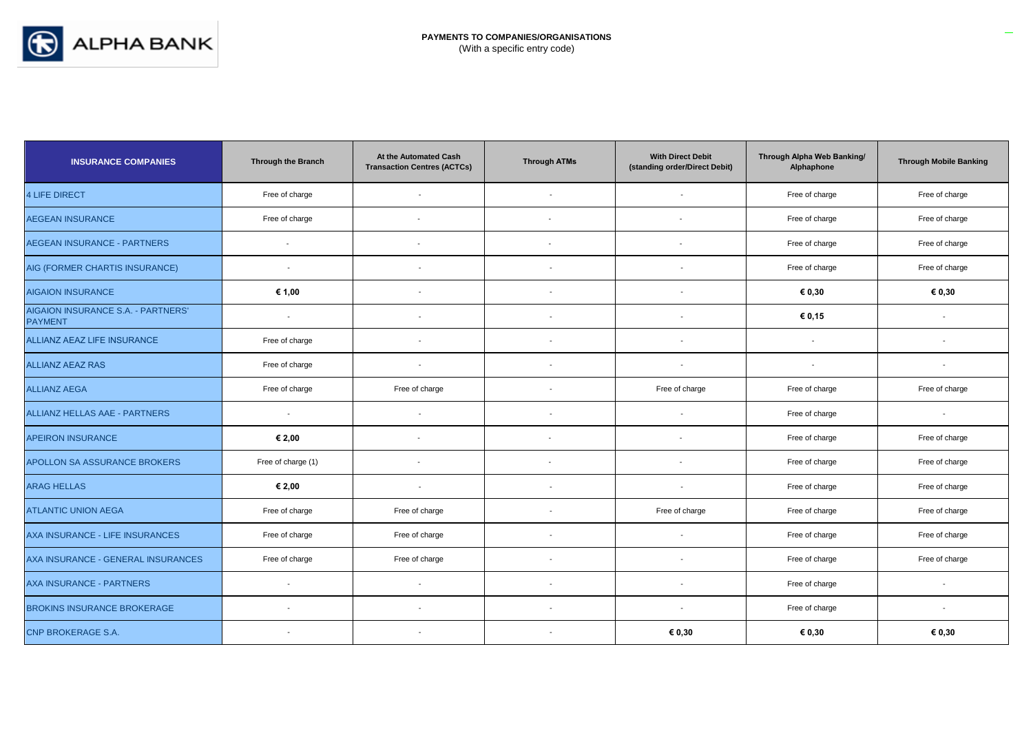

| <b>INSURANCE COMPANIES</b>                           | <b>Through the Branch</b> | At the Automated Cash<br><b>Transaction Centres (ACTCs)</b> | <b>Through ATMs</b>      | <b>With Direct Debit</b><br>(standing order/Direct Debit) | Through Alpha Web Banking/<br>Alphaphone | <b>Through Mobile Banking</b> |
|------------------------------------------------------|---------------------------|-------------------------------------------------------------|--------------------------|-----------------------------------------------------------|------------------------------------------|-------------------------------|
| <b>4 LIFE DIRECT</b>                                 | Free of charge            | $\overline{\phantom{a}}$                                    |                          |                                                           | Free of charge                           | Free of charge                |
| <b>AEGEAN INSURANCE</b>                              | Free of charge            | $\overline{\phantom{a}}$                                    | $\overline{\phantom{a}}$ |                                                           | Free of charge                           | Free of charge                |
| <b>AEGEAN INSURANCE - PARTNERS</b>                   | $\overline{\phantom{a}}$  | $\blacksquare$                                              | $\blacksquare$           | $\sim$                                                    | Free of charge                           | Free of charge                |
| AIG (FORMER CHARTIS INSURANCE)                       | $\overline{\phantom{a}}$  | $\overline{\phantom{a}}$                                    | $\overline{\phantom{a}}$ | $\overline{\phantom{a}}$                                  | Free of charge                           | Free of charge                |
| <b>AIGAION INSURANCE</b>                             | € 1,00                    | $\overline{\phantom{a}}$                                    | $\overline{\phantom{a}}$ |                                                           | € 0,30                                   | € 0,30                        |
| AIGAION INSURANCE S.A. - PARTNERS'<br><b>PAYMENT</b> |                           | $\overline{\phantom{a}}$                                    | $\overline{\phantom{a}}$ | $\overline{\phantom{a}}$                                  | € 0,15                                   |                               |
| ALLIANZ AEAZ LIFE INSURANCE                          | Free of charge            | $\overline{\phantom{a}}$                                    | $\blacksquare$           | $\overline{\phantom{a}}$                                  |                                          | $\overline{\phantom{a}}$      |
| <b>ALLIANZ AEAZ RAS</b>                              | Free of charge            | $\sim$                                                      | $\overline{\phantom{a}}$ | $\overline{\phantom{a}}$                                  | $\overline{\phantom{a}}$                 | $\overline{\phantom{a}}$      |
| <b>ALLIANZ AEGA</b>                                  | Free of charge            | Free of charge                                              | $\blacksquare$           | Free of charge                                            | Free of charge                           | Free of charge                |
| <b>ALLIANZ HELLAS AAE - PARTNERS</b>                 | $\overline{\phantom{a}}$  | $\overline{\phantom{a}}$                                    | $\overline{\phantom{a}}$ | $\blacksquare$                                            | Free of charge                           | $\overline{\phantom{a}}$      |
| <b>APEIRON INSURANCE</b>                             | € 2,00                    | $\overline{\phantom{a}}$                                    | $\blacksquare$           |                                                           | Free of charge                           | Free of charge                |
| APOLLON SA ASSURANCE BROKERS                         | Free of charge (1)        | $\overline{\phantom{a}}$                                    |                          |                                                           | Free of charge                           | Free of charge                |
| <b>ARAG HELLAS</b>                                   | € 2,00                    | $\overline{\phantom{a}}$                                    | $\overline{\phantom{a}}$ | $\overline{\phantom{a}}$                                  | Free of charge                           | Free of charge                |
| <b>ATLANTIC UNION AEGA</b>                           | Free of charge            | Free of charge                                              | $\overline{\phantom{a}}$ | Free of charge                                            | Free of charge                           | Free of charge                |
| AXA INSURANCE - LIFE INSURANCES                      | Free of charge            | Free of charge                                              | $\blacksquare$           | $\overline{\phantom{a}}$                                  | Free of charge                           | Free of charge                |
| AXA INSURANCE - GENERAL INSURANCES                   | Free of charge            | Free of charge                                              | $\overline{\phantom{a}}$ | $\overline{\phantom{a}}$                                  | Free of charge                           | Free of charge                |
| AXA INSURANCE - PARTNERS                             |                           |                                                             |                          |                                                           | Free of charge                           |                               |
| <b>BROKINS INSURANCE BROKERAGE</b>                   |                           | $\overline{\phantom{a}}$                                    | $\overline{\phantom{a}}$ | $\overline{\phantom{a}}$                                  | Free of charge                           | $\overline{a}$                |
| <b>CNP BROKERAGE S.A.</b>                            |                           |                                                             |                          | € 0,30                                                    | € 0,30                                   | € 0,30                        |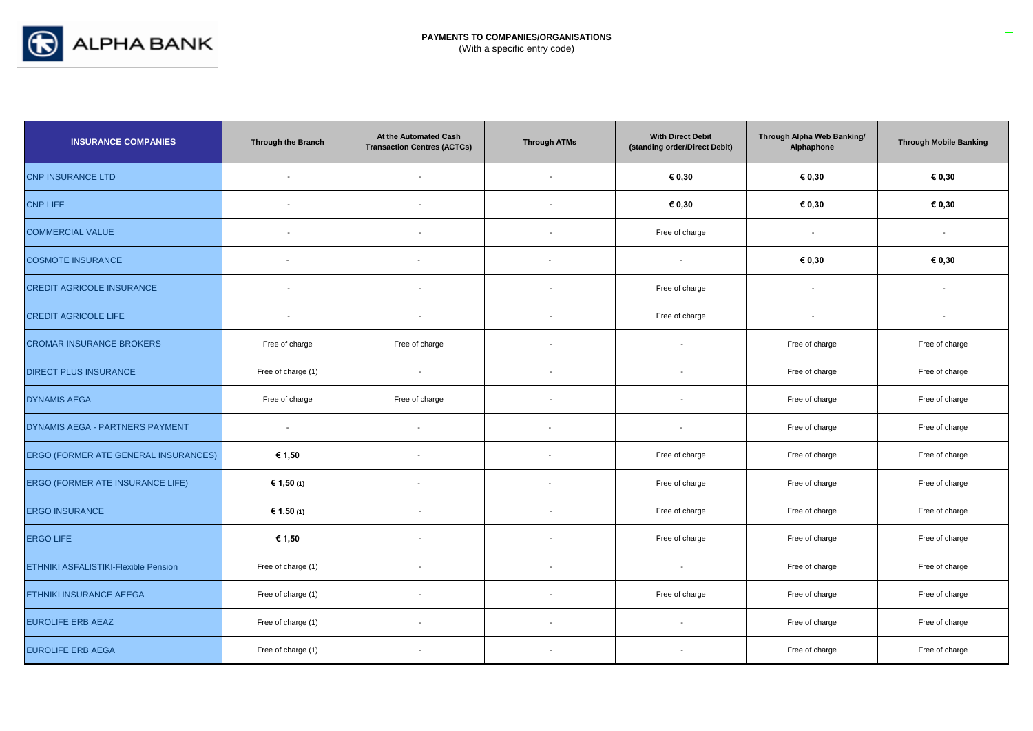

| <b>INSURANCE COMPANIES</b>                  | <b>Through the Branch</b> | At the Automated Cash<br><b>Transaction Centres (ACTCs)</b> | <b>Through ATMs</b>      | <b>With Direct Debit</b><br>(standing order/Direct Debit) | Through Alpha Web Banking/<br>Alphaphone | <b>Through Mobile Banking</b> |
|---------------------------------------------|---------------------------|-------------------------------------------------------------|--------------------------|-----------------------------------------------------------|------------------------------------------|-------------------------------|
| <b>CNP INSURANCE LTD</b>                    |                           | $\overline{a}$                                              |                          | € 0,30                                                    | € 0,30                                   | € 0,30                        |
| <b>CNP LIFE</b>                             | $\overline{\phantom{a}}$  | $\blacksquare$                                              |                          | € 0,30                                                    | € 0,30                                   | € 0,30                        |
| <b>COMMERCIAL VALUE</b>                     | $\overline{\phantom{a}}$  | $\overline{\phantom{a}}$                                    |                          | Free of charge                                            | $\blacksquare$                           |                               |
| <b>COSMOTE INSURANCE</b>                    | $\blacksquare$            |                                                             |                          | $\sim$                                                    | € 0,30                                   | € 0,30                        |
| <b>CREDIT AGRICOLE INSURANCE</b>            | $\overline{\phantom{a}}$  | $\blacksquare$                                              | $\sim$                   | Free of charge                                            | $\blacksquare$                           | $\overline{\phantom{a}}$      |
| <b>CREDIT AGRICOLE LIFE</b>                 | $\sim$                    | $\overline{\phantom{a}}$                                    | $\overline{\phantom{a}}$ | Free of charge                                            | $\overline{\phantom{a}}$                 | $\overline{\phantom{a}}$      |
| <b>CROMAR INSURANCE BROKERS</b>             | Free of charge            | Free of charge                                              |                          | $\overline{a}$                                            | Free of charge                           | Free of charge                |
| <b>DIRECT PLUS INSURANCE</b>                | Free of charge (1)        | $\sim$                                                      |                          | $\overline{\phantom{a}}$                                  | Free of charge                           | Free of charge                |
| <b>DYNAMIS AEGA</b>                         | Free of charge            | Free of charge                                              |                          |                                                           | Free of charge                           | Free of charge                |
| DYNAMIS AEGA - PARTNERS PAYMENT             | $\blacksquare$            |                                                             |                          | $\overline{\phantom{a}}$                                  | Free of charge                           | Free of charge                |
| <b>ERGO (FORMER ATE GENERAL INSURANCES)</b> | € 1,50                    |                                                             |                          | Free of charge                                            | Free of charge                           | Free of charge                |
| ERGO (FORMER ATE INSURANCE LIFE)            | € 1,50 (1)                |                                                             |                          | Free of charge                                            | Free of charge                           | Free of charge                |
| <b>ERGO INSURANCE</b>                       | € 1,50 (1)                |                                                             |                          | Free of charge                                            | Free of charge                           | Free of charge                |
| <b>ERGO LIFE</b>                            | € 1,50                    | $\overline{\phantom{a}}$                                    |                          | Free of charge                                            | Free of charge                           | Free of charge                |
| <b>ETHNIKI ASFALISTIKI-Flexible Pension</b> | Free of charge (1)        |                                                             |                          | $\overline{\phantom{a}}$                                  | Free of charge                           | Free of charge                |
| <b>ETHNIKI INSURANCE AEEGA</b>              | Free of charge (1)        | $\overline{\phantom{a}}$                                    |                          | Free of charge                                            | Free of charge                           | Free of charge                |
| <b>EUROLIFE ERB AEAZ</b>                    | Free of charge (1)        | $\overline{\phantom{a}}$                                    | $\overline{\phantom{a}}$ | $\overline{\phantom{a}}$                                  | Free of charge                           | Free of charge                |
| <b>EUROLIFE ERB AEGA</b>                    | Free of charge (1)        |                                                             |                          |                                                           | Free of charge                           | Free of charge                |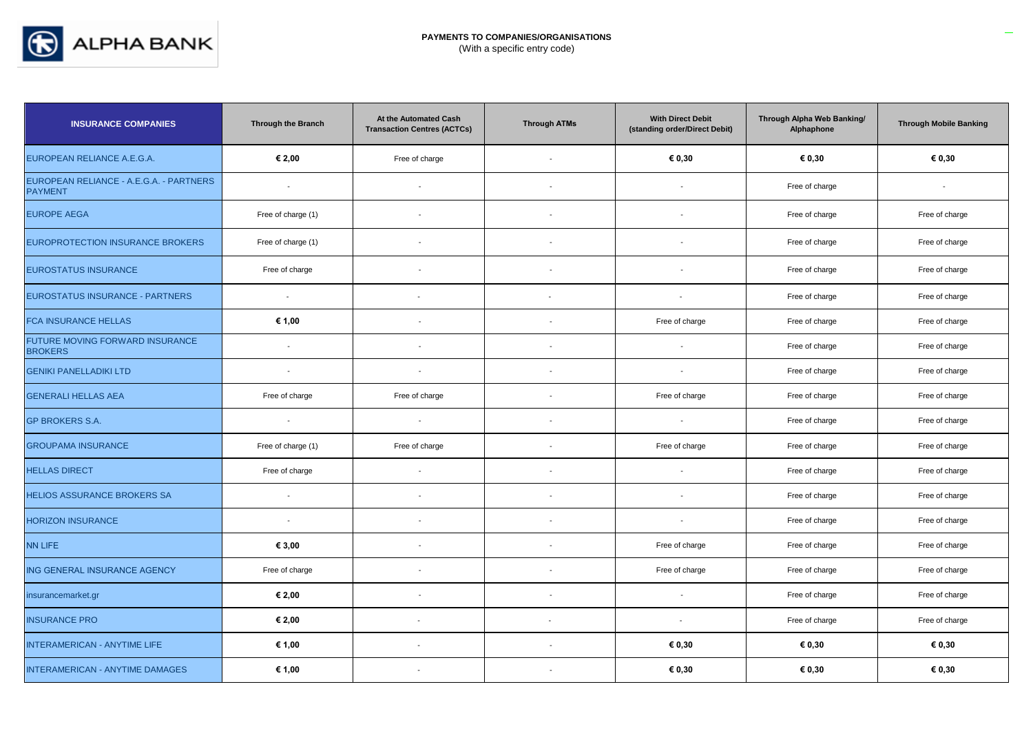

| <b>INSURANCE COMPANIES</b>                                | Through the Branch | At the Automated Cash<br><b>Transaction Centres (ACTCs)</b> | <b>Through ATMs</b>      | <b>With Direct Debit</b><br>(standing order/Direct Debit) | Through Alpha Web Banking/<br>Alphaphone | <b>Through Mobile Banking</b> |
|-----------------------------------------------------------|--------------------|-------------------------------------------------------------|--------------------------|-----------------------------------------------------------|------------------------------------------|-------------------------------|
| EUROPEAN RELIANCE A.E.G.A.                                | € 2,00             | Free of charge                                              | $\sim$                   | € 0,30                                                    | € 0,30                                   | € 0,30                        |
| EUROPEAN RELIANCE - A.E.G.A. - PARTNERS<br><b>PAYMENT</b> | $\sim$             | $\sim$                                                      | $\overline{\phantom{a}}$ |                                                           | Free of charge                           | $\overline{\phantom{a}}$      |
| <b>EUROPE AEGA</b>                                        | Free of charge (1) | $\blacksquare$                                              | $\blacksquare$           |                                                           | Free of charge                           | Free of charge                |
| <b>EUROPROTECTION INSURANCE BROKERS</b>                   | Free of charge (1) | $\blacksquare$                                              | $\mathbf{r}$             |                                                           | Free of charge                           | Free of charge                |
| <b>EUROSTATUS INSURANCE</b>                               | Free of charge     |                                                             | $\overline{\phantom{a}}$ |                                                           | Free of charge                           | Free of charge                |
| EUROSTATUS INSURANCE - PARTNERS                           | $\sim$             | $\overline{\phantom{a}}$                                    |                          | $\overline{\phantom{a}}$                                  | Free of charge                           | Free of charge                |
| <b>FCA INSURANCE HELLAS</b>                               | € 1,00             | $\overline{\phantom{a}}$                                    | $\overline{a}$           | Free of charge                                            | Free of charge                           | Free of charge                |
| FUTURE MOVING FORWARD INSURANCE<br><b>BROKERS</b>         | $\sim$             | $\overline{\phantom{a}}$                                    | $\overline{a}$           |                                                           | Free of charge                           | Free of charge                |
| <b>GENIKI PANELLADIKI LTD</b>                             | $\blacksquare$     | $\blacksquare$                                              | $\blacksquare$           |                                                           | Free of charge                           | Free of charge                |
| <b>GENERALI HELLAS AEA</b>                                | Free of charge     | Free of charge                                              |                          | Free of charge                                            | Free of charge                           | Free of charge                |
| <b>GP BROKERS S.A.</b>                                    | $\sim$             | $\mathbf{r}$                                                | $\blacksquare$           | $\sim$                                                    | Free of charge                           | Free of charge                |
| <b>GROUPAMA INSURANCE</b>                                 | Free of charge (1) | Free of charge                                              | $\blacksquare$           | Free of charge                                            | Free of charge                           | Free of charge                |
| <b>HELLAS DIRECT</b>                                      | Free of charge     | $\blacksquare$                                              | $\overline{\phantom{a}}$ | $\overline{a}$                                            | Free of charge                           | Free of charge                |
| <b>HELIOS ASSURANCE BROKERS SA</b>                        | $\sim$             | $\blacksquare$                                              | $\overline{\phantom{a}}$ | $\overline{\phantom{a}}$                                  | Free of charge                           | Free of charge                |
| <b>HORIZON INSURANCE</b>                                  | $\blacksquare$     | $\overline{\phantom{a}}$                                    | $\blacksquare$           |                                                           | Free of charge                           | Free of charge                |
| <b>NN LIFE</b>                                            | € 3,00             | $\blacksquare$                                              | $\sim$                   | Free of charge                                            | Free of charge                           | Free of charge                |
| ING GENERAL INSURANCE AGENCY                              | Free of charge     |                                                             | $\blacksquare$           | Free of charge                                            | Free of charge                           | Free of charge                |
| insurancemarket.gr                                        | € 2,00             | $\overline{\phantom{a}}$                                    | $\overline{\phantom{a}}$ |                                                           | Free of charge                           | Free of charge                |
| <b>INSURANCE PRO</b>                                      | € 2,00             | $\overline{\phantom{a}}$                                    |                          | $\blacksquare$                                            | Free of charge                           | Free of charge                |
| INTERAMERICAN - ANYTIME LIFE                              | € 1,00             | $\overline{\phantom{a}}$                                    | $\blacksquare$           | € 0,30                                                    | € 0,30                                   | € 0.30                        |
| <b>INTERAMERICAN - ANYTIME DAMAGES</b>                    | € 1,00             | $\overline{\phantom{a}}$                                    | $\overline{\phantom{a}}$ | € 0,30                                                    | € 0,30                                   | € 0,30                        |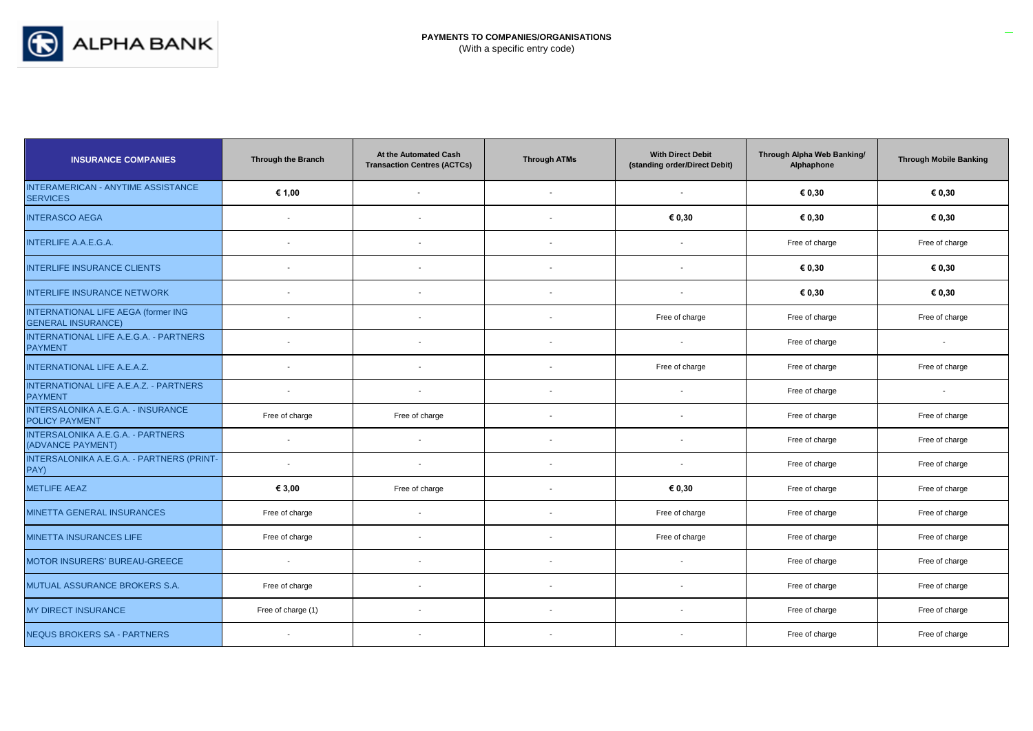

| <b>INSURANCE COMPANIES</b>                                       | <b>Through the Branch</b> | At the Automated Cash<br><b>Transaction Centres (ACTCs)</b> | <b>Through ATMs</b>      | <b>With Direct Debit</b><br>(standing order/Direct Debit) | Through Alpha Web Banking/<br>Alphaphone | <b>Through Mobile Banking</b> |
|------------------------------------------------------------------|---------------------------|-------------------------------------------------------------|--------------------------|-----------------------------------------------------------|------------------------------------------|-------------------------------|
| INTERAMERICAN - ANYTIME ASSISTANCE<br><b>SERVICES</b>            | € 1,00                    | $\overline{a}$                                              | $\overline{\phantom{a}}$ |                                                           | € 0,30                                   | € 0,30                        |
| <b>INTERASCO AEGA</b>                                            |                           |                                                             | $\blacksquare$           | € 0,30                                                    | € 0,30                                   | € 0,30                        |
| <b>INTERLIFE A.A.E.G.A.</b>                                      | $\overline{a}$            |                                                             | $\overline{a}$           |                                                           | Free of charge                           | Free of charge                |
| <b>INTERLIFE INSURANCE CLIENTS</b>                               | $\overline{\phantom{a}}$  | $\blacksquare$                                              | $\overline{\phantom{a}}$ | $\overline{\phantom{a}}$                                  | € 0,30                                   | € 0,30                        |
| <b>INTERLIFE INSURANCE NETWORK</b>                               | $\overline{\phantom{a}}$  | $\blacksquare$                                              | $\blacksquare$           | $\overline{\phantom{a}}$                                  | € 0,30                                   | € 0,30                        |
| INTERNATIONAL LIFE AEGA (former ING<br><b>GENERAL INSURANCE)</b> | $\overline{\phantom{a}}$  |                                                             |                          | Free of charge                                            | Free of charge                           | Free of charge                |
| INTERNATIONAL LIFE A.E.G.A. - PARTNERS<br><b>PAYMENT</b>         | $\sim$                    | $\overline{a}$                                              | $\blacksquare$           |                                                           | Free of charge                           |                               |
| <b>INTERNATIONAL LIFE A.E.A.Z.</b>                               | $\blacksquare$            | $\blacksquare$                                              | $\overline{\phantom{a}}$ | Free of charge                                            | Free of charge                           | Free of charge                |
| INTERNATIONAL LIFE A.E.A.Z. - PARTNERS<br><b>PAYMENT</b>         | $\sim$                    | $\blacksquare$                                              | $\overline{\phantom{a}}$ | $\overline{\phantom{a}}$                                  | Free of charge                           | $\sim$                        |
| INTERSALONIKA A.E.G.A. - INSURANCE<br><b>POLICY PAYMENT</b>      | Free of charge            | Free of charge                                              | $\overline{\phantom{a}}$ | $\overline{\phantom{a}}$                                  | Free of charge                           | Free of charge                |
| <b>INTERSALONIKA A.E.G.A. - PARTNERS</b><br>(ADVANCE PAYMENT)    | $\sim$                    | $\blacksquare$                                              | $\blacksquare$           |                                                           | Free of charge                           | Free of charge                |
| INTERSALONIKA A.E.G.A. - PARTNERS (PRINT-<br>PAY)                | $\sim$                    |                                                             |                          |                                                           | Free of charge                           | Free of charge                |
| <b>METLIFE AEAZ</b>                                              | € 3,00                    | Free of charge                                              | $\overline{\phantom{a}}$ | € 0,30                                                    | Free of charge                           | Free of charge                |
| <b>MINETTA GENERAL INSURANCES</b>                                | Free of charge            | $\overline{\phantom{a}}$                                    | $\overline{\phantom{a}}$ | Free of charge                                            | Free of charge                           | Free of charge                |
| <b>MINETTA INSURANCES LIFE</b>                                   | Free of charge            | $\blacksquare$                                              | $\blacksquare$           | Free of charge                                            | Free of charge                           | Free of charge                |
| MOTOR INSURERS' BUREAU-GREECE                                    | $\overline{\phantom{a}}$  | $\blacksquare$                                              | $\blacksquare$           |                                                           | Free of charge                           | Free of charge                |
| MUTUAL ASSURANCE BROKERS S.A.                                    | Free of charge            | $\overline{a}$                                              | $\overline{\phantom{a}}$ |                                                           | Free of charge                           | Free of charge                |
| <b>MY DIRECT INSURANCE</b>                                       | Free of charge (1)        | $\blacksquare$                                              | $\overline{\phantom{a}}$ |                                                           | Free of charge                           | Free of charge                |
| <b>NEQUS BROKERS SA - PARTNERS</b>                               | $\sim$                    |                                                             |                          |                                                           | Free of charge                           | Free of charge                |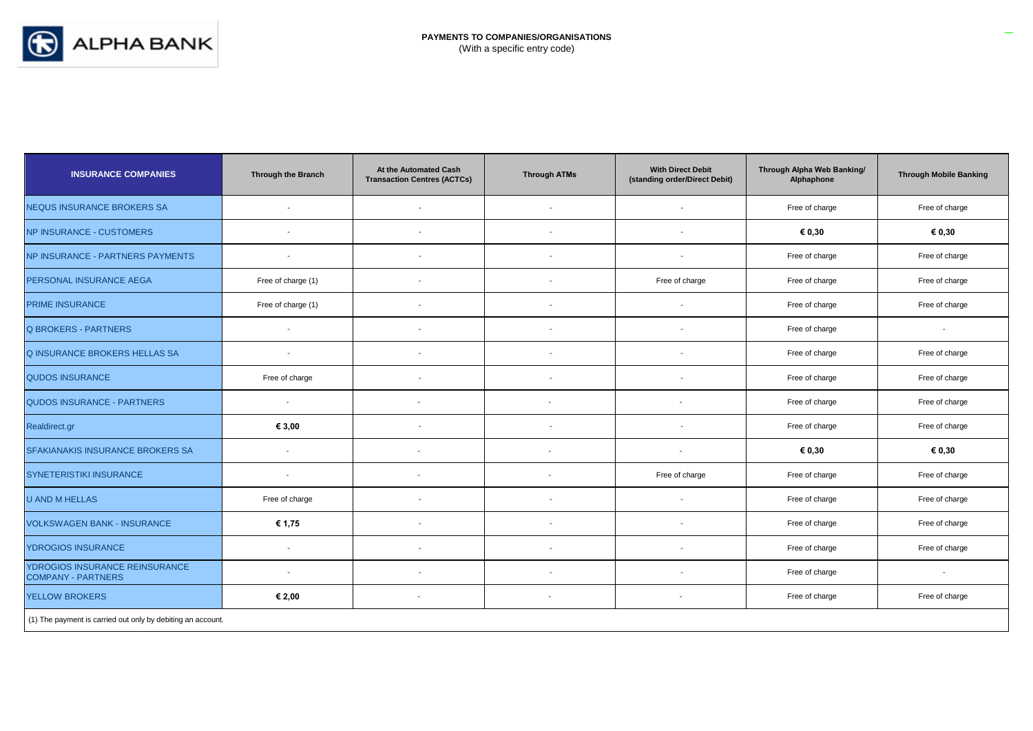

| <b>INSURANCE COMPANIES</b>                                  | <b>Through the Branch</b> | At the Automated Cash<br><b>Transaction Centres (ACTCs)</b> | <b>Through ATMs</b>      | <b>With Direct Debit</b><br>(standing order/Direct Debit) | Through Alpha Web Banking/<br>Alphaphone | <b>Through Mobile Banking</b> |
|-------------------------------------------------------------|---------------------------|-------------------------------------------------------------|--------------------------|-----------------------------------------------------------|------------------------------------------|-------------------------------|
| <b>NEQUS INSURANCE BROKERS SA</b>                           | $\overline{\phantom{a}}$  | $\overline{\phantom{a}}$                                    | $\blacksquare$           | $\overline{\phantom{a}}$                                  | Free of charge                           | Free of charge                |
| <b>NP INSURANCE - CUSTOMERS</b>                             |                           |                                                             |                          |                                                           | € 0,30                                   | € 0,30                        |
| NP INSURANCE - PARTNERS PAYMENTS                            | $\overline{\phantom{a}}$  | $\overline{\phantom{a}}$                                    | $\overline{\phantom{a}}$ | $\overline{\phantom{a}}$                                  | Free of charge                           | Free of charge                |
| PERSONAL INSURANCE AEGA                                     | Free of charge (1)        | $\overline{\phantom{a}}$                                    |                          | Free of charge                                            | Free of charge                           | Free of charge                |
| <b>PRIME INSURANCE</b>                                      | Free of charge (1)        | $\overline{\phantom{a}}$                                    | $\overline{\phantom{a}}$ |                                                           | Free of charge                           | Free of charge                |
| <b>Q BROKERS - PARTNERS</b>                                 | $\overline{\phantom{a}}$  | $\overline{\phantom{a}}$                                    | $\overline{\phantom{a}}$ | $\overline{\phantom{a}}$                                  | Free of charge                           | $\overline{\phantom{a}}$      |
| <b>Q INSURANCE BROKERS HELLAS SA</b>                        | $\overline{\phantom{a}}$  |                                                             | $\overline{\phantom{a}}$ |                                                           | Free of charge                           | Free of charge                |
| <b>QUDOS INSURANCE</b>                                      | Free of charge            | $\blacksquare$                                              | $\blacksquare$           | $\overline{\phantom{a}}$                                  | Free of charge                           | Free of charge                |
| <b>QUDOS INSURANCE - PARTNERS</b>                           | $\overline{\phantom{a}}$  | $\blacksquare$                                              | $\overline{\phantom{a}}$ | $\overline{\phantom{a}}$                                  | Free of charge                           | Free of charge                |
| Realdirect.gr                                               | € 3,00                    | $\overline{\phantom{a}}$                                    | $\overline{\phantom{a}}$ | $\overline{\phantom{a}}$                                  | Free of charge                           | Free of charge                |
| SFAKIANAKIS INSURANCE BROKERS SA                            | $\overline{\phantom{a}}$  | $\blacksquare$                                              |                          |                                                           | € 0,30                                   | € 0,30                        |
| <b>SYNETERISTIKI INSURANCE</b>                              | $\overline{\phantom{a}}$  | $\blacksquare$                                              |                          | Free of charge                                            | Free of charge                           | Free of charge                |
| <b>U AND M HELLAS</b>                                       | Free of charge            | $\overline{\phantom{a}}$                                    | $\overline{\phantom{a}}$ |                                                           | Free of charge                           | Free of charge                |
| <b>VOLKSWAGEN BANK - INSURANCE</b>                          | € 1,75                    |                                                             |                          |                                                           | Free of charge                           | Free of charge                |
| <b>YDROGIOS INSURANCE</b>                                   | $\sim$                    |                                                             |                          |                                                           | Free of charge                           | Free of charge                |
| YDROGIOS INSURANCE REINSURANCE<br><b>COMPANY - PARTNERS</b> | $\overline{\phantom{a}}$  | $\overline{\phantom{a}}$                                    | $\overline{\phantom{a}}$ |                                                           | Free of charge                           | $\sim$                        |
| <b>YELLOW BROKERS</b>                                       | € 2,00                    | $\blacksquare$                                              | $\sim$                   | $\sim$                                                    | Free of charge                           | Free of charge                |
| (1) The payment is carried out only by debiting an account. |                           |                                                             |                          |                                                           |                                          |                               |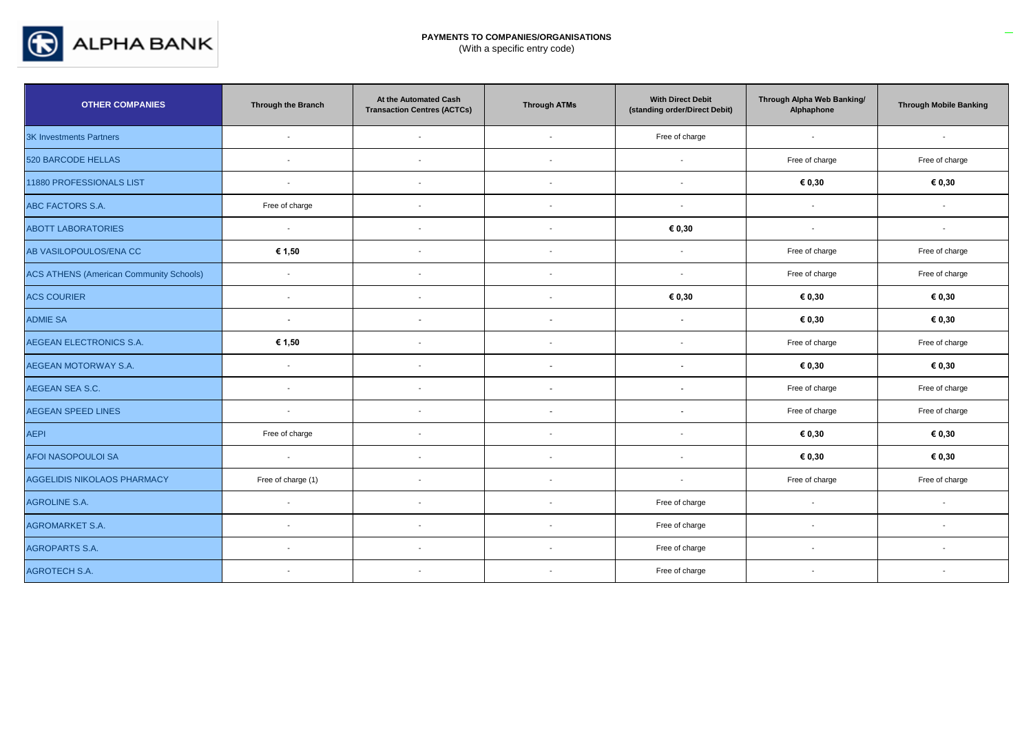

| <b>OTHER COMPANIES</b>                         | <b>Through the Branch</b> | At the Automated Cash<br><b>Transaction Centres (ACTCs)</b> | <b>Through ATMs</b>      | <b>With Direct Debit</b><br>(standing order/Direct Debit) | Through Alpha Web Banking/<br>Alphaphone | <b>Through Mobile Banking</b> |
|------------------------------------------------|---------------------------|-------------------------------------------------------------|--------------------------|-----------------------------------------------------------|------------------------------------------|-------------------------------|
| 3K Investments Partners                        | $\overline{\phantom{a}}$  | $\blacksquare$                                              | $\overline{\phantom{a}}$ | Free of charge                                            | $\overline{\phantom{a}}$                 | $\overline{\phantom{a}}$      |
| <b>520 BARCODE HELLAS</b>                      | $\overline{\phantom{a}}$  | $\overline{\phantom{a}}$                                    | $\overline{\phantom{a}}$ | $\blacksquare$                                            | Free of charge                           | Free of charge                |
| 11880 PROFESSIONALS LIST                       | $\overline{\phantom{a}}$  | $\blacksquare$                                              | $\overline{\phantom{0}}$ | $\blacksquare$                                            | € 0,30                                   | € 0,30                        |
| ABC FACTORS S.A.                               | Free of charge            | $\overline{\phantom{a}}$                                    |                          | $\blacksquare$                                            | $\overline{\phantom{a}}$                 | $\overline{\phantom{a}}$      |
| <b>ABOTT LABORATORIES</b>                      | $\sim$                    | $\sim$                                                      | $\overline{a}$           | € 0,30                                                    | $\sim$                                   | $\sim$                        |
| AB VASILOPOULOS/ENA CC                         | € 1,50                    | $\overline{\phantom{a}}$                                    | $\overline{\phantom{0}}$ | $\sim$                                                    | Free of charge                           | Free of charge                |
| <b>ACS ATHENS (American Community Schools)</b> | $\blacksquare$            | $\blacksquare$                                              |                          | $\overline{\phantom{a}}$                                  | Free of charge                           | Free of charge                |
| <b>ACS COURIER</b>                             | $\overline{\phantom{a}}$  | $\overline{\phantom{a}}$                                    |                          | € 0,30                                                    | € 0,30                                   | € 0,30                        |
| <b>ADMIE SA</b>                                | $\sim$                    | $\overline{\phantom{a}}$                                    |                          | $\sim$                                                    | € 0,30                                   | € 0,30                        |
| AEGEAN ELECTRONICS S.A.                        | € 1,50                    | $\blacksquare$                                              | $\overline{\phantom{a}}$ | $\blacksquare$                                            | Free of charge                           | Free of charge                |
| <b>AEGEAN MOTORWAY S.A.</b>                    | $\overline{a}$            |                                                             |                          |                                                           | € 0,30                                   | € 0,30                        |
| AEGEAN SEA S.C.                                | $\overline{\phantom{a}}$  | $\overline{\phantom{a}}$                                    | in 1919.                 | $\sim$                                                    | Free of charge                           | Free of charge                |
| <b>AEGEAN SPEED LINES</b>                      | $\overline{\phantom{a}}$  | $\overline{\phantom{a}}$                                    | $\sim$                   | $\sim$                                                    | Free of charge                           | Free of charge                |
| <b>AEPI</b>                                    | Free of charge            | $\blacksquare$                                              |                          | $\blacksquare$                                            | € 0,30                                   | € 0,30                        |
| <b>AFOI NASOPOULOI SA</b>                      | $\sim$                    | $\overline{\phantom{a}}$                                    |                          | $\overline{\phantom{a}}$                                  | € 0,30                                   | € 0,30                        |
| <b>AGGELIDIS NIKOLAOS PHARMACY</b>             | Free of charge (1)        | $\overline{\phantom{a}}$                                    |                          | $\sim$                                                    | Free of charge                           | Free of charge                |
| <b>AGROLINE S.A.</b>                           | $\overline{\phantom{a}}$  | $\blacksquare$                                              |                          | Free of charge                                            | $\overline{\phantom{a}}$                 | $\overline{\phantom{a}}$      |
| <b>AGROMARKET S.A.</b>                         | $\overline{\phantom{a}}$  |                                                             |                          | Free of charge                                            | $\overline{\phantom{a}}$                 | $\overline{\phantom{a}}$      |
| <b>AGROPARTS S.A.</b>                          | $\overline{\phantom{a}}$  | $\blacksquare$                                              | $\overline{\phantom{a}}$ | Free of charge                                            | $\blacksquare$                           | $\overline{\phantom{a}}$      |
| <b>AGROTECH S.A.</b>                           | $\overline{\phantom{a}}$  | $\overline{\phantom{a}}$                                    |                          | Free of charge                                            | $\overline{\phantom{a}}$                 | $\overline{\phantom{a}}$      |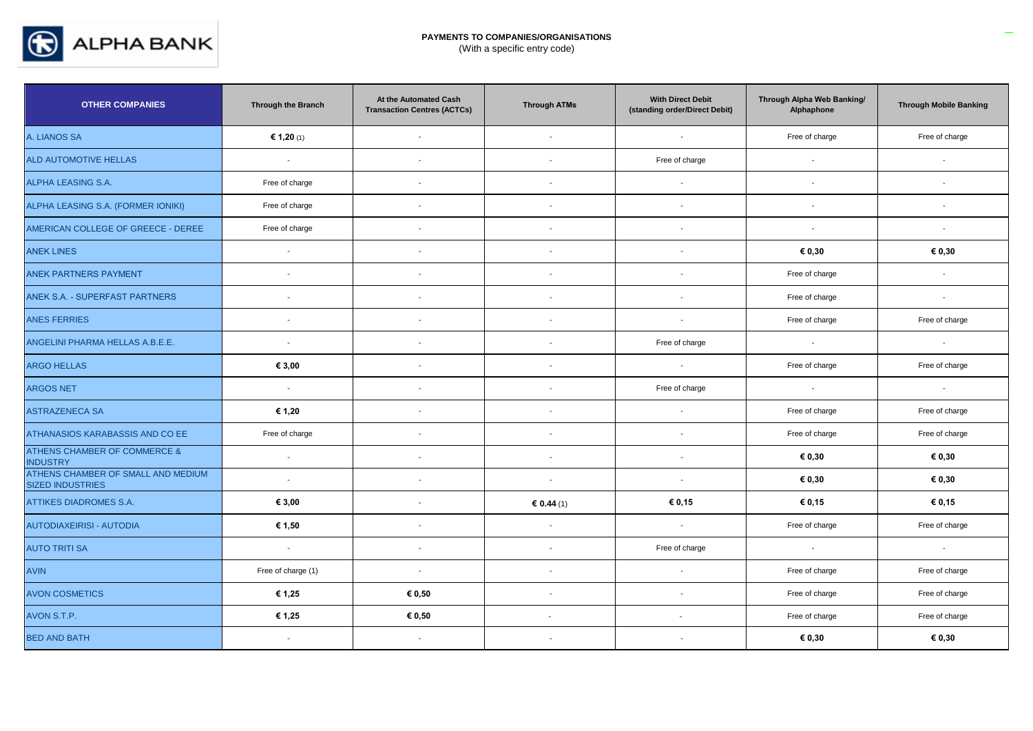

| <b>OTHER COMPANIES</b>                                        | Through the Branch | At the Automated Cash<br><b>Transaction Centres (ACTCs)</b> | <b>Through ATMs</b>      | <b>With Direct Debit</b><br>(standing order/Direct Debit) | Through Alpha Web Banking/<br>Alphaphone | <b>Through Mobile Banking</b> |
|---------------------------------------------------------------|--------------------|-------------------------------------------------------------|--------------------------|-----------------------------------------------------------|------------------------------------------|-------------------------------|
| A. LIANOS SA                                                  | € 1,20 (1)         | $\sim$                                                      | $\sim$                   | $\sim$                                                    | Free of charge                           | Free of charge                |
| ALD AUTOMOTIVE HELLAS                                         | $\sim$ $-$         | $\sim$                                                      | $\overline{\phantom{a}}$ | Free of charge                                            | $\sim$                                   | $\sim$                        |
| ALPHA LEASING S.A.                                            | Free of charge     | $\sim$                                                      | $\overline{a}$           | $\sim$                                                    | $\sim$                                   | $\sim$                        |
| ALPHA LEASING S.A. (FORMER IONIKI)                            | Free of charge     | $\overline{a}$                                              | $\overline{\phantom{a}}$ | $\sim$                                                    | $\sim$                                   | $\sim$                        |
| AMERICAN COLLEGE OF GREECE - DEREE                            | Free of charge     | $\sim$                                                      | $\sim$                   | $\sim$                                                    | $\sim$                                   | $\sim$                        |
| <b>ANEK LINES</b>                                             | $\sim$             | $\mathbf{r}$                                                | $\overline{\phantom{a}}$ | $\mathbf{r}$                                              | € 0,30                                   | € 0,30                        |
| ANEK PARTNERS PAYMENT                                         | $\sim$             | $\overline{a}$                                              | $\overline{a}$           | $\overline{a}$                                            | Free of charge                           | $\sim$                        |
| ANEK S.A. - SUPERFAST PARTNERS                                | $\sim$             | $\overline{\phantom{a}}$                                    | $\overline{\phantom{a}}$ | $\overline{\phantom{a}}$                                  | Free of charge                           | $\sim$                        |
| <b>ANES FERRIES</b>                                           | $\sim$             | $\sim$                                                      | $\overline{\phantom{a}}$ | $\sim$                                                    | Free of charge                           | Free of charge                |
| ANGELINI PHARMA HELLAS A.B.E.E.                               | $\sim$             | $\overline{\phantom{a}}$                                    | $\overline{\phantom{a}}$ | Free of charge                                            | $\sim$                                   | $\sim$                        |
| <b>ARGO HELLAS</b>                                            | € 3,00             | $\sim$                                                      | $\sim$                   | $\sim$                                                    | Free of charge                           | Free of charge                |
| <b>ARGOS NET</b>                                              | $\sim$             | $\sim$                                                      | $\sim$                   | Free of charge                                            | $\sim$                                   | $\sim$ $-$                    |
| <b>ASTRAZENECA SA</b>                                         | € 1,20             | $\sim$                                                      | $\sim$                   | $\sim$                                                    | Free of charge                           | Free of charge                |
| ATHANASIOS KARABASSIS AND CO EE                               | Free of charge     | $\sim$                                                      | $\sim$                   | $\sim$                                                    | Free of charge                           | Free of charge                |
| <b>ATHENS CHAMBER OF COMMERCE &amp;</b><br><b>INDUSTRY</b>    | $\sim$ $-$         | $\sim$                                                      | $\overline{a}$           | $\sim$                                                    | € 0,30                                   | € 0,30                        |
| ATHENS CHAMBER OF SMALL AND MEDIUM<br><b>SIZED INDUSTRIES</b> | $\sim$             | $\overline{\phantom{a}}$                                    | $\sim$                   | $\sim$                                                    | € 0.30                                   | € 0.30                        |
| <b>ATTIKES DIADROMES S.A.</b>                                 | € 3,00             | $\sim$                                                      | 60.44(1)                 | € 0,15                                                    | € 0,15                                   | € 0,15                        |
| AUTODIAXEIRISI - AUTODIA                                      | € 1,50             | $\sim$                                                      | $\sim$                   | $\sim$                                                    | Free of charge                           | Free of charge                |
| <b>AUTO TRITI SA</b>                                          | $\sim$             | $\sim$                                                      | $\sim$                   | Free of charge                                            | $\sim$                                   | $\sim$                        |
| <b>AVIN</b>                                                   | Free of charge (1) | $\sim$                                                      | $\overline{\phantom{a}}$ | $\sim$                                                    | Free of charge                           | Free of charge                |
| <b>AVON COSMETICS</b>                                         | € 1,25             | € 0,50                                                      | $\sim$                   | $\sim$                                                    | Free of charge                           | Free of charge                |
| AVON S.T.P.                                                   | € 1,25             | € 0,50                                                      | $\sim$                   | $\sim$                                                    | Free of charge                           | Free of charge                |
| <b>BED AND BATH</b>                                           | $\sim$             | $\sim$                                                      |                          | $\overline{\phantom{a}}$                                  | € 0,30                                   | € 0,30                        |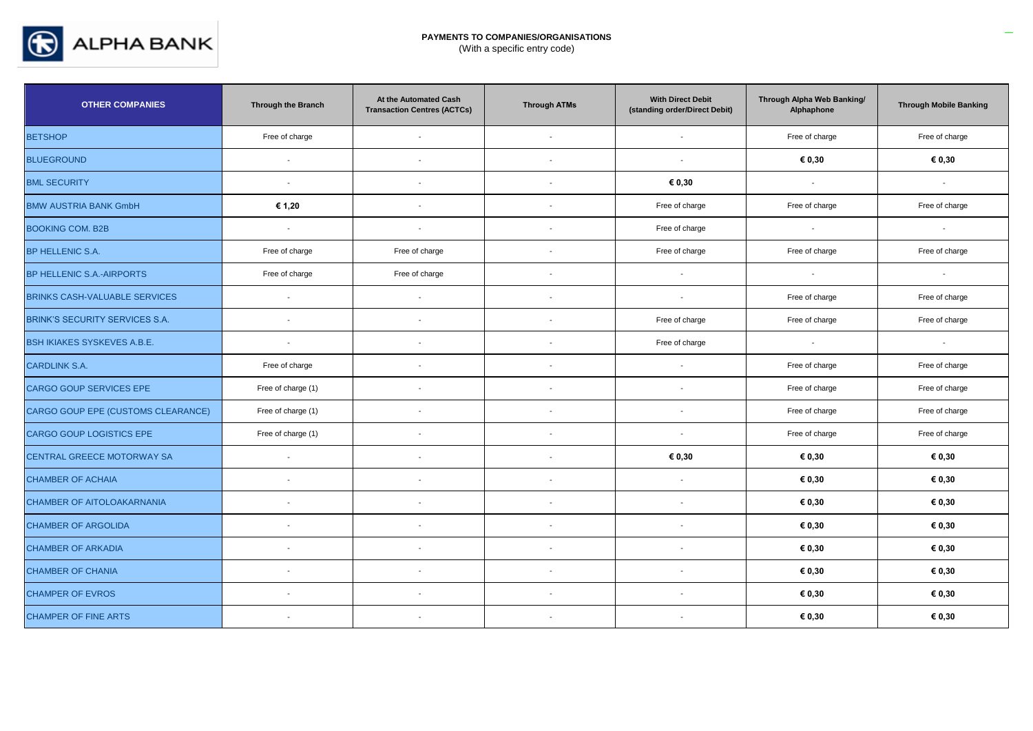

| <b>OTHER COMPANIES</b>                | <b>Through the Branch</b> | At the Automated Cash<br><b>Transaction Centres (ACTCs)</b> | <b>Through ATMs</b>      | <b>With Direct Debit</b><br>(standing order/Direct Debit) | Through Alpha Web Banking/<br>Alphaphone | <b>Through Mobile Banking</b> |
|---------------------------------------|---------------------------|-------------------------------------------------------------|--------------------------|-----------------------------------------------------------|------------------------------------------|-------------------------------|
| <b>BETSHOP</b>                        | Free of charge            | $\sim$                                                      | $\sim$                   | $\sim$                                                    | Free of charge                           | Free of charge                |
| <b>BLUEGROUND</b>                     | $\overline{\phantom{a}}$  | $\sim$                                                      | $\overline{\phantom{a}}$ | $\sim$                                                    | € 0,30                                   | € 0,30                        |
| <b>BML SECURITY</b>                   | $\sim$                    | $\sim$                                                      | $\sim$                   | € 0,30                                                    | $\sim$                                   | $\sim$                        |
| <b>BMW AUSTRIA BANK GmbH</b>          | € 1,20                    | $\overline{\phantom{a}}$                                    | $\overline{\phantom{a}}$ | Free of charge                                            | Free of charge                           | Free of charge                |
| <b>BOOKING COM. B2B</b>               | $\sim$                    | $\overline{a}$                                              | $\overline{\phantom{a}}$ | Free of charge                                            | $\sim$                                   | $\overline{\phantom{a}}$      |
| BP HELLENIC S.A.                      | Free of charge            | Free of charge                                              | $\overline{\phantom{a}}$ | Free of charge                                            | Free of charge                           | Free of charge                |
| BP HELLENIC S.A.-AIRPORTS             | Free of charge            | Free of charge                                              | $\overline{\phantom{a}}$ | $\sim$                                                    | $\sim$                                   | $\sim$                        |
| <b>BRINKS CASH-VALUABLE SERVICES</b>  | $\sim$                    | $\overline{a}$                                              | $\sim$                   | $\sim$                                                    | Free of charge                           | Free of charge                |
| <b>BRINK'S SECURITY SERVICES S.A.</b> | $\overline{\phantom{a}}$  |                                                             | $\overline{\phantom{a}}$ | Free of charge                                            | Free of charge                           | Free of charge                |
| <b>BSH IKIAKES SYSKEVES A.B.E.</b>    | $\sim$                    |                                                             | $\overline{\phantom{a}}$ | Free of charge                                            | $\sim$                                   | $\sim$                        |
| <b>CARDLINK S.A.</b>                  | Free of charge            | $\overline{\phantom{a}}$                                    | $\overline{\phantom{a}}$ | $\overline{\phantom{a}}$                                  | Free of charge                           | Free of charge                |
| CARGO GOUP SERVICES EPE               | Free of charge (1)        |                                                             | $\sim$                   | $\overline{\phantom{a}}$                                  | Free of charge                           | Free of charge                |
| CARGO GOUP EPE (CUSTOMS CLEARANCE)    | Free of charge (1)        |                                                             | $\overline{\phantom{a}}$ | $\overline{\phantom{a}}$                                  | Free of charge                           | Free of charge                |
| CARGO GOUP LOGISTICS EPE              | Free of charge (1)        |                                                             |                          | $\overline{\phantom{a}}$                                  | Free of charge                           | Free of charge                |
| <b>CENTRAL GREECE MOTORWAY SA</b>     | $\sim$                    | $\overline{\phantom{a}}$                                    | $\overline{\phantom{a}}$ | € 0,30                                                    | € 0,30                                   | € 0,30                        |
| <b>CHAMBER OF ACHAIA</b>              | $\overline{\phantom{a}}$  | $\sim$                                                      | $\sim$                   | $\mathbf{r}$                                              | € 0,30                                   | € 0,30                        |
| <b>CHAMBER OF AITOLOAKARNANIA</b>     | $\blacksquare$            | $\overline{\phantom{a}}$                                    | $\overline{\phantom{a}}$ | $\overline{\phantom{a}}$                                  | € 0,30                                   | € 0,30                        |
| <b>CHAMBER OF ARGOLIDA</b>            | $\blacksquare$            | $\overline{\phantom{a}}$                                    | $\overline{\phantom{a}}$ | $\blacksquare$                                            | € 0,30                                   | € 0,30                        |
| <b>CHAMBER OF ARKADIA</b>             | $\overline{\phantom{a}}$  | $\sim$                                                      | $\overline{\phantom{a}}$ | $\sim$                                                    | € 0,30                                   | € 0,30                        |
| <b>CHAMBER OF CHANIA</b>              | $\overline{\phantom{a}}$  | $\overline{\phantom{a}}$                                    | $\overline{\phantom{a}}$ | $\overline{\phantom{a}}$                                  | € 0,30                                   | € 0,30                        |
| <b>CHAMPER OF EVROS</b>               | $\overline{\phantom{a}}$  |                                                             |                          |                                                           | € 0,30                                   | € 0,30                        |
| <b>CHAMPER OF FINE ARTS</b>           | $\overline{\phantom{a}}$  |                                                             | $\overline{\phantom{a}}$ | $\overline{\phantom{a}}$                                  | € 0,30                                   | € 0,30                        |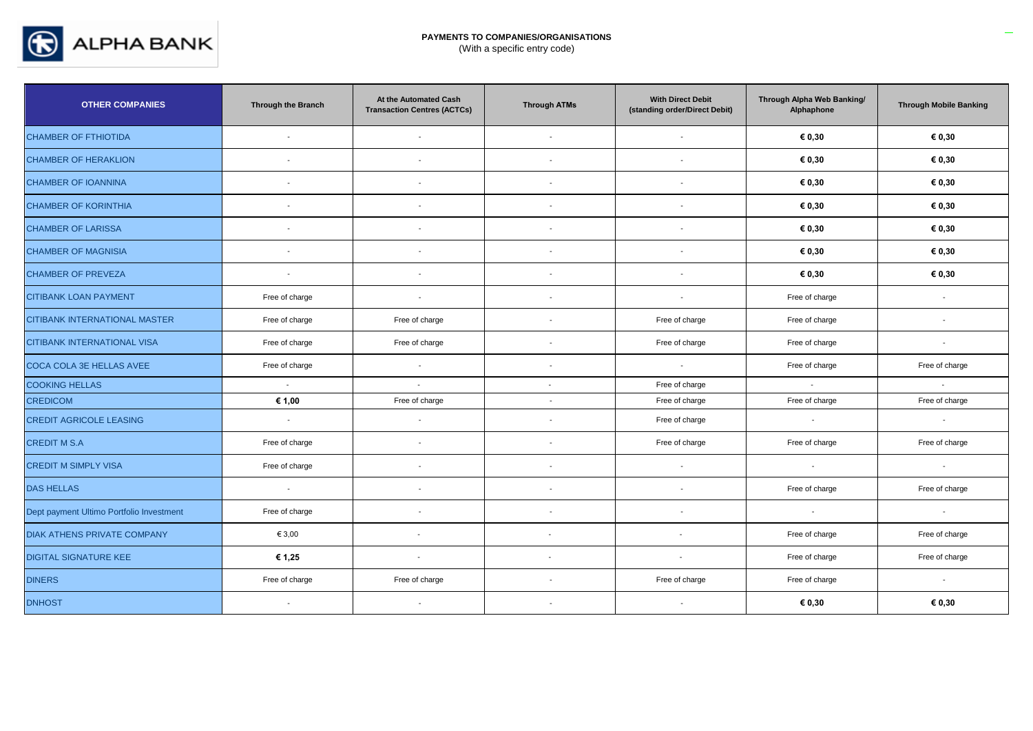

| <b>OTHER COMPANIES</b>                   | Through the Branch       | At the Automated Cash<br><b>Transaction Centres (ACTCs)</b> | <b>Through ATMs</b>      | <b>With Direct Debit</b><br>(standing order/Direct Debit) | Through Alpha Web Banking/<br>Alphaphone | <b>Through Mobile Banking</b> |
|------------------------------------------|--------------------------|-------------------------------------------------------------|--------------------------|-----------------------------------------------------------|------------------------------------------|-------------------------------|
| <b>CHAMBER OF FTHIOTIDA</b>              | $\sim$                   | $\sim$                                                      | $\sim$                   | $\sim$                                                    | € 0,30                                   | € 0,30                        |
| <b>CHAMBER OF HERAKLION</b>              | $\overline{\phantom{a}}$ | $\sim$                                                      | $\overline{\phantom{a}}$ | $\overline{a}$                                            | € 0,30                                   | € 0,30                        |
| <b>CHAMBER OF IOANNINA</b>               | $\sim$                   | $\overline{\phantom{a}}$                                    | $\overline{\phantom{a}}$ | $\sim$                                                    | € 0,30                                   | € 0,30                        |
| <b>CHAMBER OF KORINTHIA</b>              | $\blacksquare$           |                                                             |                          | $\blacksquare$                                            | € 0,30                                   | € 0,30                        |
| <b>CHAMBER OF LARISSA</b>                | $\sim$                   | $\overline{a}$                                              | $\overline{\phantom{a}}$ | $\overline{\phantom{a}}$                                  | € 0,30                                   | € 0,30                        |
| <b>CHAMBER OF MAGNISIA</b>               | $\sim$                   | $\sim$                                                      | $\sim$                   | $\sim$                                                    | € 0,30                                   | € 0,30                        |
| <b>CHAMBER OF PREVEZA</b>                | $\sim$                   | $\overline{\phantom{a}}$                                    | $\sim$                   | $\sim$                                                    | € 0,30                                   | € 0,30                        |
| <b>CITIBANK LOAN PAYMENT</b>             | Free of charge           | $\overline{\phantom{a}}$                                    | $\overline{\phantom{a}}$ | $\overline{a}$                                            | Free of charge                           | $\sim$                        |
| CITIBANK INTERNATIONAL MASTER            | Free of charge           | Free of charge                                              | $\overline{a}$           | Free of charge                                            | Free of charge                           | $\overline{\phantom{a}}$      |
| CITIBANK INTERNATIONAL VISA              | Free of charge           | Free of charge                                              | $\overline{\phantom{a}}$ | Free of charge                                            | Free of charge                           | $\sim$                        |
| COCA COLA 3E HELLAS AVEE                 | Free of charge           | $\sim$                                                      | $\overline{\phantom{a}}$ | $\sim$                                                    | Free of charge                           | Free of charge                |
| <b>COOKING HELLAS</b>                    | $\sim$                   | $\sim$                                                      | $\overline{\phantom{a}}$ | Free of charge                                            | $\sim$                                   | $\sim$                        |
| <b>CREDICOM</b>                          | € 1,00                   | Free of charge                                              |                          | Free of charge                                            | Free of charge                           | Free of charge                |
| <b>CREDIT AGRICOLE LEASING</b>           | $\sim$                   | $\sim$                                                      | $\overline{\phantom{a}}$ | Free of charge                                            | $\sim$                                   | $\sim$                        |
| <b>CREDIT M S.A</b>                      | Free of charge           | $\overline{\phantom{a}}$                                    | $\overline{\phantom{a}}$ | Free of charge                                            | Free of charge                           | Free of charge                |
| <b>CREDIT M SIMPLY VISA</b>              | Free of charge           | $\overline{\phantom{a}}$                                    | $\overline{\phantom{a}}$ | $\sim$                                                    | $\sim$                                   | $\sim$                        |
| <b>DAS HELLAS</b>                        | $\sim$                   | $\overline{a}$                                              | $\overline{\phantom{a}}$ | $\overline{\phantom{a}}$                                  | Free of charge                           | Free of charge                |
| Dept payment Ultimo Portfolio Investment | Free of charge           | $\overline{\phantom{a}}$                                    | $\overline{a}$           | $\overline{\phantom{a}}$                                  | $\sim$                                   | $\sim$                        |
| <b>DIAK ATHENS PRIVATE COMPANY</b>       | € 3,00                   | $\sim$                                                      | $\sim$                   | $\sim$                                                    | Free of charge                           | Free of charge                |
| <b>DIGITAL SIGNATURE KEE</b>             | € 1,25                   | $\sim$                                                      | $\overline{\phantom{a}}$ | $\sim$                                                    | Free of charge                           | Free of charge                |
| <b>DINERS</b>                            | Free of charge           | Free of charge                                              | $\overline{a}$           | Free of charge                                            | Free of charge                           | $\sim$                        |
| <b>DNHOST</b>                            |                          |                                                             |                          |                                                           | € 0,30                                   | € 0,30                        |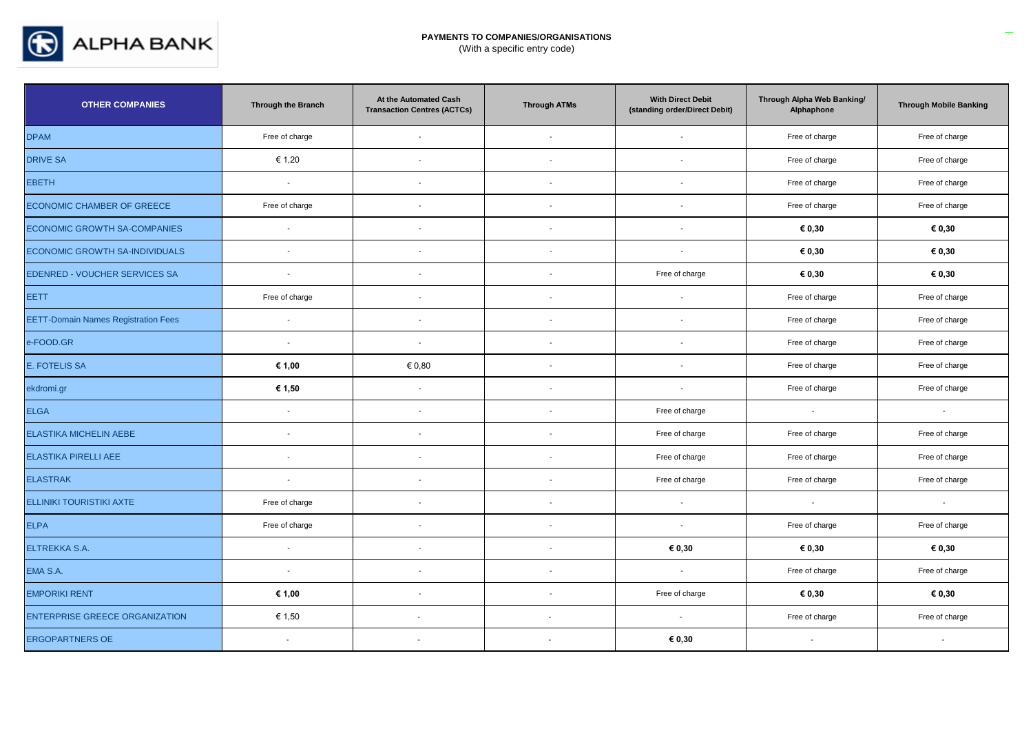

| <b>OTHER COMPANIES</b>                     | Through the Branch       | At the Automated Cash<br><b>Transaction Centres (ACTCs)</b> | <b>Through ATMs</b>      | <b>With Direct Debit</b><br>(standing order/Direct Debit) | Through Alpha Web Banking/<br>Alphaphone | <b>Through Mobile Banking</b> |
|--------------------------------------------|--------------------------|-------------------------------------------------------------|--------------------------|-----------------------------------------------------------|------------------------------------------|-------------------------------|
| <b>DPAM</b>                                | Free of charge           | $\sim$                                                      | $\overline{\phantom{a}}$ | $\sim$                                                    | Free of charge                           | Free of charge                |
| <b>DRIVE SA</b>                            | € 1,20                   | $\blacksquare$                                              |                          | $\overline{\phantom{a}}$                                  | Free of charge                           | Free of charge                |
| <b>EBETH</b>                               | $\sim$                   | $\overline{\phantom{a}}$                                    | - 1                      | $\sim$                                                    | Free of charge                           | Free of charge                |
| <b>ECONOMIC CHAMBER OF GREECE</b>          | Free of charge           | $\overline{\phantom{a}}$                                    |                          | $\sim$                                                    | Free of charge                           | Free of charge                |
| ECONOMIC GROWTH SA-COMPANIES               | $\sim$                   | $\overline{\phantom{a}}$                                    |                          | $\overline{\phantom{a}}$                                  | € 0,30                                   | € 0,30                        |
| ECONOMIC GROWTH SA-INDIVIDUALS             | $\overline{\phantom{a}}$ | $\overline{a}$                                              |                          | $\sim$                                                    | € 0,30                                   | € 0,30                        |
| EDENRED - VOUCHER SERVICES SA              | $\sim$                   | $\blacksquare$                                              |                          | Free of charge                                            | € 0,30                                   | € 0,30                        |
| <b>EETT</b>                                | Free of charge           | $\blacksquare$                                              |                          | $\overline{\phantom{a}}$                                  | Free of charge                           | Free of charge                |
| <b>EETT-Domain Names Registration Fees</b> | $\sim$                   | $\overline{\phantom{a}}$                                    |                          | $\sim$                                                    | Free of charge                           | Free of charge                |
| e-FOOD.GR                                  | $\mathcal{L}$            | $\sim$                                                      |                          |                                                           | Free of charge                           | Free of charge                |
| <b>E. FOTELIS SA</b>                       | € 1,00                   | € 0.80                                                      |                          | $\overline{\phantom{a}}$                                  | Free of charge                           | Free of charge                |
| ekdromi.gr                                 | € 1,50                   | $\overline{a}$                                              |                          | $\overline{\phantom{a}}$                                  | Free of charge                           | Free of charge                |
| <b>ELGA</b>                                | $\sim$                   | $\mathbf{r}$                                                | $\overline{\phantom{a}}$ | Free of charge                                            | $\sim$                                   | $\sim$                        |
| ELASTIKA MICHELIN AEBE                     | $\overline{\phantom{a}}$ | $\blacksquare$                                              |                          | Free of charge                                            | Free of charge                           | Free of charge                |
| <b>ELASTIKA PIRELLI AEE</b>                | $\sim$                   | $\blacksquare$                                              | $\sim$                   | Free of charge                                            | Free of charge                           | Free of charge                |
| <b>ELASTRAK</b>                            | $\sim$                   | $\blacksquare$                                              |                          | Free of charge                                            | Free of charge                           | Free of charge                |
| <b>ELLINIKI TOURISTIKI AXTE</b>            | Free of charge           | $\overline{\phantom{a}}$                                    | $\overline{\phantom{a}}$ | $\sim$                                                    | $\sim$                                   | $\sim$                        |
| <b>ELPA</b>                                | Free of charge           | $\blacksquare$                                              |                          | $\sim$                                                    | Free of charge                           | Free of charge                |
| ELTREKKA S.A.                              | $\sim$                   | $\blacksquare$                                              | $\overline{a}$           | € 0,30                                                    | € 0,30                                   | € 0,30                        |
| EMA S.A.                                   | $\sim$                   | $\blacksquare$                                              |                          | $\sim$                                                    | Free of charge                           | Free of charge                |
| <b>EMPORIKI RENT</b>                       | € 1,00                   | $\blacksquare$                                              | $\overline{a}$           | Free of charge                                            | € 0,30                                   | € 0,30                        |
| <b>ENTERPRISE GREECE ORGANIZATION</b>      | € 1,50                   |                                                             | $\blacksquare$           | $\sim$                                                    | Free of charge                           | Free of charge                |
| <b>ERGOPARTNERS OE</b>                     | $\blacksquare$           |                                                             | $\overline{\phantom{a}}$ | € 0,30                                                    | $\sim$                                   | $\sim$                        |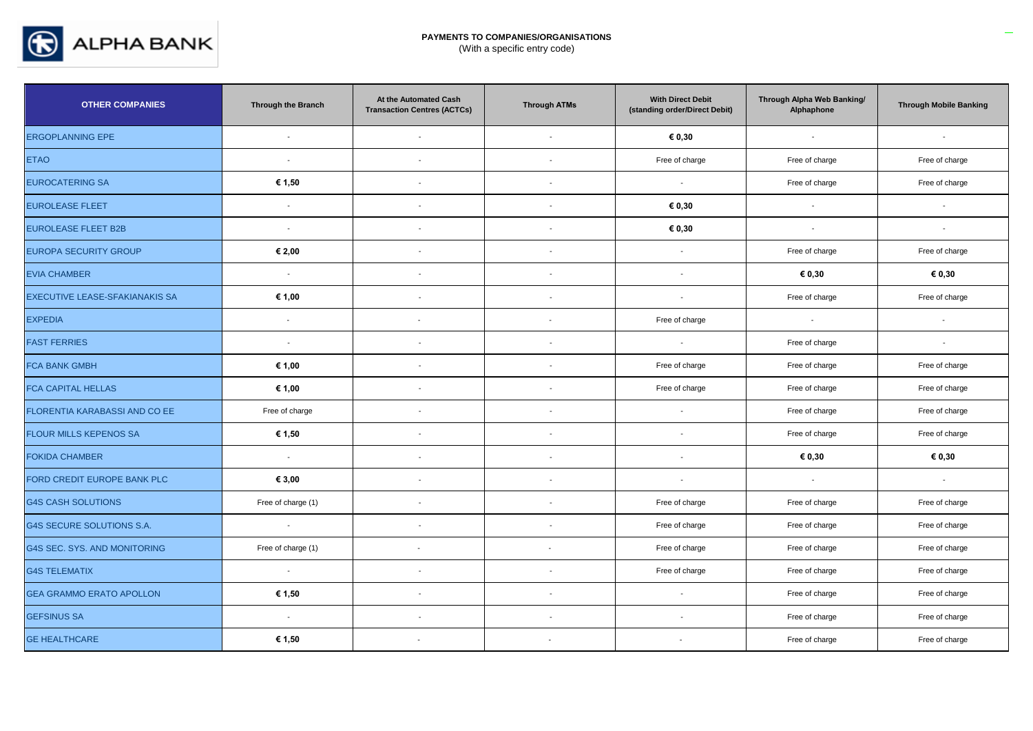

| <b>OTHER COMPANIES</b>                | Through the Branch       | At the Automated Cash<br><b>Transaction Centres (ACTCs)</b> | <b>Through ATMs</b>      | <b>With Direct Debit</b><br>(standing order/Direct Debit) | Through Alpha Web Banking/<br>Alphaphone | <b>Through Mobile Banking</b> |
|---------------------------------------|--------------------------|-------------------------------------------------------------|--------------------------|-----------------------------------------------------------|------------------------------------------|-------------------------------|
| <b>ERGOPLANNING EPE</b>               | $\sim$                   | $\overline{\phantom{a}}$                                    | $\sim$                   | € 0,30                                                    | $\mathbf{r}$                             | $\overline{\phantom{a}}$      |
| <b>ETAO</b>                           | $\sim$                   | $\blacksquare$                                              |                          | Free of charge                                            | Free of charge                           | Free of charge                |
| <b>EUROCATERING SA</b>                | € 1,50                   | $\sim$                                                      | $\overline{a}$           | $\sim$                                                    | Free of charge                           | Free of charge                |
| <b>EUROLEASE FLEET</b>                | $\sim$                   | $\overline{\phantom{a}}$                                    |                          | € 0,30                                                    | $\overline{a}$                           | $\sim$                        |
| <b>EUROLEASE FLEET B2B</b>            | $\sim$                   | $\blacksquare$                                              | $\overline{\phantom{a}}$ | € 0,30                                                    | $\overline{\phantom{a}}$                 | $\overline{a}$                |
| <b>EUROPA SECURITY GROUP</b>          | € 2,00                   | $\overline{\phantom{a}}$                                    |                          | $\overline{a}$                                            | Free of charge                           | Free of charge                |
| <b>EVIA CHAMBER</b>                   | $\sim$                   | $\sim$                                                      | $\sim$                   | $\overline{a}$                                            | € 0,30                                   | € 0,30                        |
| <b>EXECUTIVE LEASE-SFAKIANAKIS SA</b> | € 1,00                   | $\sim$                                                      |                          | $\overline{\phantom{a}}$                                  | Free of charge                           | Free of charge                |
| <b>EXPEDIA</b>                        | $\overline{\phantom{a}}$ | $\blacksquare$                                              | $\overline{\phantom{a}}$ | Free of charge                                            | $\sim$                                   | $\sim$                        |
| <b>FAST FERRIES</b>                   | $\sim$                   | $\overline{\phantom{a}}$                                    |                          | $\sim$                                                    | Free of charge                           |                               |
| <b>FCA BANK GMBH</b>                  | € 1,00                   | $\blacksquare$                                              |                          | Free of charge                                            | Free of charge                           | Free of charge                |
| <b>FCA CAPITAL HELLAS</b>             | € 1,00                   | $\overline{\phantom{a}}$                                    |                          | Free of charge                                            | Free of charge                           | Free of charge                |
| FLORENTIA KARABASSI AND CO EE         | Free of charge           | $\sim$                                                      | $\overline{\phantom{a}}$ | $\sim$                                                    | Free of charge                           | Free of charge                |
| FLOUR MILLS KEPENOS SA                | € 1,50                   | $\blacksquare$                                              |                          |                                                           | Free of charge                           | Free of charge                |
| <b>FOKIDA CHAMBER</b>                 | $\sim$                   | $\blacksquare$                                              | $\overline{\phantom{a}}$ | $\sim$                                                    | € 0,30                                   | € 0,30                        |
| FORD CREDIT EUROPE BANK PLC           | € 3,00                   | $\blacksquare$                                              |                          | $\overline{\phantom{a}}$                                  | $\sim$                                   | $\sim$                        |
| <b>G4S CASH SOLUTIONS</b>             | Free of charge (1)       | $\blacksquare$                                              | $\sim$                   | Free of charge                                            | Free of charge                           | Free of charge                |
| G4S SECURE SOLUTIONS S.A.             | $\sim$                   | $\blacksquare$                                              | $\sim$                   | Free of charge                                            | Free of charge                           | Free of charge                |
| G4S SEC. SYS. AND MONITORING          | Free of charge (1)       | $\overline{\phantom{a}}$                                    | $\sim$                   | Free of charge                                            | Free of charge                           | Free of charge                |
| <b>G4S TELEMATIX</b>                  | $\sim$                   | $\blacksquare$                                              | $\overline{\phantom{a}}$ | Free of charge                                            | Free of charge                           | Free of charge                |
| <b>GEA GRAMMO ERATO APOLLON</b>       | € 1,50                   | $\blacksquare$                                              | $\sim$                   | $\mathbf{r}$                                              | Free of charge                           | Free of charge                |
| <b>GEFSINUS SA</b>                    | $\sim$                   | $\blacksquare$                                              | $\blacksquare$           | $\sim$                                                    | Free of charge                           | Free of charge                |
| <b>GE HEALTHCARE</b>                  | € 1,50                   | $\overline{\phantom{a}}$                                    | $\sim$                   | $\blacksquare$                                            | Free of charge                           | Free of charge                |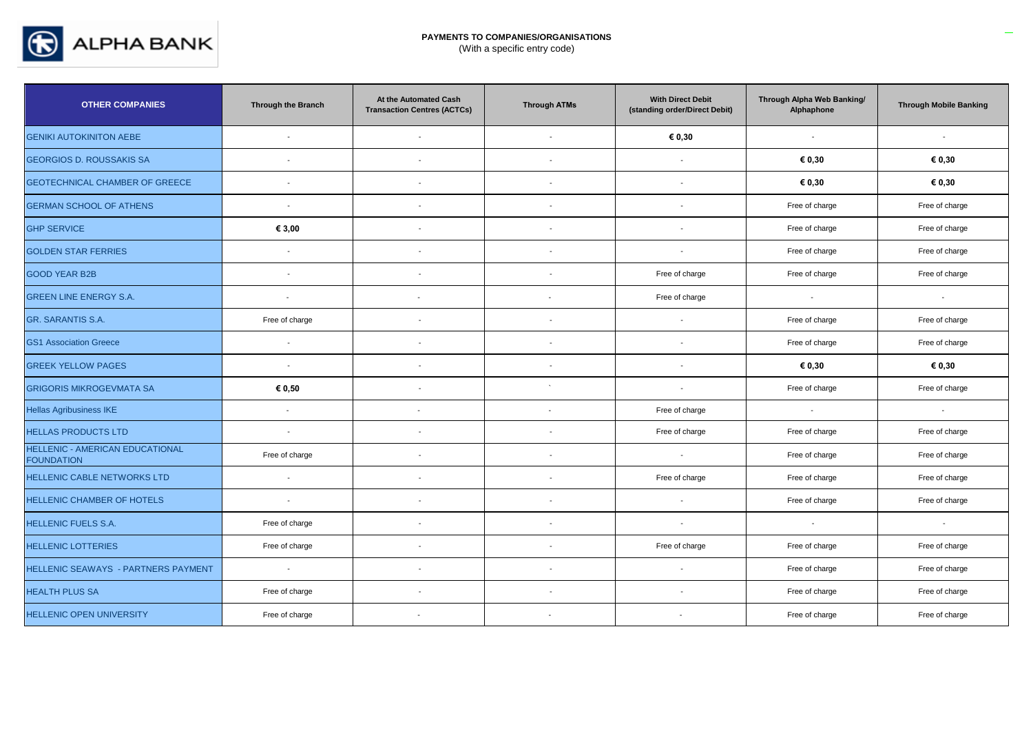

| <b>OTHER COMPANIES</b>                                      | Through the Branch       | At the Automated Cash<br><b>Transaction Centres (ACTCs)</b> | <b>Through ATMs</b>      | <b>With Direct Debit</b><br>(standing order/Direct Debit) | Through Alpha Web Banking/<br>Alphaphone | <b>Through Mobile Banking</b> |
|-------------------------------------------------------------|--------------------------|-------------------------------------------------------------|--------------------------|-----------------------------------------------------------|------------------------------------------|-------------------------------|
| <b>GENIKI AUTOKINITON AEBE</b>                              | $\sim$                   | $\overline{\phantom{a}}$                                    | $\sim$                   | € 0,30                                                    | $\sim$                                   | $\sim$                        |
| <b>GEORGIOS D. ROUSSAKIS SA</b>                             |                          | $\overline{\phantom{a}}$                                    |                          |                                                           | € 0,30                                   | € 0,30                        |
| <b>GEOTECHNICAL CHAMBER OF GREECE</b>                       | $\sim$                   | $\sim$                                                      | $\sim$                   | $\overline{\phantom{a}}$                                  | € 0,30                                   | € 0,30                        |
| <b>GERMAN SCHOOL OF ATHENS</b>                              | $\overline{\phantom{a}}$ | $\blacksquare$                                              | $\blacksquare$           | $\overline{\phantom{a}}$                                  | Free of charge                           | Free of charge                |
| <b>GHP SERVICE</b>                                          | € 3,00                   | $\blacksquare$                                              | $\sim$                   | $\overline{\phantom{a}}$                                  | Free of charge                           | Free of charge                |
| <b>GOLDEN STAR FERRIES</b>                                  | $\sim$                   | $\blacksquare$                                              | $\overline{\phantom{a}}$ | $\overline{\phantom{a}}$                                  | Free of charge                           | Free of charge                |
| <b>GOOD YEAR B2B</b>                                        |                          |                                                             |                          | Free of charge                                            | Free of charge                           | Free of charge                |
| <b>GREEN LINE ENERGY S.A.</b>                               | $\overline{a}$           | $\overline{\phantom{a}}$                                    | $\sim$                   | Free of charge                                            | $\sim$                                   | $\sim$                        |
| GR. SARANTIS S.A.                                           | Free of charge           | $\blacksquare$                                              |                          |                                                           | Free of charge                           | Free of charge                |
| <b>GS1 Association Greece</b>                               | $\sim$                   | $\sim$                                                      | $\sim$                   | $\overline{\phantom{a}}$                                  | Free of charge                           | Free of charge                |
| <b>GREEK YELLOW PAGES</b>                                   | $\sim$                   | $\blacksquare$                                              |                          | $\overline{\phantom{a}}$                                  | € 0,30                                   | € 0,30                        |
| <b>GRIGORIS MIKROGEVMATA SA</b>                             | € 0,50                   | $\blacksquare$                                              | $\ddot{\phantom{1}}$     | $\overline{\phantom{a}}$                                  | Free of charge                           | Free of charge                |
| <b>Hellas Agribusiness IKE</b>                              | $\mathbf{r}$             | $\sim$                                                      | $\overline{\phantom{a}}$ | Free of charge                                            | $\mathbf{r}$                             | $\sim$                        |
| <b>HELLAS PRODUCTS LTD</b>                                  | $\overline{\phantom{a}}$ | $\overline{\phantom{a}}$                                    |                          | Free of charge                                            | Free of charge                           | Free of charge                |
| <b>HELLENIC - AMERICAN EDUCATIONAL</b><br><b>FOUNDATION</b> | Free of charge           | $\blacksquare$                                              | $\overline{\phantom{a}}$ | $\overline{\phantom{a}}$                                  | Free of charge                           | Free of charge                |
| <b>HELLENIC CABLE NETWORKS LTD</b>                          | $\overline{\phantom{a}}$ | $\blacksquare$                                              |                          | Free of charge                                            | Free of charge                           | Free of charge                |
| <b>HELLENIC CHAMBER OF HOTELS</b>                           | $\sim$                   | $\blacksquare$                                              | $\overline{\phantom{a}}$ | $\sim$                                                    | Free of charge                           | Free of charge                |
| <b>HELLENIC FUELS S.A.</b>                                  | Free of charge           | $\blacksquare$                                              |                          | $\overline{\phantom{a}}$                                  | $\sim$                                   | $\sim$                        |
| <b>HELLENIC LOTTERIES</b>                                   | Free of charge           | $\blacksquare$                                              | $\sim$                   | Free of charge                                            | Free of charge                           | Free of charge                |
| HELLENIC SEAWAYS - PARTNERS PAYMENT                         | $\sim$                   | $\overline{\phantom{a}}$                                    | $\sim$                   | $\overline{\phantom{a}}$                                  | Free of charge                           | Free of charge                |
| <b>HEALTH PLUS SA</b>                                       | Free of charge           | $\overline{\phantom{a}}$                                    |                          |                                                           | Free of charge                           | Free of charge                |
| <b>HELLENIC OPEN UNIVERSITY</b>                             | Free of charge           |                                                             |                          | $\overline{\phantom{a}}$                                  | Free of charge                           | Free of charge                |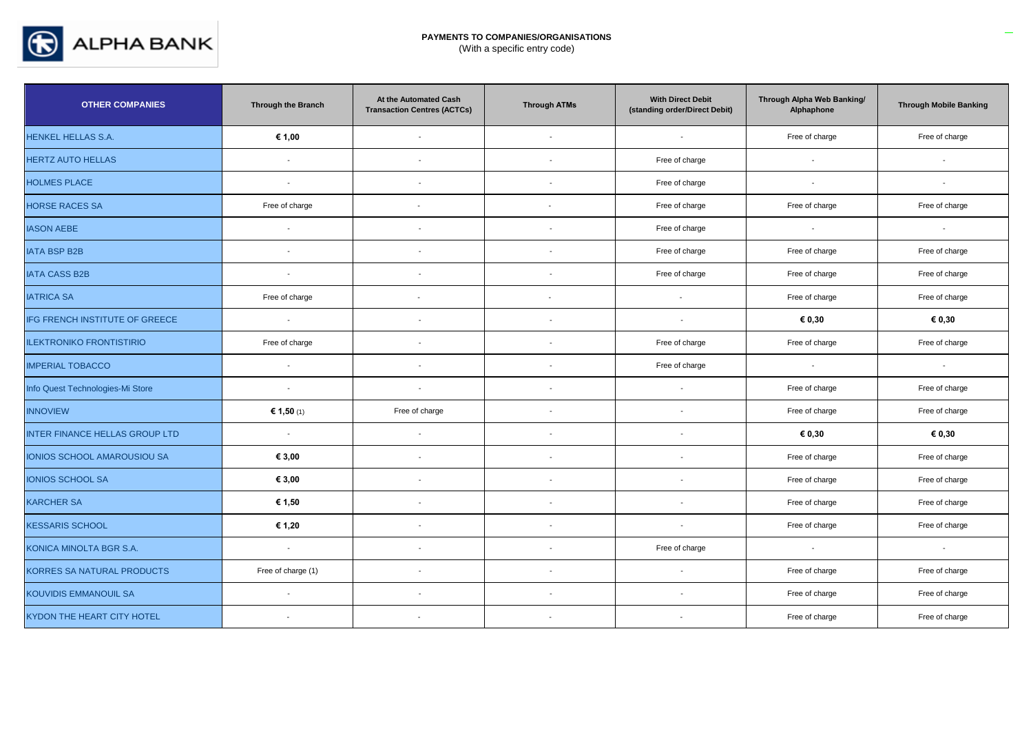

| <b>OTHER COMPANIES</b>                | Through the Branch       | At the Automated Cash<br><b>Transaction Centres (ACTCs)</b> | <b>Through ATMs</b>      | <b>With Direct Debit</b><br>(standing order/Direct Debit) | Through Alpha Web Banking/<br>Alphaphone | <b>Through Mobile Banking</b> |
|---------------------------------------|--------------------------|-------------------------------------------------------------|--------------------------|-----------------------------------------------------------|------------------------------------------|-------------------------------|
| HENKEL HELLAS S.A.                    | € 1,00                   | $\sim$                                                      | $\sim$                   | $\sim$                                                    | Free of charge                           | Free of charge                |
| <b>HERTZ AUTO HELLAS</b>              | $\sim$                   | $\blacksquare$                                              | $\overline{\phantom{a}}$ | Free of charge                                            | $\mathbf{r}$                             | $\mathbf{r}$                  |
| <b>HOLMES PLACE</b>                   | $\sim$                   | $\overline{\phantom{a}}$                                    | $\sim$                   | Free of charge                                            | $\sim$                                   | $\sim$                        |
| <b>HORSE RACES SA</b>                 | Free of charge           | $\overline{\phantom{a}}$                                    | $\overline{\phantom{a}}$ | Free of charge                                            | Free of charge                           | Free of charge                |
| <b>IASON AEBE</b>                     | $\sim$                   | $\sim$                                                      | $\sim$                   | Free of charge                                            | $\sim$                                   | $\sim$                        |
| <b>IATA BSP B2B</b>                   | $\sim$                   | $\blacksquare$                                              | $\overline{\phantom{a}}$ | Free of charge                                            | Free of charge                           | Free of charge                |
| <b>IATA CASS B2B</b>                  | $\sim$                   | $\sim$                                                      |                          | Free of charge                                            | Free of charge                           | Free of charge                |
| <b>IATRICA SA</b>                     | Free of charge           |                                                             | $\overline{\phantom{a}}$ | $\sim$                                                    | Free of charge                           | Free of charge                |
| IFG FRENCH INSTITUTE OF GREECE        | $\sim$                   | $\blacksquare$                                              | $\overline{\phantom{a}}$ | $\sim$                                                    | € 0,30                                   | € 0,30                        |
| <b>ILEKTRONIKO FRONTISTIRIO</b>       | Free of charge           | $\blacksquare$                                              | $\overline{\phantom{a}}$ | Free of charge                                            | Free of charge                           | Free of charge                |
| <b>IMPERIAL TOBACCO</b>               | $\sim$                   | $\sim$                                                      | $\sim$                   | Free of charge                                            | $\sim$                                   | $\sim$                        |
| Info Quest Technologies-Mi Store      | $\sim$                   | $\overline{\phantom{a}}$                                    | $\overline{\phantom{a}}$ | $\sim$                                                    | Free of charge                           | Free of charge                |
| <b>INNOVIEW</b>                       | € 1,50 (1)               | Free of charge                                              | $\sim$                   | $\overline{\phantom{a}}$                                  | Free of charge                           | Free of charge                |
| <b>INTER FINANCE HELLAS GROUP LTD</b> | $\sim$                   | $\overline{\phantom{a}}$                                    |                          | $\overline{\phantom{a}}$                                  | € 0,30                                   | € 0,30                        |
| IONIOS SCHOOL AMAROUSIOU SA           | € 3,00                   | $\blacksquare$                                              |                          | $\overline{\phantom{a}}$                                  | Free of charge                           | Free of charge                |
| <b>IONIOS SCHOOL SA</b>               | € 3,00                   | $\overline{\phantom{a}}$                                    |                          |                                                           | Free of charge                           | Free of charge                |
| <b>KARCHER SA</b>                     | € 1,50                   | $\blacksquare$                                              |                          | $\overline{\phantom{a}}$                                  | Free of charge                           | Free of charge                |
| <b>KESSARIS SCHOOL</b>                | € 1,20                   | $\overline{\phantom{a}}$                                    | $\overline{a}$           | $\overline{\phantom{a}}$                                  | Free of charge                           | Free of charge                |
| KONICA MINOLTA BGR S.A.               | $\sim$                   | $\sim$                                                      |                          | Free of charge                                            | $\sim$                                   | $\sim$                        |
| KORRES SA NATURAL PRODUCTS            | Free of charge (1)       | $\blacksquare$                                              | $\overline{\phantom{a}}$ | $\sim$                                                    | Free of charge                           | Free of charge                |
| <b>KOUVIDIS EMMANOUIL SA</b>          | $\sim$                   | $\sim$                                                      | $\overline{a}$           | $\overline{\phantom{a}}$                                  | Free of charge                           | Free of charge                |
| KYDON THE HEART CITY HOTEL            | $\overline{\phantom{a}}$ | $\overline{a}$                                              |                          | $\blacksquare$                                            | Free of charge                           | Free of charge                |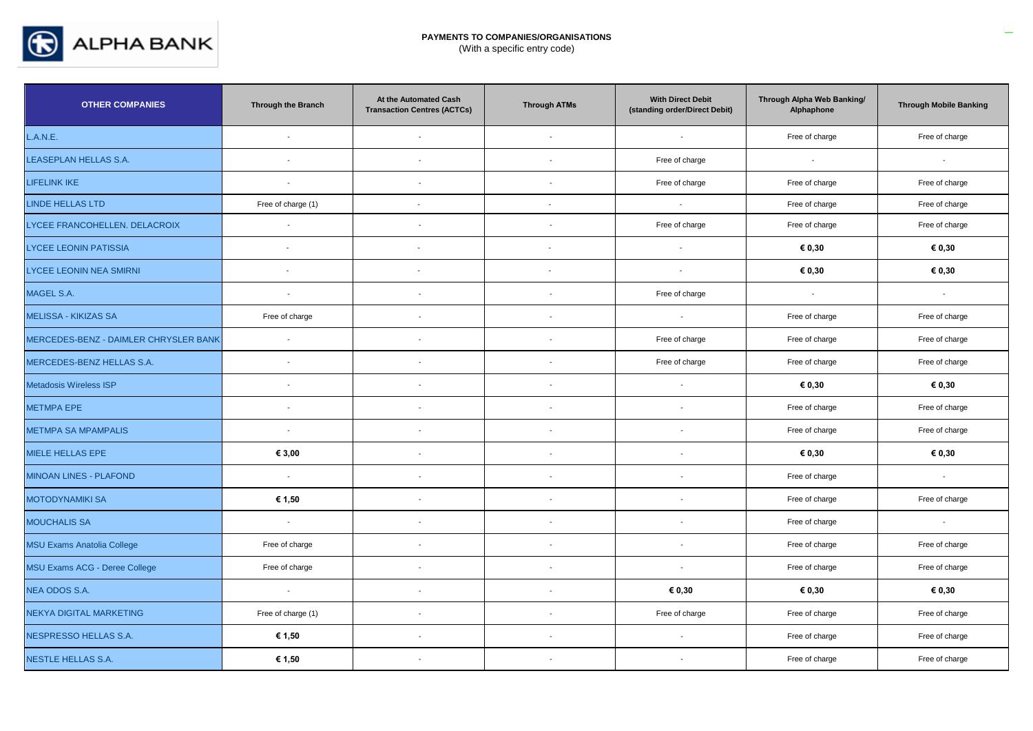

| <b>OTHER COMPANIES</b>                | Through the Branch       | At the Automated Cash<br><b>Transaction Centres (ACTCs)</b> | <b>Through ATMs</b>      | <b>With Direct Debit</b><br>(standing order/Direct Debit) | Through Alpha Web Banking/<br>Alphaphone | <b>Through Mobile Banking</b> |
|---------------------------------------|--------------------------|-------------------------------------------------------------|--------------------------|-----------------------------------------------------------|------------------------------------------|-------------------------------|
| L.A.N.E.                              | $\mathcal{L}$            | $\sim$                                                      | $\sim$                   | $\overline{\phantom{a}}$                                  | Free of charge                           | Free of charge                |
| LEASEPLAN HELLAS S.A.                 | $\sim$                   | $\sim$                                                      | $\overline{a}$           | Free of charge                                            | $\sim$                                   | $\sim$                        |
| <b>LIFELINK IKE</b>                   | $\sim$                   | $\overline{\phantom{a}}$                                    |                          | Free of charge                                            | Free of charge                           | Free of charge                |
| <b>LINDE HELLAS LTD</b>               | Free of charge (1)       | $\sim$                                                      | $\blacksquare$           | $\sim$                                                    | Free of charge                           | Free of charge                |
| LYCEE FRANCOHELLEN. DELACROIX         | $\overline{\phantom{a}}$ | $\blacksquare$                                              |                          | Free of charge                                            | Free of charge                           | Free of charge                |
| <b>LYCEE LEONIN PATISSIA</b>          | $\sim$                   | $\sim$                                                      | $\sim$                   | $\sim$                                                    | € 0,30                                   | € 0,30                        |
| LYCEE LEONIN NEA SMIRNI               | $\blacksquare$           | $\overline{\phantom{a}}$                                    | $\sim$                   | $\sim$                                                    | € 0,30                                   | € 0,30                        |
| MAGEL S.A.                            | $\sim$                   | $\overline{\phantom{a}}$                                    | $\overline{a}$           | Free of charge                                            | $\sim$                                   | $\sim$                        |
| <b>MELISSA - KIKIZAS SA</b>           | Free of charge           | $\sim$                                                      | $\overline{a}$           | $\sim$                                                    | Free of charge                           | Free of charge                |
| MERCEDES-BENZ - DAIMLER CHRYSLER BANK | $\mathcal{L}$            | $\overline{\phantom{a}}$                                    |                          | Free of charge                                            | Free of charge                           | Free of charge                |
| MERCEDES-BENZ HELLAS S.A.             | $\sim$                   | $\overline{a}$                                              | $\sim$                   | Free of charge                                            | Free of charge                           | Free of charge                |
| Metadosis Wireless ISP                | $\overline{a}$           | $\overline{\phantom{a}}$                                    |                          | $\overline{\phantom{a}}$                                  | € 0,30                                   | € 0,30                        |
| <b>METMPA EPE</b>                     | $\sim$                   | $\overline{\phantom{a}}$                                    | $\blacksquare$           | $\mathbf{r}$                                              | Free of charge                           | Free of charge                |
| <b>METMPA SA MPAMPALIS</b>            | $\sim$                   | $\blacksquare$                                              | i.                       | $\sim$                                                    | Free of charge                           | Free of charge                |
| MIELE HELLAS EPE                      | € 3,00                   | $\sim$                                                      | $\overline{\phantom{a}}$ | $\overline{\phantom{a}}$                                  | € 0,30                                   | € 0,30                        |
| <b>MINOAN LINES - PLAFOND</b>         | $\sim$                   | $\blacksquare$                                              |                          |                                                           | Free of charge                           | $\sim$                        |
| <b>MOTODYNAMIKI SA</b>                | € 1,50                   | $\overline{\phantom{a}}$                                    |                          | $\overline{\phantom{a}}$                                  | Free of charge                           | Free of charge                |
| <b>MOUCHALIS SA</b>                   | $\sim$                   | $\blacksquare$                                              |                          | $\overline{\phantom{a}}$                                  | Free of charge                           | $\mathbf{r}$                  |
| <b>MSU Exams Anatolia College</b>     | Free of charge           | $\blacksquare$                                              | $\sim$                   | $\sim$                                                    | Free of charge                           | Free of charge                |
| MSU Exams ACG - Deree College         | Free of charge           | $\blacksquare$                                              |                          | $\overline{\phantom{a}}$                                  | Free of charge                           | Free of charge                |
| NEA ODOS S.A.                         | $\sim$                   | $\mathbf{r}$                                                | $\overline{a}$           | € 0,30                                                    | € 0,30                                   | € 0,30                        |
| NEKYA DIGITAL MARKETING               | Free of charge (1)       | $\mathbf{r}$                                                | $\overline{\phantom{a}}$ | Free of charge                                            | Free of charge                           | Free of charge                |
| NESPRESSO HELLAS S.A.                 | € 1,50                   | $\overline{\phantom{a}}$                                    | $\sim$                   | $\sim$                                                    | Free of charge                           | Free of charge                |
| <b>NESTLE HELLAS S.A.</b>             | € 1,50                   | $\blacksquare$                                              | $\overline{\phantom{a}}$ | $\overline{\phantom{a}}$                                  | Free of charge                           | Free of charge                |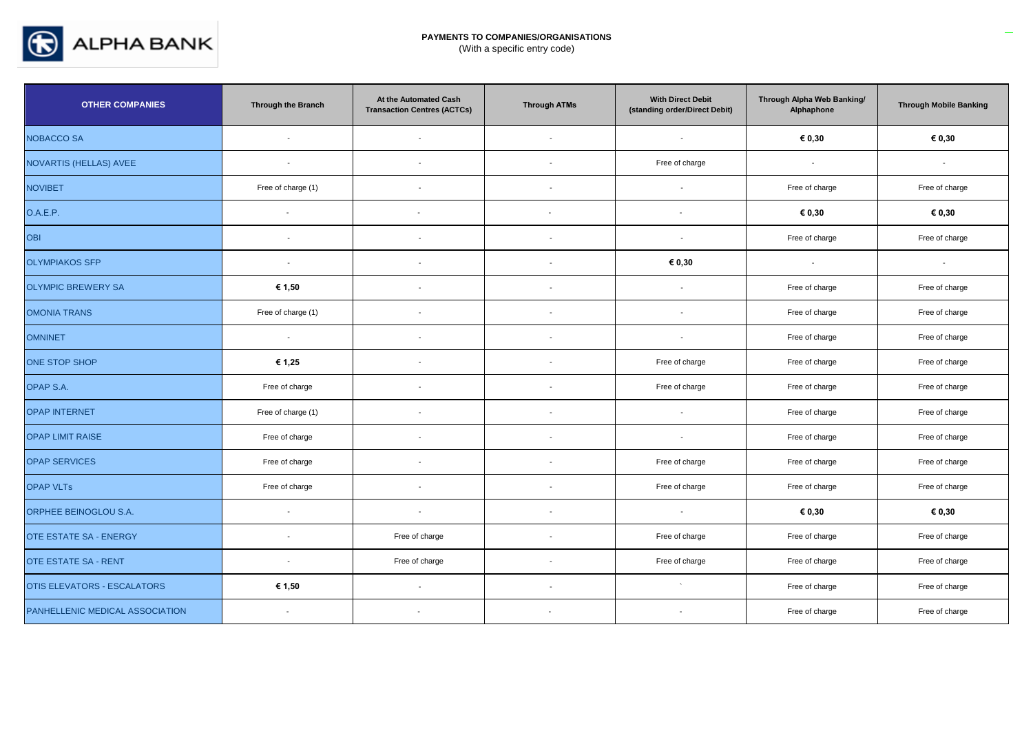

| <b>OTHER COMPANIES</b>             | Through the Branch       | At the Automated Cash<br><b>Transaction Centres (ACTCs)</b> | <b>Through ATMs</b>      | <b>With Direct Debit</b><br>(standing order/Direct Debit) | Through Alpha Web Banking/<br>Alphaphone | <b>Through Mobile Banking</b> |
|------------------------------------|--------------------------|-------------------------------------------------------------|--------------------------|-----------------------------------------------------------|------------------------------------------|-------------------------------|
| <b>NOBACCO SA</b>                  | $\sim$                   | $\sim$                                                      | $\sim$                   | $\sim$                                                    | € 0,30                                   | € 0,30                        |
| NOVARTIS (HELLAS) AVEE             | $\overline{\phantom{a}}$ | $\blacksquare$                                              | $\overline{\phantom{a}}$ | Free of charge                                            | $\blacksquare$                           | $\overline{\phantom{a}}$      |
| <b>NOVIBET</b>                     | Free of charge (1)       | $\blacksquare$                                              | $\blacksquare$           | $\overline{\phantom{a}}$                                  | Free of charge                           | Free of charge                |
| O.A.E.P.                           | $\blacksquare$           | $\overline{\phantom{a}}$                                    | $\sim$                   | $\overline{\phantom{a}}$                                  | € 0,30                                   | € 0,30                        |
| OBI                                | $\sim$                   | $\overline{\phantom{a}}$                                    | $\overline{\phantom{a}}$ | $\sim$                                                    | Free of charge                           | Free of charge                |
| <b>OLYMPIAKOS SFP</b>              | $\overline{\phantom{a}}$ | $\overline{\phantom{a}}$                                    | $\overline{\phantom{a}}$ | € 0,30                                                    | $\overline{\phantom{a}}$                 | $\overline{\phantom{a}}$      |
| <b>OLYMPIC BREWERY SA</b>          | € 1,50                   | $\overline{\phantom{a}}$                                    | $\overline{\phantom{a}}$ | $\overline{\phantom{a}}$                                  | Free of charge                           | Free of charge                |
| <b>OMONIA TRANS</b>                | Free of charge (1)       | $\blacksquare$                                              |                          | $\sim$                                                    | Free of charge                           | Free of charge                |
| <b>OMNINET</b>                     | $\sim$                   | $\overline{\phantom{a}}$                                    |                          | $\overline{\phantom{a}}$                                  | Free of charge                           | Free of charge                |
| <b>ONE STOP SHOP</b>               | € 1,25                   | $\overline{\phantom{a}}$                                    |                          | Free of charge                                            | Free of charge                           | Free of charge                |
| OPAP S.A.                          | Free of charge           | $\overline{\phantom{a}}$                                    |                          | Free of charge                                            | Free of charge                           | Free of charge                |
| <b>OPAP INTERNET</b>               | Free of charge (1)       | $\blacksquare$                                              | $\sim$                   | $\sim$                                                    | Free of charge                           | Free of charge                |
| <b>OPAP LIMIT RAISE</b>            | Free of charge           | $\blacksquare$                                              | $\overline{\phantom{a}}$ | $\overline{\phantom{a}}$                                  | Free of charge                           | Free of charge                |
| <b>OPAP SERVICES</b>               | Free of charge           | $\blacksquare$                                              |                          | Free of charge                                            | Free of charge                           | Free of charge                |
| <b>OPAP VLTs</b>                   | Free of charge           | $\blacksquare$                                              | $\overline{\phantom{a}}$ | Free of charge                                            | Free of charge                           | Free of charge                |
| ORPHEE BEINOGLOU S.A.              | $\overline{a}$           | $\overline{\phantom{a}}$                                    | $\sim$                   | $\overline{a}$                                            | € 0,30                                   | € 0,30                        |
| <b>OTE ESTATE SA - ENERGY</b>      | $\overline{\phantom{a}}$ | Free of charge                                              | $\overline{\phantom{a}}$ | Free of charge                                            | Free of charge                           | Free of charge                |
| <b>OTE ESTATE SA - RENT</b>        | $\overline{\phantom{a}}$ | Free of charge                                              |                          | Free of charge                                            | Free of charge                           | Free of charge                |
| <b>OTIS ELEVATORS - ESCALATORS</b> | € 1,50                   | $\sim$                                                      |                          | $\ddot{\phantom{1}}$                                      | Free of charge                           | Free of charge                |
| PANHELLENIC MEDICAL ASSOCIATION    | $\overline{\phantom{a}}$ |                                                             |                          | $\overline{\phantom{a}}$                                  | Free of charge                           | Free of charge                |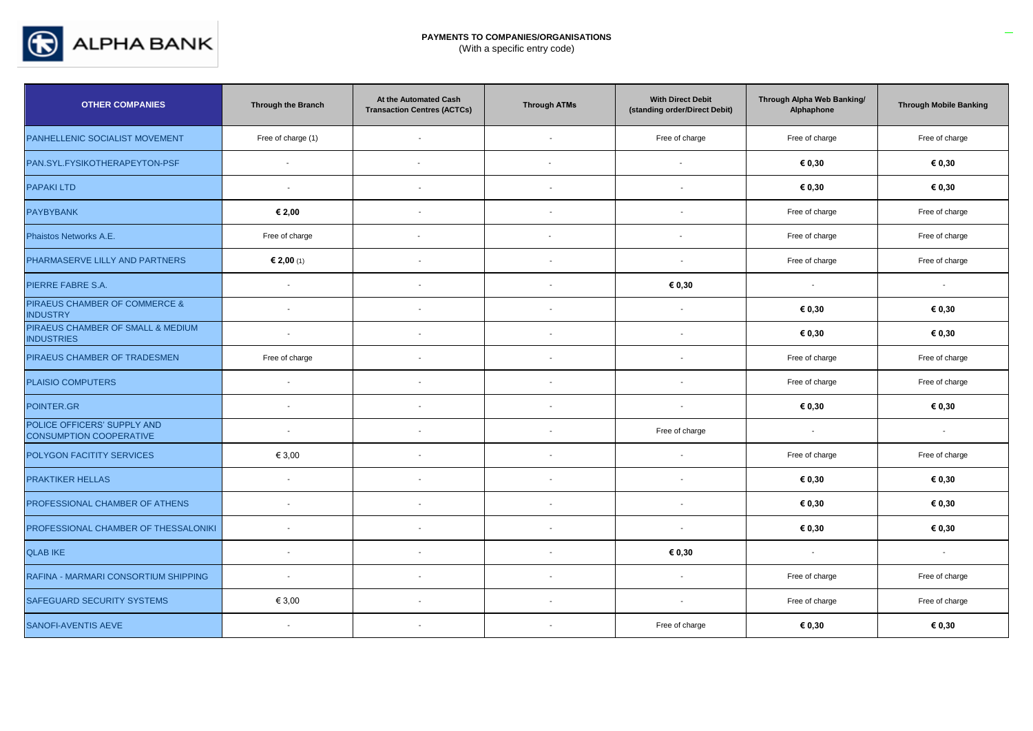

| <b>OTHER COMPANIES</b>                                        | <b>Through the Branch</b> | At the Automated Cash<br><b>Transaction Centres (ACTCs)</b> | <b>Through ATMs</b>      | <b>With Direct Debit</b><br>(standing order/Direct Debit) | Through Alpha Web Banking/<br>Alphaphone | <b>Through Mobile Banking</b> |
|---------------------------------------------------------------|---------------------------|-------------------------------------------------------------|--------------------------|-----------------------------------------------------------|------------------------------------------|-------------------------------|
| PANHELLENIC SOCIALIST MOVEMENT                                | Free of charge (1)        | $\overline{\phantom{a}}$                                    | $\overline{\phantom{a}}$ | Free of charge                                            | Free of charge                           | Free of charge                |
| PAN.SYL.FYSIKOTHERAPEYTON-PSF                                 | $\overline{\phantom{a}}$  |                                                             |                          |                                                           | € 0,30                                   | € 0,30                        |
| <b>PAPAKI LTD</b>                                             | $\overline{\phantom{a}}$  | $\overline{\phantom{a}}$                                    |                          |                                                           | € 0,30                                   | € 0,30                        |
| <b>PAYBYBANK</b>                                              | € 2,00                    | $\blacksquare$                                              | $\overline{\phantom{a}}$ | $\overline{\phantom{a}}$                                  | Free of charge                           | Free of charge                |
| Phaistos Networks A.E.                                        | Free of charge            |                                                             | $\overline{\phantom{a}}$ | $\blacksquare$                                            | Free of charge                           | Free of charge                |
| PHARMASERVE LILLY AND PARTNERS                                | € 2,00 (1)                | $\sim$                                                      | $\sim$                   | $\sim$                                                    | Free of charge                           | Free of charge                |
| PIERRE FABRE S.A.                                             | $\sim$                    | $\blacksquare$                                              | $\overline{\phantom{a}}$ | € 0,30                                                    | $\blacksquare$                           | $\blacksquare$                |
| PIRAEUS CHAMBER OF COMMERCE &<br><b>INDUSTRY</b>              | $\overline{a}$            | $\overline{\phantom{a}}$                                    |                          | $\sim$                                                    | € 0,30                                   | € 0,30                        |
| PIRAEUS CHAMBER OF SMALL & MEDIUM<br><b>INDUSTRIES</b>        | $\mathcal{L}$             | $\blacksquare$                                              | $\overline{a}$           | $\overline{\phantom{a}}$                                  | € 0,30                                   | € 0,30                        |
| PIRAEUS CHAMBER OF TRADESMEN                                  | Free of charge            | $\sim$                                                      | i.                       | $\sim$                                                    | Free of charge                           | Free of charge                |
| <b>PLAISIO COMPUTERS</b>                                      | $\sim$                    | $\overline{\phantom{a}}$                                    | $\overline{\phantom{a}}$ |                                                           | Free of charge                           | Free of charge                |
| POINTER.GR                                                    | $\blacksquare$            | $\overline{\phantom{a}}$                                    |                          | $\overline{\phantom{a}}$                                  | € 0,30                                   | € 0,30                        |
| POLICE OFFICERS' SUPPLY AND<br><b>CONSUMPTION COOPERATIVE</b> | $\blacksquare$            | $\blacksquare$                                              | $\sim$                   | Free of charge                                            | $\sim$                                   | $\blacksquare$                |
| POLYGON FACITITY SERVICES                                     | € 3,00                    | $\blacksquare$                                              | $\overline{\phantom{a}}$ | $\overline{\phantom{a}}$                                  | Free of charge                           | Free of charge                |
| <b>PRAKTIKER HELLAS</b>                                       | $\sim$                    | $\overline{\phantom{a}}$                                    | $\overline{\phantom{a}}$ | $\overline{\phantom{a}}$                                  | € 0,30                                   | € 0,30                        |
| PROFESSIONAL CHAMBER OF ATHENS                                | $\sim$                    | $\overline{\phantom{a}}$                                    | $\overline{a}$           | $\overline{\phantom{a}}$                                  | € 0,30                                   | € 0,30                        |
| PROFESSIONAL CHAMBER OF THESSALONIKI                          | $\overline{\phantom{a}}$  | $\overline{a}$                                              |                          | $\overline{\phantom{a}}$                                  | € 0,30                                   | € 0,30                        |
| <b>QLAB IKE</b>                                               | $\overline{\phantom{a}}$  | $\overline{\phantom{a}}$                                    | $\overline{\phantom{a}}$ | € 0,30                                                    | $\sim$                                   | $\sim$                        |
| RAFINA - MARMARI CONSORTIUM SHIPPING                          | $\sim$                    | $\overline{\phantom{a}}$                                    |                          | $\overline{\phantom{a}}$                                  | Free of charge                           | Free of charge                |
| SAFEGUARD SECURITY SYSTEMS                                    | € 3,00                    | $\blacksquare$                                              | $\overline{\phantom{a}}$ | $\overline{\phantom{a}}$                                  | Free of charge                           | Free of charge                |
| SANOFI-AVENTIS AEVE                                           | $\sim$                    | $\overline{\phantom{a}}$                                    |                          | Free of charge                                            | € 0,30                                   | € 0,30                        |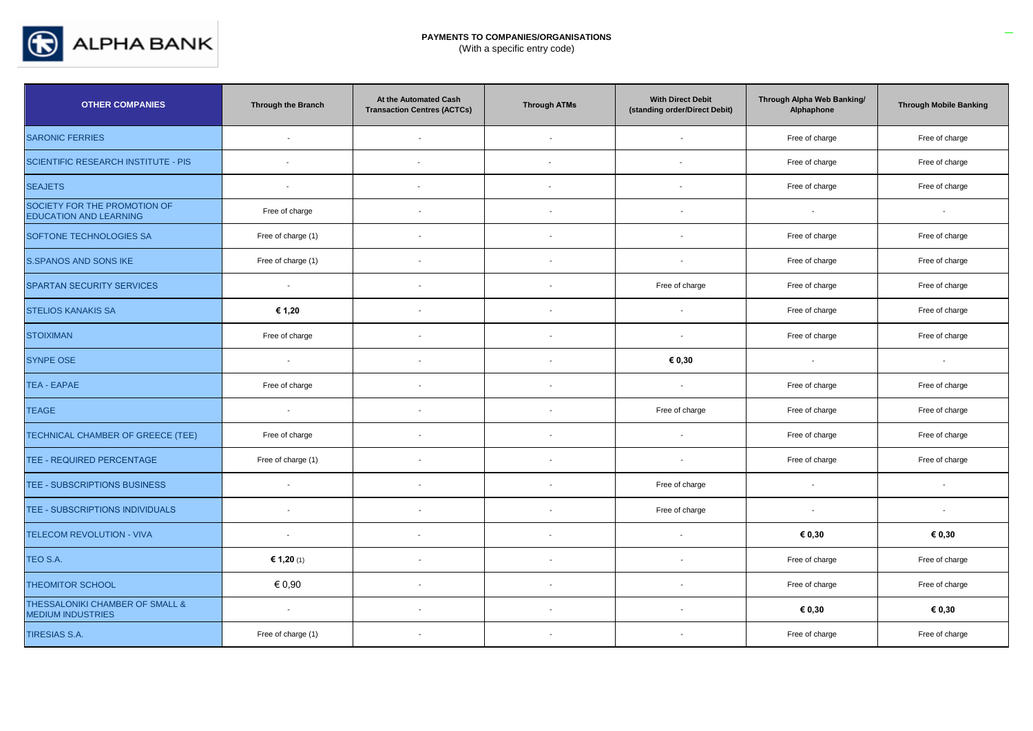

| <b>OTHER COMPANIES</b>                                        | <b>Through the Branch</b> | At the Automated Cash<br><b>Transaction Centres (ACTCs)</b> | <b>Through ATMs</b>      | <b>With Direct Debit</b><br>(standing order/Direct Debit) | Through Alpha Web Banking/<br>Alphaphone | <b>Through Mobile Banking</b> |
|---------------------------------------------------------------|---------------------------|-------------------------------------------------------------|--------------------------|-----------------------------------------------------------|------------------------------------------|-------------------------------|
| <b>SARONIC FERRIES</b>                                        | $\sim$                    | $\sim$                                                      | $\overline{\phantom{a}}$ | $\sim$                                                    | Free of charge                           | Free of charge                |
| <b>SCIENTIFIC RESEARCH INSTITUTE - PIS</b>                    | $\sim$                    |                                                             | $\overline{\phantom{a}}$ |                                                           | Free of charge                           | Free of charge                |
| <b>SEAJETS</b>                                                | $\mathbf{r}$              | $\blacksquare$                                              |                          | $\overline{a}$                                            | Free of charge                           | Free of charge                |
| SOCIETY FOR THE PROMOTION OF<br><b>EDUCATION AND LEARNING</b> | Free of charge            | $\blacksquare$                                              | $\blacksquare$           | $\overline{\phantom{a}}$                                  | $\overline{\phantom{a}}$                 | $\overline{\phantom{a}}$      |
| SOFTONE TECHNOLOGIES SA                                       | Free of charge (1)        | $\overline{\phantom{a}}$                                    | $\overline{\phantom{a}}$ | $\overline{\phantom{a}}$                                  | Free of charge                           | Free of charge                |
| <b>S.SPANOS AND SONS IKE</b>                                  | Free of charge (1)        | $\sim$                                                      | $\overline{a}$           | $\overline{a}$                                            | Free of charge                           | Free of charge                |
| <b>SPARTAN SECURITY SERVICES</b>                              | $\sim$                    | $\blacksquare$                                              | $\sim$                   | Free of charge                                            | Free of charge                           | Free of charge                |
| <b>STELIOS KANAKIS SA</b>                                     | € 1,20                    |                                                             |                          |                                                           | Free of charge                           | Free of charge                |
| <b>STOIXIMAN</b>                                              | Free of charge            | $\blacksquare$                                              | $\overline{\phantom{a}}$ | $\sim$                                                    | Free of charge                           | Free of charge                |
| <b>SYNPE OSE</b>                                              | $\sim$                    | $\overline{\phantom{a}}$                                    | $\overline{\phantom{a}}$ | € 0,30                                                    | $\overline{\phantom{a}}$                 | $\overline{\phantom{a}}$      |
| <b>TEA - EAPAE</b>                                            | Free of charge            | $\blacksquare$                                              |                          | $\overline{\phantom{a}}$                                  | Free of charge                           | Free of charge                |
| <b>TEAGE</b>                                                  | $\sim$                    | $\blacksquare$                                              | $\overline{\phantom{a}}$ | Free of charge                                            | Free of charge                           | Free of charge                |
| TECHNICAL CHAMBER OF GREECE (TEE)                             | Free of charge            | $\sim$                                                      | $\sim$                   | $\sim$                                                    | Free of charge                           | Free of charge                |
| TEE - REQUIRED PERCENTAGE                                     | Free of charge (1)        | $\blacksquare$                                              |                          | $\overline{\phantom{a}}$                                  | Free of charge                           | Free of charge                |
| TEE - SUBSCRIPTIONS BUSINESS                                  | $\sim$                    | $\blacksquare$                                              | $\blacksquare$           | Free of charge                                            | $\overline{\phantom{a}}$                 | $\overline{\phantom{a}}$      |
| TEE - SUBSCRIPTIONS INDIVIDUALS                               | $\sim$                    | $\overline{\phantom{a}}$                                    | $\blacksquare$           | Free of charge                                            | $\sim$                                   | $\overline{\phantom{a}}$      |
| TELECOM REVOLUTION - VIVA                                     | $\blacksquare$            | $\blacksquare$                                              |                          |                                                           | € 0,30                                   | € 0,30                        |
| TEO S.A.                                                      | € 1,20 (1)                | $\sim$                                                      | $\overline{\phantom{a}}$ | $\overline{\phantom{a}}$                                  | Free of charge                           | Free of charge                |
| <b>THEOMITOR SCHOOL</b>                                       | € 0,90                    | $\blacksquare$                                              | $\blacksquare$           | $\overline{\phantom{a}}$                                  | Free of charge                           | Free of charge                |
| THESSALONIKI CHAMBER OF SMALL &<br><b>MEDIUM INDUSTRIES</b>   | $\sim$                    | $\blacksquare$                                              |                          |                                                           | € 0,30                                   | € 0,30                        |
| <b>TIRESIAS S.A.</b>                                          | Free of charge (1)        | $\blacksquare$                                              |                          |                                                           | Free of charge                           | Free of charge                |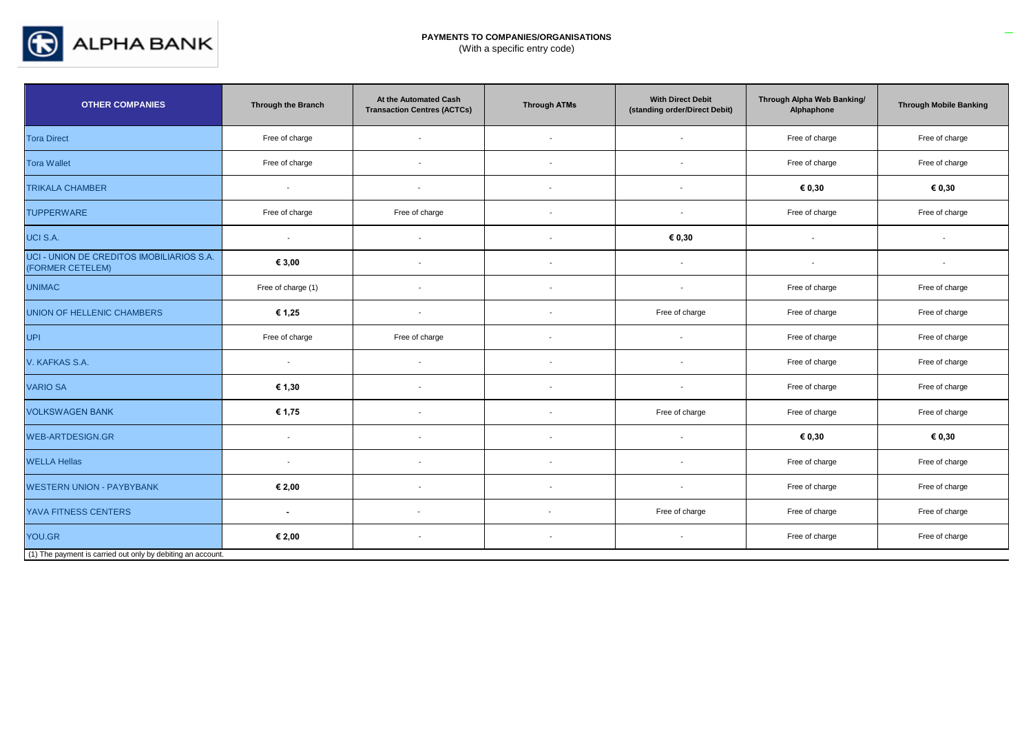

| <b>OTHER COMPANIES</b>                                        | <b>Through the Branch</b> | At the Automated Cash<br><b>Transaction Centres (ACTCs)</b> | <b>Through ATMs</b>      | <b>With Direct Debit</b><br>(standing order/Direct Debit) | Through Alpha Web Banking/<br>Alphaphone | <b>Through Mobile Banking</b> |
|---------------------------------------------------------------|---------------------------|-------------------------------------------------------------|--------------------------|-----------------------------------------------------------|------------------------------------------|-------------------------------|
| <b>Tora Direct</b>                                            | Free of charge            | $\overline{\phantom{a}}$                                    | $\overline{\phantom{a}}$ | $\overline{\phantom{a}}$                                  | Free of charge                           | Free of charge                |
| <b>Tora Wallet</b>                                            | Free of charge            | $\blacksquare$                                              |                          |                                                           | Free of charge                           | Free of charge                |
| <b>TRIKALA CHAMBER</b>                                        | $\blacksquare$            | $\overline{\phantom{a}}$                                    |                          | $\overline{\phantom{a}}$                                  | € 0,30                                   | € 0,30                        |
| <b>TUPPERWARE</b>                                             | Free of charge            | Free of charge                                              |                          | $\overline{\phantom{a}}$                                  | Free of charge                           | Free of charge                |
| UCI S.A.                                                      | $\overline{\phantom{a}}$  | $\overline{\phantom{a}}$                                    |                          | € 0,30                                                    | $\overline{\phantom{a}}$                 | $\overline{\phantom{a}}$      |
| UCI - UNION DE CREDITOS IMOBILIARIOS S.A.<br>(FORMER CETELEM) | € 3,00                    | $\overline{\phantom{a}}$                                    |                          | $\overline{\phantom{a}}$                                  | $\overline{\phantom{a}}$                 | $\overline{\phantom{a}}$      |
| <b>UNIMAC</b>                                                 | Free of charge (1)        | $\blacksquare$                                              |                          | $\overline{\phantom{a}}$                                  | Free of charge                           | Free of charge                |
| UNION OF HELLENIC CHAMBERS                                    | € 1,25                    | $\blacksquare$                                              |                          | Free of charge                                            | Free of charge                           | Free of charge                |
| <b>UPI</b>                                                    | Free of charge            | Free of charge                                              |                          | $\overline{\phantom{a}}$                                  | Free of charge                           | Free of charge                |
| V. KAFKAS S.A.                                                | $\sim$                    | $\blacksquare$                                              |                          |                                                           | Free of charge                           | Free of charge                |
| <b>VARIO SA</b>                                               | € 1,30                    | $\overline{\phantom{a}}$                                    |                          | $\blacksquare$                                            | Free of charge                           | Free of charge                |
| <b>VOLKSWAGEN BANK</b>                                        | € 1,75                    | $\blacksquare$                                              |                          | Free of charge                                            | Free of charge                           | Free of charge                |
| <b>WEB-ARTDESIGN.GR</b>                                       | $\blacksquare$            | $\blacksquare$                                              | $\overline{\phantom{a}}$ | $\overline{\phantom{a}}$                                  | € 0,30                                   | € 0,30                        |
| <b>WELLA Hellas</b>                                           | $\sim$                    | $\overline{\phantom{a}}$                                    | $\overline{\phantom{a}}$ | $\overline{\phantom{a}}$                                  | Free of charge                           | Free of charge                |
| <b>WESTERN UNION - PAYBYBANK</b>                              | € 2,00                    | $\blacksquare$                                              |                          | $\overline{\phantom{a}}$                                  | Free of charge                           | Free of charge                |
| YAVA FITNESS CENTERS                                          | $\blacksquare$            |                                                             | $\overline{\phantom{a}}$ | Free of charge                                            | Free of charge                           | Free of charge                |
| YOU.GR                                                        | € 2,00                    | $\blacksquare$                                              | $\overline{\phantom{a}}$ | $\overline{a}$                                            | Free of charge                           | Free of charge                |
| (1) The payment is carried out only by debiting an account.   |                           |                                                             |                          |                                                           |                                          |                               |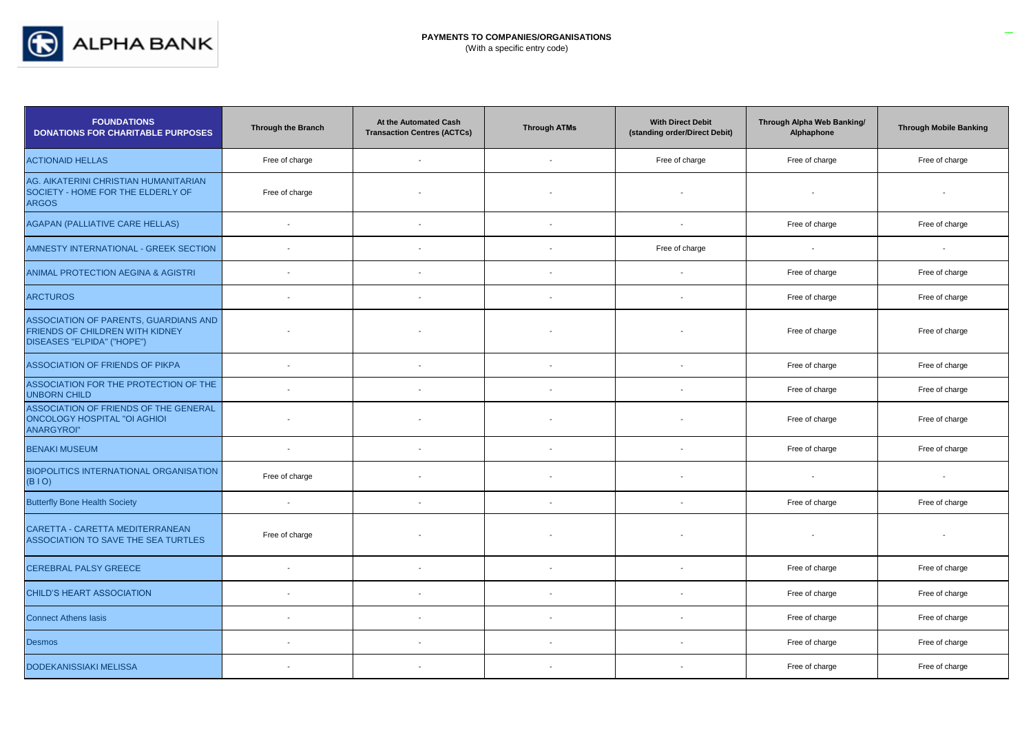

| <b>FOUNDATIONS</b><br><b>DONATIONS FOR CHARITABLE PURPOSES</b>                                                | <b>Through the Branch</b> | At the Automated Cash<br><b>Transaction Centres (ACTCs)</b> | <b>Through ATMs</b>      | <b>With Direct Debit</b><br>(standing order/Direct Debit) | Through Alpha Web Banking/<br>Alphaphone | <b>Through Mobile Banking</b> |
|---------------------------------------------------------------------------------------------------------------|---------------------------|-------------------------------------------------------------|--------------------------|-----------------------------------------------------------|------------------------------------------|-------------------------------|
| <b>ACTIONAID HELLAS</b>                                                                                       | Free of charge            | $\sim$                                                      | $\overline{\phantom{a}}$ | Free of charge                                            | Free of charge                           | Free of charge                |
| AG. AIKATERINI CHRISTIAN HUMANITARIAN<br>SOCIETY - HOME FOR THE ELDERLY OF<br><b>ARGOS</b>                    | Free of charge            |                                                             |                          |                                                           |                                          |                               |
| <b>AGAPAN (PALLIATIVE CARE HELLAS)</b>                                                                        | $\sim$                    | $\sim$                                                      | $\overline{\phantom{a}}$ | $\overline{\phantom{a}}$                                  | Free of charge                           | Free of charge                |
| AMNESTY INTERNATIONAL - GREEK SECTION                                                                         | $\overline{\phantom{a}}$  |                                                             | $\sim$                   | Free of charge                                            | $\blacksquare$                           | $\overline{\phantom{a}}$      |
| ANIMAL PROTECTION AEGINA & AGISTRI                                                                            |                           |                                                             |                          |                                                           | Free of charge                           | Free of charge                |
| <b>ARCTUROS</b>                                                                                               | $\mathbf{r}$              |                                                             |                          | $\sim$                                                    | Free of charge                           | Free of charge                |
| <b>ASSOCIATION OF PARENTS, GUARDIANS AND</b><br>FRIENDS OF CHILDREN WITH KIDNEY<br>DISEASES "ELPIDA" ("HOPE") |                           |                                                             |                          |                                                           | Free of charge                           | Free of charge                |
| <b>ASSOCIATION OF FRIENDS OF PIKPA</b>                                                                        | $\overline{a}$            |                                                             |                          |                                                           | Free of charge                           | Free of charge                |
| ASSOCIATION FOR THE PROTECTION OF THE<br><b>UNBORN CHILD</b>                                                  | $\blacksquare$            |                                                             |                          | $\overline{\phantom{a}}$                                  | Free of charge                           | Free of charge                |
| ASSOCIATION OF FRIENDS OF THE GENERAL<br><b>ONCOLOGY HOSPITAL "OI AGHIOI</b><br><b>ANARGYROI"</b>             |                           |                                                             |                          |                                                           | Free of charge                           | Free of charge                |
| <b>BENAKI MUSEUM</b>                                                                                          | $\blacksquare$            | $\overline{\phantom{a}}$                                    | $\overline{\phantom{a}}$ | $\overline{\phantom{a}}$                                  | Free of charge                           | Free of charge                |
| <b>BIOPOLITICS INTERNATIONAL ORGANISATION</b><br>(BIO)                                                        | Free of charge            |                                                             |                          |                                                           | $\overline{a}$                           | $\blacksquare$                |
| <b>Butterfly Bone Health Society</b>                                                                          | $\overline{a}$            |                                                             |                          |                                                           | Free of charge                           | Free of charge                |
| CARETTA - CARETTA MEDITERRANEAN<br><b>ASSOCIATION TO SAVE THE SEA TURTLES</b>                                 | Free of charge            |                                                             |                          |                                                           |                                          |                               |
| CEREBRAL PALSY GREECE                                                                                         | $\mathbf{r}$              |                                                             | $\overline{\phantom{a}}$ | $\overline{\phantom{a}}$                                  | Free of charge                           | Free of charge                |
| CHILD'S HEART ASSOCIATION                                                                                     | $\overline{\phantom{a}}$  | $\overline{\phantom{a}}$                                    |                          |                                                           | Free of charge                           | Free of charge                |
| <b>Connect Athens lasis</b>                                                                                   | $\overline{\phantom{a}}$  |                                                             | $\overline{a}$           | $\overline{\phantom{a}}$                                  | Free of charge                           | Free of charge                |
| <b>Desmos</b>                                                                                                 |                           |                                                             |                          |                                                           | Free of charge                           | Free of charge                |
| <b>DODEKANISSIAKI MELISSA</b>                                                                                 | $\overline{\phantom{a}}$  |                                                             |                          |                                                           | Free of charge                           | Free of charge                |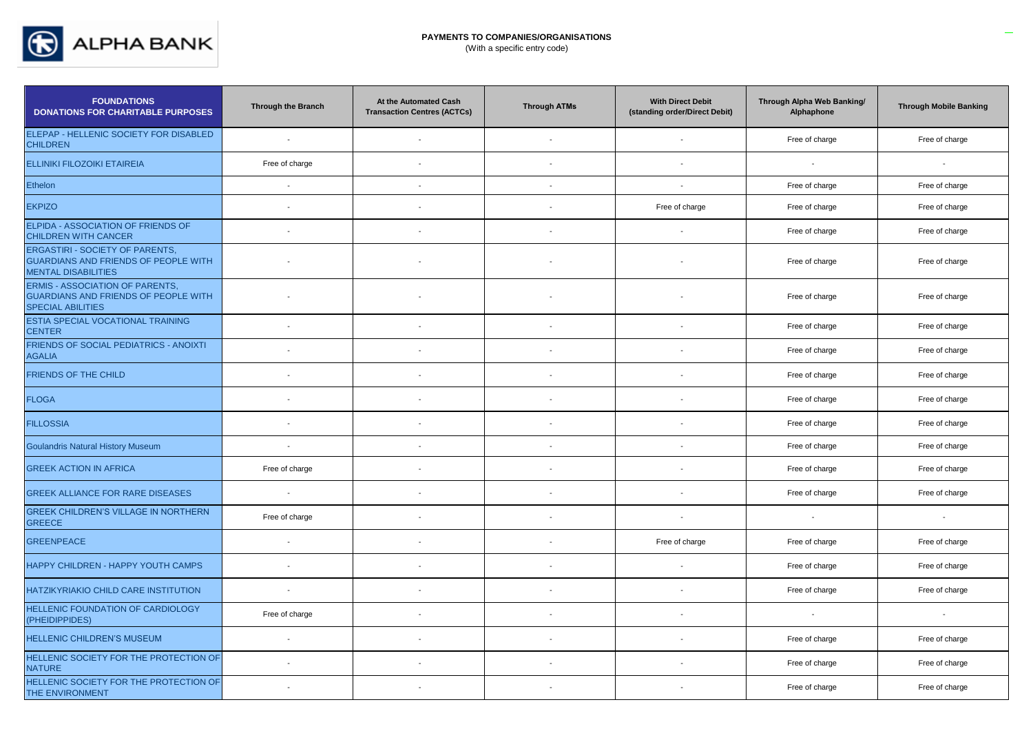

| <b>FOUNDATIONS</b><br><b>DONATIONS FOR CHARITABLE PURPOSES</b>                                               | <b>Through the Branch</b> | At the Automated Cash<br><b>Transaction Centres (ACTCs)</b> | <b>Through ATMs</b>      | <b>With Direct Debit</b><br>(standing order/Direct Debit) | Through Alpha Web Banking/<br>Alphaphone | <b>Through Mobile Banking</b> |
|--------------------------------------------------------------------------------------------------------------|---------------------------|-------------------------------------------------------------|--------------------------|-----------------------------------------------------------|------------------------------------------|-------------------------------|
| ELEPAP - HELLENIC SOCIETY FOR DISABLED<br><b>CHILDREN</b>                                                    |                           |                                                             |                          |                                                           | Free of charge                           | Free of charge                |
| <b>ELLINIKI FILOZOIKI ETAIREIA</b>                                                                           | Free of charge            | $\overline{\phantom{a}}$                                    | $\overline{\phantom{a}}$ | $\blacksquare$                                            |                                          | $\overline{\phantom{a}}$      |
| Ethelon                                                                                                      | $\mathcal{L}$             | $\blacksquare$                                              | $\overline{\phantom{a}}$ | $\sim$                                                    | Free of charge                           | Free of charge                |
| <b>EKPIZO</b>                                                                                                |                           |                                                             |                          | Free of charge                                            | Free of charge                           | Free of charge                |
| ELPIDA - ASSOCIATION OF FRIENDS OF<br><b>CHILDREN WITH CANCER</b>                                            |                           |                                                             |                          |                                                           | Free of charge                           | Free of charge                |
| ERGASTIRI - SOCIETY OF PARENTS,<br><b>GUARDIANS AND FRIENDS OF PEOPLE WITH</b><br><b>MENTAL DISABILITIES</b> |                           |                                                             |                          |                                                           | Free of charge                           | Free of charge                |
| <b>ERMIS - ASSOCIATION OF PARENTS,</b><br>GUARDIANS AND FRIENDS OF PEOPLE WITH<br><b>SPECIAL ABILITIES</b>   |                           |                                                             |                          |                                                           | Free of charge                           | Free of charge                |
| ESTIA SPECIAL VOCATIONAL TRAINING<br><b>CENTER</b>                                                           |                           |                                                             | $\overline{a}$           | $\sim$                                                    | Free of charge                           | Free of charge                |
| FRIENDS OF SOCIAL PEDIATRICS - ANOIXTI<br><b>AGALIA</b>                                                      |                           |                                                             |                          | $\overline{\phantom{a}}$                                  | Free of charge                           | Free of charge                |
| FRIENDS OF THE CHILD                                                                                         |                           |                                                             |                          | $\overline{\phantom{a}}$                                  | Free of charge                           | Free of charge                |
| <b>FLOGA</b>                                                                                                 |                           |                                                             |                          | $\overline{\phantom{a}}$                                  | Free of charge                           | Free of charge                |
| <b>FILLOSSIA</b>                                                                                             |                           |                                                             |                          | $\overline{\phantom{a}}$                                  | Free of charge                           | Free of charge                |
| <b>Goulandris Natural History Museum</b>                                                                     |                           |                                                             |                          |                                                           | Free of charge                           | Free of charge                |
| <b>GREEK ACTION IN AFRICA</b>                                                                                | Free of charge            | $\overline{\phantom{a}}$                                    | $\overline{\phantom{a}}$ | $\blacksquare$                                            | Free of charge                           | Free of charge                |
| GREEK ALLIANCE FOR RARE DISEASES                                                                             |                           |                                                             |                          | $\overline{\phantom{a}}$                                  | Free of charge                           | Free of charge                |
| <b>GREEK CHILDREN'S VILLAGE IN NORTHERN</b><br><b>GREECE</b>                                                 | Free of charge            |                                                             |                          | $\overline{\phantom{a}}$                                  | $\sim$                                   | $\overline{\phantom{a}}$      |
| <b>GREENPEACE</b>                                                                                            | $\overline{\phantom{a}}$  |                                                             | $\overline{\phantom{a}}$ | Free of charge                                            | Free of charge                           | Free of charge                |
| HAPPY CHILDREN - HAPPY YOUTH CAMPS                                                                           | $\sim$                    | $\overline{\phantom{a}}$                                    | $\sim$                   | $\blacksquare$                                            | Free of charge                           | Free of charge                |
| HATZIKYRIAKIO CHILD CARE INSTITUTION                                                                         | $\sim$                    |                                                             |                          | $\overline{\phantom{a}}$                                  | Free of charge                           | Free of charge                |
| HELLENIC FOUNDATION OF CARDIOLOGY<br>(PHEIDIPPIDES)                                                          | Free of charge            |                                                             |                          | $\overline{\phantom{a}}$                                  |                                          | $\overline{\phantom{a}}$      |
| HELLENIC CHILDREN'S MUSEUM                                                                                   | $\overline{\phantom{a}}$  |                                                             |                          | $\sim$                                                    | Free of charge                           | Free of charge                |
| HELLENIC SOCIETY FOR THE PROTECTION OF<br><b>NATURE</b>                                                      |                           | $\overline{\phantom{a}}$                                    |                          | $\blacksquare$                                            | Free of charge                           | Free of charge                |
| HELLENIC SOCIETY FOR THE PROTECTION OF<br>THE ENVIRONMENT                                                    |                           | $\overline{\phantom{a}}$                                    |                          | $\overline{\phantom{a}}$                                  | Free of charge                           | Free of charge                |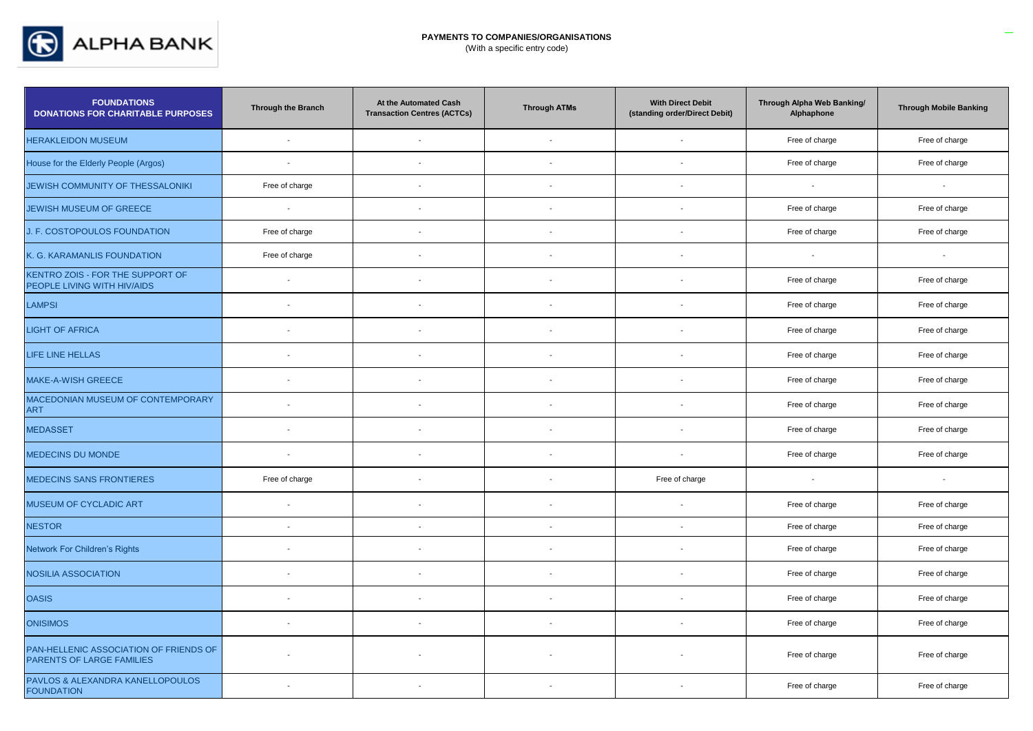

# **PAYMENTS TO COMPANIES/ORGANISATIONS**

(With a specific entry code)

| <b>FOUNDATIONS</b><br><b>DONATIONS FOR CHARITABLE PURPOSES</b>      | Through the Branch       | At the Automated Cash<br><b>Transaction Centres (ACTCs)</b> | <b>Through ATMs</b> | <b>With Direct Debit</b><br>(standing order/Direct Debit) | Through Alpha Web Banking/<br>Alphaphone | <b>Through Mobile Banking</b> |
|---------------------------------------------------------------------|--------------------------|-------------------------------------------------------------|---------------------|-----------------------------------------------------------|------------------------------------------|-------------------------------|
| <b>HERAKLEIDON MUSEUM</b>                                           | $\overline{\phantom{a}}$ | $\overline{a}$                                              |                     |                                                           | Free of charge                           | Free of charge                |
| House for the Elderly People (Argos)                                | $\mathcal{L}$            | $\overline{\phantom{a}}$                                    |                     |                                                           | Free of charge                           | Free of charge                |
| JEWISH COMMUNITY OF THESSALONIKI                                    | Free of charge           |                                                             |                     |                                                           | $\overline{\phantom{a}}$                 |                               |
| JEWISH MUSEUM OF GREECE                                             | $\sim$                   | $\sim$                                                      |                     | $\sim$                                                    | Free of charge                           | Free of charge                |
| J. F. COSTOPOULOS FOUNDATION                                        | Free of charge           | $\overline{\phantom{a}}$                                    |                     | $\sim$                                                    | Free of charge                           | Free of charge                |
| K. G. KARAMANLIS FOUNDATION                                         | Free of charge           |                                                             |                     |                                                           | $\sim$                                   |                               |
| KENTRO ZOIS - FOR THE SUPPORT OF<br>PEOPLE LIVING WITH HIV/AIDS     | $\sim$                   | $\overline{a}$                                              |                     | $\overline{\phantom{a}}$                                  | Free of charge                           | Free of charge                |
| <b>LAMPSI</b>                                                       |                          |                                                             |                     |                                                           | Free of charge                           | Free of charge                |
| <b>LIGHT OF AFRICA</b>                                              | $\overline{\phantom{a}}$ |                                                             |                     |                                                           | Free of charge                           | Free of charge                |
| LIFE LINE HELLAS                                                    | $\sim$                   | $\blacksquare$                                              |                     | $\overline{\phantom{a}}$                                  | Free of charge                           | Free of charge                |
| MAKE-A-WISH GREECE                                                  | $\sim$                   |                                                             |                     |                                                           | Free of charge                           | Free of charge                |
| MACEDONIAN MUSEUM OF CONTEMPORARY<br>ART                            |                          |                                                             |                     |                                                           | Free of charge                           | Free of charge                |
| <b>MEDASSET</b>                                                     |                          |                                                             |                     |                                                           | Free of charge                           | Free of charge                |
| MEDECINS DU MONDE                                                   | $\overline{\phantom{a}}$ | $\blacksquare$                                              |                     |                                                           | Free of charge                           | Free of charge                |
| <b>MEDECINS SANS FRONTIERES</b>                                     | Free of charge           |                                                             |                     | Free of charge                                            | $\overline{\phantom{a}}$                 |                               |
| MUSEUM OF CYCLADIC ART                                              | $\sim$                   |                                                             |                     | $\sim$                                                    | Free of charge                           | Free of charge                |
| <b>NESTOR</b>                                                       | $\blacksquare$           | $\blacksquare$                                              |                     | $\blacksquare$                                            | Free of charge                           | Free of charge                |
| Network For Children's Rights                                       | $\overline{\phantom{a}}$ |                                                             |                     | $\overline{\phantom{a}}$                                  | Free of charge                           | Free of charge                |
| NOSILIA ASSOCIATION                                                 |                          |                                                             |                     |                                                           | Free of charge                           | Free of charge                |
| <b>OASIS</b>                                                        |                          |                                                             |                     |                                                           | Free of charge                           | Free of charge                |
| <b>ONISIMOS</b>                                                     | $\overline{a}$           | $\overline{\phantom{a}}$                                    |                     |                                                           | Free of charge                           | Free of charge                |
| PAN-HELLENIC ASSOCIATION OF FRIENDS OF<br>PARENTS OF LARGE FAMILIES |                          |                                                             |                     |                                                           | Free of charge                           | Free of charge                |
| PAVLOS & ALEXANDRA KANELLOPOULOS<br><b>FOUNDATION</b>               | $\overline{\phantom{a}}$ | $\overline{\phantom{a}}$                                    |                     | $\sim$                                                    | Free of charge                           | Free of charge                |